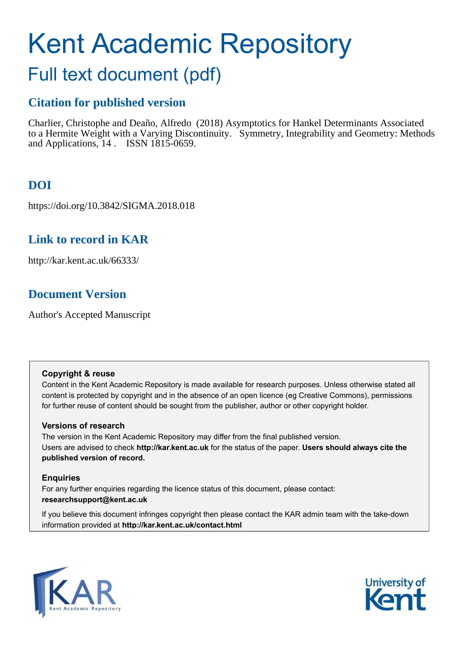# Kent Academic Repository

# Full text document (pdf)

# **Citation for published version**

Charlier, Christophe and Deaño, Alfredo (2018) Asymptotics for Hankel Determinants Associated to a Hermite Weight with a Varying Discontinuity. Symmetry, Integrability and Geometry: Methods and Applications, 14 . ISSN 1815-0659.

# **DOI**

https://doi.org/10.3842/SIGMA.2018.018

# **Link to record in KAR**

http://kar.kent.ac.uk/66333/

# **Document Version**

Author's Accepted Manuscript

## **Copyright & reuse**

Content in the Kent Academic Repository is made available for research purposes. Unless otherwise stated all content is protected by copyright and in the absence of an open licence (eg Creative Commons), permissions for further reuse of content should be sought from the publisher, author or other copyright holder.

## **Versions of research**

The version in the Kent Academic Repository may differ from the final published version. Users are advised to check **http://kar.kent.ac.uk** for the status of the paper. **Users should always cite the published version of record.**

## **Enquiries**

For any further enquiries regarding the licence status of this document, please contact: **researchsupport@kent.ac.uk**

If you believe this document infringes copyright then please contact the KAR admin team with the take-down information provided at **http://kar.kent.ac.uk/contact.html**

<span id="page-0-0"></span>

<span id="page-0-3"></span><span id="page-0-2"></span><span id="page-0-1"></span>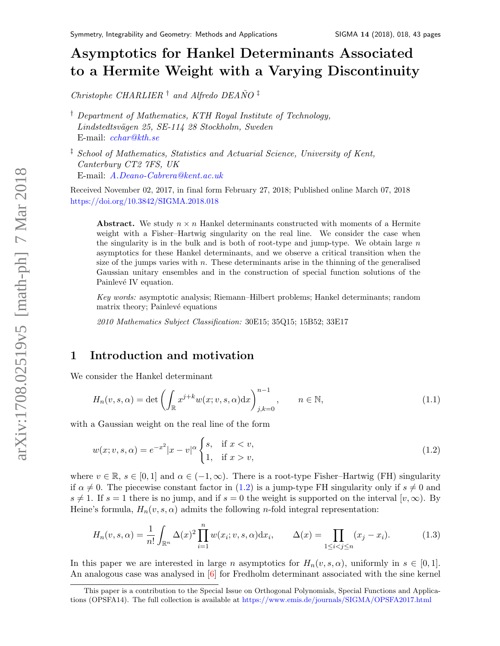# Asymptotics for Hankel Determinants Associated to a Hermite Weight with a Varying Discontinuit[y](#page-0-0)

Christophe CHARLIER  $\dagger$  and Alfredo DEANO<sup> $\dagger$ </sup>

† Department of Mathematics, KTH Royal Institute of Technology, Lindstedtsvägen 25, SE-114 28 Stockholm, Sweden E-mail: [cchar@kth.se](mailto:cchar@kth.se)

‡ School of Mathematics, Statistics and Actuarial Science, University of Kent, Canterbury CT2 7FS, UK E-mail: [A.Deano-Cabrera@kent.ac.uk](mailto:A.Deano-Cabrera@kent.ac.uk)

Received November 02, 2017, in final form February 27, 2018; Published online March 07, 2018 <https://doi.org/10.3842/SIGMA.2018.018>

<span id="page-1-0"></span>Abstract. We study  $n \times n$  Hankel determinants constructed with moments of a Hermite weight with a Fisher–Hartwig singularity on the real line. We consider the case when the singularity is in the bulk and is both of root-type and jump-type. We obtain large  $n$ asymptotics for these Hankel determinants, and we observe a critical transition when the size of the jumps varies with  $n$ . These determinants arise in the thinning of the generalised Gaussian unitary ensembles and in the construction of special function solutions of the Painlevé IV equation.

Key words: asymptotic analysis; Riemann–Hilbert problems; Hankel determinants; random matrix theory; Painlevé equations

<span id="page-1-2"></span>2010 Mathematics Subject Classification: 30E15; 35Q15; 15B52; 33E17

## 1 Introduction and motivation

We consider the Hankel determinant

$$
H_n(v, s, \alpha) = \det \left( \int_{\mathbb{R}} x^{j+k} w(x; v, s, \alpha) dx \right)_{j,k=0}^{n-1}, \qquad n \in \mathbb{N},
$$
\n(1.1)

with a Gaussian weight on the real line of the form

$$
w(x; v, s, \alpha) = e^{-x^2} |x - v|^{\alpha} \begin{cases} s, & \text{if } x < v, \\ 1, & \text{if } x > v, \end{cases}
$$
 (1.2)

where  $v \in \mathbb{R}$ ,  $s \in [0, 1]$  and  $\alpha \in (-1, \infty)$ . There is a root-type Fisher–Hartwig (FH) singularity if  $\alpha \neq 0$ . The piecewise constant factor in [\(1.2\)](#page-0-1) is a jump-type FH singularity only if  $s \neq 0$  and  $s \neq 1$ . If  $s = 1$  there is no jump, and if  $s = 0$  the weight is supported on the interval  $[v, \infty)$ . By Heine's formula,  $H_n(v, s, \alpha)$  admits the following *n*-fold integral representation:

<span id="page-1-3"></span><span id="page-1-1"></span>
$$
H_n(v, s, \alpha) = \frac{1}{n!} \int_{\mathbb{R}^n} \Delta(x)^2 \prod_{i=1}^n w(x_i; v, s, \alpha) dx_i, \qquad \Delta(x) = \prod_{1 \le i < j \le n} (x_j - x_i). \tag{1.3}
$$

In this paper we are interested in large n asymptotics for  $H_n(v, s, \alpha)$ , uniformly in  $s \in [0, 1]$ . An analogous case was analysed in [\[6\]](#page-41-0) for Fredholm determinant associated with the sine kernel

This paper is a contribution to the Special Issue on Orthogonal Polynomials, Special Functions and Applications (OPSFA14). The full collection is available at <https://www.emis.de/journals/SIGMA/OPSFA2017.html>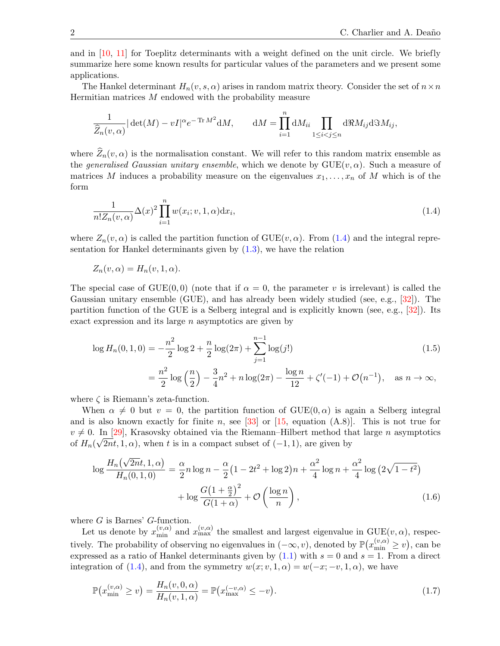and in [\[10,](#page-41-1) [11\]](#page-41-2) for Toeplitz determinants with a weight defined on the unit circle. We briefly summarize here some known results for particular values of the parameters and we present some applications.

The Hankel determinant  $H_n(v, s, \alpha)$  arises in random matrix theory. Consider the set of  $n \times n$ Hermitian matrices  $M$  endowed with the probability measure

$$
\frac{1}{\widehat{Z}_n(v,\alpha)}|\det(M)-vI|^{\alpha}e^{-\operatorname{Tr}M^2}dM, \qquad dM=\prod_{i=1}^n dM_{ii}\prod_{1\leq i
$$

where  $\widehat{Z}_n(v, \alpha)$  is the normalisation constant. We will refer to this random matrix ensemble as the generalised Gaussian unitary ensemble, which we denote by  $GUE(v, \alpha)$ . Such a measure of matrices M induces a probability measure on the eigenvalues  $x_1, \ldots, x_n$  of M which is of the form

<span id="page-2-1"></span>
$$
\frac{1}{n!Z_n(v,\alpha)}\Delta(x)^2 \prod_{i=1}^n w(x_i;v,1,\alpha) \mathrm{d}x_i,\tag{1.4}
$$

where  $Z_n(v, \alpha)$  is called the partition function of  $GUE(v, \alpha)$ . From [\(1.4\)](#page-1-0) and the integral representation for Hankel determinants given by  $(1.3)$ , we have the relation

$$
Z_n(v, \alpha) = H_n(v, 1, \alpha).
$$

The special case of GUE(0,0) (note that if  $\alpha = 0$ , the parameter v is irrelevant) is called the Gaussian unitary ensemble (GUE), and has already been widely studied (see, e.g., [\[32\]](#page-42-0)). The partition function of the GUE is a Selberg integral and is explicitly known (see, e.g., [\[32\]](#page-42-0)). Its exact expression and its large  $n$  asymptotics are given by

$$
\log H_n(0,1,0) = -\frac{n^2}{2}\log 2 + \frac{n}{2}\log(2\pi) + \sum_{j=1}^{n-1}\log(j!)
$$
\n
$$
= \frac{n^2}{2}\log\left(\frac{n}{2}\right) - \frac{3}{4}n^2 + n\log(2\pi) - \frac{\log n}{12} + \zeta'(-1) + \mathcal{O}(n^{-1}), \quad \text{as } n \to \infty,
$$
\n(1.5)

where  $\zeta$  is Riemann's zeta-function.

When  $\alpha \neq 0$  but  $v = 0$ , the partition function of GUE(0,  $\alpha$ ) is again a Selberg integral and is also known exactly for finite n, see [\[33\]](#page-42-1) or [\[15,](#page-41-3) equation  $(A.8)$ ]. This is not true for  $v \neq 0$ . In [\[29\]](#page-42-2), Krasovsky obtained via the Riemann–Hilbert method that large n asymptotics of  $H_n(\sqrt{2nt}, 1, \alpha)$ , when t is in a compact subset of  $(-1, 1)$ , are given by

<span id="page-2-2"></span>
$$
\log \frac{H_n(\sqrt{2n}t, 1, \alpha)}{H_n(0, 1, 0)} = \frac{\alpha}{2} n \log n - \frac{\alpha}{2} \left( 1 - 2t^2 + \log 2 \right) n + \frac{\alpha^2}{4} \log n + \frac{\alpha^2}{4} \log \left( 2\sqrt{1 - t^2} \right) + \log \frac{G \left( 1 + \frac{\alpha}{2} \right)^2}{G(1 + \alpha)} + \mathcal{O}\left(\frac{\log n}{n}\right),\tag{1.6}
$$

where  $G$  is Barnes'  $G$ -function.

Let us denote by  $x_{\min}^{(v,\alpha)}$  and  $x_{\max}^{(v,\alpha)}$  the smallest and largest eigenvalue in  $GUE(v,\alpha)$ , respectively. The probability of observing no eigenvalues in  $(-\infty, v)$ , denoted by  $\mathbb{P}(x_{\min}^{(v,\alpha)} \geq v)$ , can be expressed as a ratio of Hankel determinants given by  $(1.1)$  with  $s = 0$  and  $s = 1$ . From a direct integration of [\(1.4\)](#page-1-0), and from the symmetry  $w(x; v, 1, \alpha) = w(-x; -v, 1, \alpha)$ , we have

<span id="page-2-0"></span>
$$
\mathbb{P}\big(x_{\min}^{(v,\alpha)} \ge v\big) = \frac{H_n(v,0,\alpha)}{H_n(v,1,\alpha)} = \mathbb{P}\big(x_{\max}^{(-v,\alpha)} \le -v\big). \tag{1.7}
$$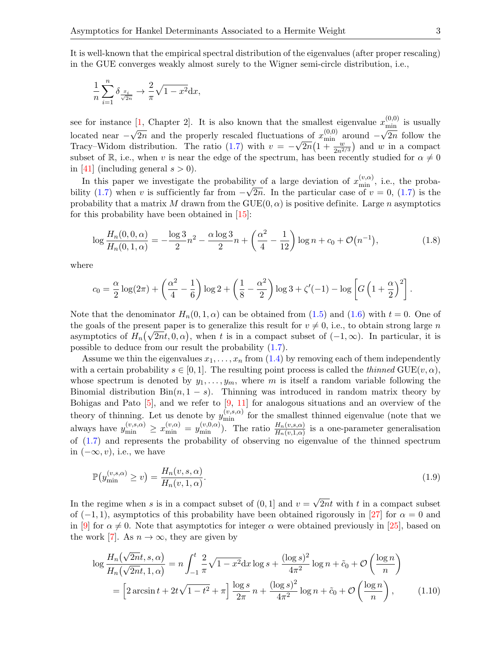It is well-known that the empirical spectral distribution of the eigenvalues (after proper rescaling) in the GUE converges weakly almost surely to the Wigner semi-circle distribution, i.e.,

$$
\frac{1}{n}\sum_{i=1}^{n}\delta_{\frac{x_i}{\sqrt{2n}}} \to \frac{2}{\pi}\sqrt{1-x^2}dx,
$$

see for instance [\[1,](#page-41-4) Chapter 2]. It is also known that the smallest eigenvalue  $x_{\min}^{(0,0)}$  is usually located near  $-\sqrt{2n}$  and the properly rescaled fluctuations of  $x_{\min}^{(0,0)}$  around  $-\sqrt{2n}$  follow the Tracy–Widom distribution. The ratio [\(1.7\)](#page-1-1) with  $v = -\sqrt{2n}(1 + \frac{w}{2n^{2/3}})$  and w in a compact subset of R, i.e., when v is near the edge of the spectrum, has been recently studied for  $\alpha \neq 0$ in [\[41\]](#page-42-3) (including general  $s > 0$ ).

In this paper we investigate the probability of a large deviation of  $x_{\min}^{(v,\alpha)}$ , i.e., the proba-bility [\(1.7\)](#page-1-1) when v is sufficiently far from  $-\sqrt{2n}$ . In the particular case of  $v = 0$ , (1.7) is the probability that a matrix M drawn from the  $GUE(0, \alpha)$  is positive definite. Large n asymptotics for this probability have been obtained in [\[15\]](#page-41-3):

$$
\log \frac{H_n(0,0,\alpha)}{H_n(0,1,\alpha)} = -\frac{\log 3}{2}n^2 - \frac{\alpha \log 3}{2}n + \left(\frac{\alpha^2}{4} - \frac{1}{12}\right) \log n + c_0 + \mathcal{O}(n^{-1}),\tag{1.8}
$$

where

<span id="page-3-0"></span>
$$
c_0 = \frac{\alpha}{2} \log(2\pi) + \left(\frac{\alpha^2}{4} - \frac{1}{6}\right) \log 2 + \left(\frac{1}{8} - \frac{\alpha^2}{2}\right) \log 3 + \zeta'(-1) - \log \left[G\left(1 + \frac{\alpha}{2}\right)^2\right].
$$

Note that the denominator  $H_n(0, 1, \alpha)$  can be obtained from [\(1.5\)](#page-1-2) and [\(1.6\)](#page-1-3) with  $t = 0$ . One of the goals of the present paper is to generalize this result for  $v \neq 0$ , i.e., to obtain strong large n asymptotics of  $H_n(\sqrt{2nt}, 0, \alpha)$ , when t is in a compact subset of  $(-1, \infty)$ . In particular, it is possible to deduce from our result the probability [\(1.7\)](#page-1-1).

Assume we thin the eigenvalues  $x_1, \ldots, x_n$  from [\(1.4\)](#page-1-0) by removing each of them independently with a certain probability  $s \in [0,1]$ . The resulting point process is called the *thinned* GUE $(v, \alpha)$ , whose spectrum is denoted by  $y_1, \ldots, y_m$ , where m is itself a random variable following the Binomial distribution  $Bin(n, 1-s)$ . Thinning was introduced in random matrix theory by Bohigas and Pato  $[5]$ , and we refer to  $[9, 11]$  $[9, 11]$  for analogous situations and an overview of the theory of thinning. Let us denote by  $y_{\min}^{(v,s,\alpha)}$  for the smallest thinned eigenvalue (note that we always have  $y_{\min}^{(v,s,\alpha)} \geq x_{\min}^{(v,\alpha)} = y_{\min}^{(v,0,\alpha)}$ . The ratio  $\frac{H_n(v,s,\alpha)}{H_n(v,1,\alpha)}$  is a one-parameter generalisation of [\(1.7\)](#page-1-1) and represents the probability of observing no eigenvalue of the thinned spectrum in  $(-\infty, v)$ , i.e., we have

<span id="page-3-2"></span><span id="page-3-1"></span>
$$
\mathbb{P}(y_{\min}^{(v,s,\alpha)} \ge v) = \frac{H_n(v,s,\alpha)}{H_n(v,1,\alpha)}.\tag{1.9}
$$

In the regime when s is in a compact subset of  $(0,1]$  and  $v = \sqrt{2nt}$  with t in a compact subset of  $(-1, 1)$ , asymptotics of this probability have been obtained rigorously in [\[27\]](#page-42-4) for  $\alpha = 0$  and in [\[9\]](#page-41-6) for  $\alpha \neq 0$ . Note that asymptotics for integer  $\alpha$  were obtained previously in [\[25\]](#page-42-5), based on the work [\[7\]](#page-41-7). As  $n \to \infty$ , they are given by

$$
\log \frac{H_n(\sqrt{2n}t, s, \alpha)}{H_n(\sqrt{2n}t, 1, \alpha)} = n \int_{-1}^t \frac{2}{\pi} \sqrt{1 - x^2} dx \log s + \frac{(\log s)^2}{4\pi^2} \log n + \tilde{c}_0 + \mathcal{O}\left(\frac{\log n}{n}\right)
$$
  
=  $\left[2 \arcsin t + 2t\sqrt{1 - t^2} + \pi\right] \frac{\log s}{2\pi} n + \frac{(\log s)^2}{4\pi^2} \log n + \tilde{c}_0 + \mathcal{O}\left(\frac{\log n}{n}\right),$  (1.10)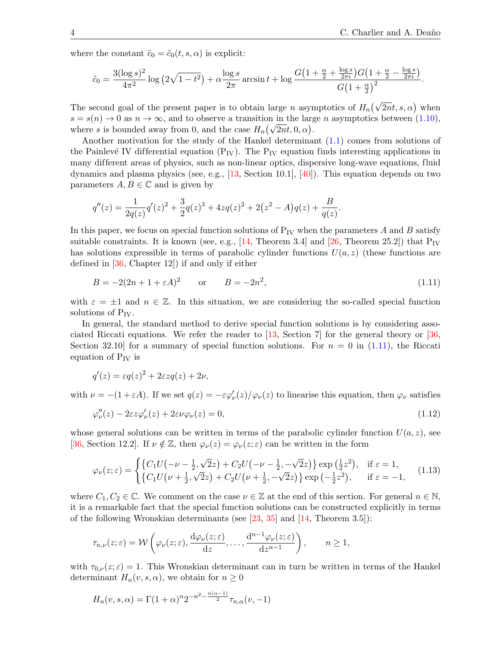where the constant  $\tilde{c}_0 = \tilde{c}_0(t, s, \alpha)$  is explicit:

<span id="page-4-3"></span><span id="page-4-1"></span>
$$
\tilde{c}_0 = \frac{3(\log s)^2}{4\pi^2} \log (2\sqrt{1-t^2}) + \alpha \frac{\log s}{2\pi} \arcsin t + \log \frac{G\left(1+\frac{\alpha}{2}+\frac{\log s}{2\pi i}\right)G\left(1+\frac{\alpha}{2}-\frac{\log s}{2\pi i}\right)}{G\left(1+\frac{\alpha}{2}\right)^2}.
$$

The second goal of the present paper is to obtain large n asymptotics of  $H_n(\sqrt{2n}t, s, \alpha)$  when  $s = s(n) \rightarrow 0$  as  $n \rightarrow \infty$ , and to observe a transition in the large n asymptotics between [\(1.10\)](#page-2-0), where s is bounded away from 0, and the case  $H_n(\sqrt{2n}t, 0, \alpha)$ .

Another motivation for the study of the Hankel determinant [\(1.1\)](#page-0-3) comes from solutions of the Painlevé IV differential equation  $(P_{IV})$ . The  $P_{IV}$  equation finds interesting applications in many dif ferent areas of physics, such as non-linear optics, dispersive long-wave equations, fluid dynamics and plasma physics (see, e.g.,  $[13, \text{Section 10.1}], [40]$  $[13, \text{Section 10.1}], [40]$ ). This equation depends on two parameters  $A, B \in \mathbb{C}$  and is given by

<span id="page-4-0"></span>
$$
q''(z) = \frac{1}{2q(z)}q'(z)^2 + \frac{3}{2}q(z)^3 + 4zq(z)^2 + 2(z^2 - A)q(z) + \frac{B}{q(z)}.
$$

In this paper, we focus on special function solutions of  $P_{IV}$  when the parameters A and B satisfy suitable constraints. It is known (see, e.g.,  $[14,$  Theorem 3.4] and  $[26,$  Theorem 25.2]) that  $P_{IV}$ has solutions expressible in terms of parabolic cylinder functions  $U(a, z)$  (these functions are defined in [\[36,](#page-42-8) Chapter 12]) if and only if either

$$
B = -2(2n + 1 + \varepsilon A)^2 \qquad \text{or} \qquad B = -2n^2,\tag{1.11}
$$

with  $\varepsilon = \pm 1$  and  $n \in \mathbb{Z}$ . In this situation, we are considering the so-called special function solutions of  $P_{IV}$ .

In general, the standard method to derive special function solutions is by considering associated Riccati equations. We refer the reader to  $\left[13, \text{Section 7}\right]$  for the general theory or  $\left[36, \text{$ Section 32.10 for a summary of special function solutions. For  $n = 0$  in [\(1.11\)](#page-3-0), the Riccati equation of  $P_{IV}$  is

$$
q'(z) = \varepsilon q(z)^2 + 2\varepsilon z q(z) + 2\nu,
$$

with  $\nu = -(1 + \varepsilon A)$ . If we set  $q(z) = -\varepsilon \varphi'_\nu(z)/\varphi_\nu(z)$  to linearise this equation, then  $\varphi_\nu$  satisfies

$$
\varphi_{\nu}''(z) - 2\varepsilon z \varphi_{\nu}'(z) + 2\varepsilon \nu \varphi_{\nu}(z) = 0, \tag{1.12}
$$

whose general solutions can be written in terms of the parabolic cylinder function  $U(a, z)$ , see [\[36,](#page-42-8) Section 12.2]. If  $\nu \notin \mathbb{Z}$ , then  $\varphi_{\nu}(z) = \varphi_{\nu}(z; \varepsilon)$  can be written in the form

$$
\varphi_{\nu}(z;\varepsilon) = \begin{cases} \{C_1U(-\nu - \frac{1}{2}, \sqrt{2}z) + C_2U(-\nu - \frac{1}{2}, -\sqrt{2}z)\} \exp\left(\frac{1}{2}z^2\right), & \text{if } \varepsilon = 1, \\ \{C_1U(\nu + \frac{1}{2}, \sqrt{2}z) + C_2U(\nu + \frac{1}{2}, -\sqrt{2}z)\} \exp\left(-\frac{1}{2}z^2\right), & \text{if } \varepsilon = -1, \end{cases} (1.13)
$$

<span id="page-4-2"></span>where  $C_1, C_2 \in \mathbb{C}$ . We comment on the case  $\nu \in \mathbb{Z}$  at the end of this section. For general  $n \in \mathbb{N}$ , it is a remarkable fact that the special function solutions can be constructed explicitly in terms of the following Wronskian determinants (see  $[23, 35]$  $[23, 35]$  and  $[14,$  Theorem 3.5]):

$$
\tau_{n,\nu}(z;\varepsilon) = \mathcal{W}\left(\varphi_{\nu}(z;\varepsilon),\frac{\mathrm{d}\varphi_{\nu}(z;\varepsilon)}{\mathrm{d}z},\ldots,\frac{\mathrm{d}^{n-1}\varphi_{\nu}(z;\varepsilon)}{\mathrm{d}z^{n-1}}\right), \qquad n \ge 1,
$$

with  $\tau_{0,\nu}(z;\varepsilon) = 1$ . This Wronskian determinant can in turn be written in terms of the Hankel determinant  $H_n(v, s, \alpha)$ , we obtain for  $n \geq 0$ 

$$
H_n(v, s, \alpha) = \Gamma(1+\alpha)^n 2^{-n^2 - \frac{n(\alpha-1)}{2}} \tau_{n,\alpha}(v, -1)
$$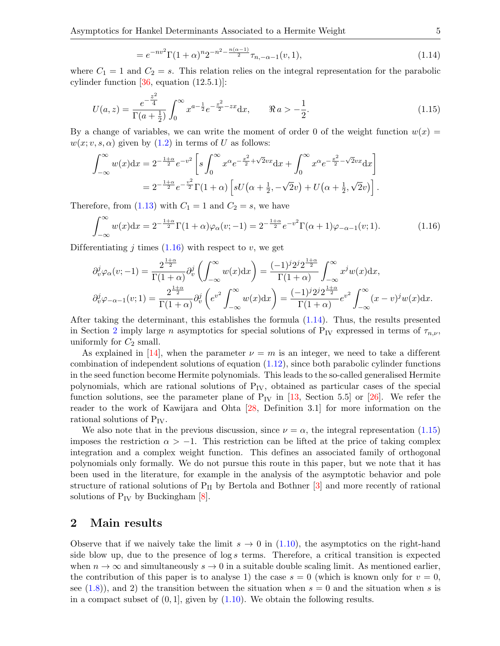<span id="page-5-6"></span><span id="page-5-5"></span><span id="page-5-2"></span><span id="page-5-0"></span>
$$
=e^{-nv^{2}}\Gamma(1+\alpha)^{n}2^{-n^{2}-\frac{n(\alpha-1)}{2}}\tau_{n,-\alpha-1}(v,1),
$$
\n(1.14)

<span id="page-5-1"></span>where  $C_1 = 1$  and  $C_2 = s$ . This relation relies on the integral representation for the parabolic cylinder function  $[36, \text{ equation } (12.5.1)]$ :

$$
U(a,z) = \frac{e^{-\frac{z^2}{4}}}{\Gamma(a+\frac{1}{2})} \int_0^\infty x^{a-\frac{1}{2}} e^{-\frac{x^2}{2} - zx} dx, \qquad \Re a > -\frac{1}{2}.
$$
 (1.15)

By a change of variables, we can write the moment of order 0 of the weight function  $w(x) =$  $w(x; v, s, \alpha)$  given by  $(1.2)$  in terms of U as follows:

$$
\int_{-\infty}^{\infty} w(x) dx = 2^{-\frac{1+\alpha}{2}} e^{-v^2} \left[ s \int_0^{\infty} x^{\alpha} e^{-\frac{x^2}{2} + \sqrt{2}vx} dx + \int_0^{\infty} x^{\alpha} e^{-\frac{x^2}{2} - \sqrt{2}vx} dx \right]
$$
  
=  $2^{-\frac{1+\alpha}{2}} e^{-\frac{v^2}{2}} \Gamma(1+\alpha) \left[ sU(\alpha + \frac{1}{2}, -\sqrt{2}v) + U(\alpha + \frac{1}{2}, \sqrt{2}v) \right].$ 

Therefore, from [\(1.13\)](#page-3-1) with  $C_1 = 1$  and  $C_2 = s$ , we have

$$
\int_{-\infty}^{\infty} w(x) dx = 2^{-\frac{1+\alpha}{2}} \Gamma(1+\alpha) \varphi_{\alpha}(v; -1) = 2^{-\frac{1+\alpha}{2}} e^{-v^2} \Gamma(\alpha+1) \varphi_{-\alpha-1}(v; 1).
$$
 (1.16)

Differentiating *i* times  $(1.16)$  with respect to *v*, we get

<span id="page-5-3"></span>
$$
\partial_v^j \varphi_\alpha(v; -1) = \frac{2^{\frac{1+\alpha}{2}}}{\Gamma(1+\alpha)} \partial_v^j \left( \int_{-\infty}^\infty w(x) dx \right) = \frac{(-1)^j 2^j 2^{\frac{1+\alpha}{2}}}{\Gamma(1+\alpha)} \int_{-\infty}^\infty x^j w(x) dx,
$$

$$
\partial_v^j \varphi_{-\alpha-1}(v; 1) = \frac{2^{\frac{1+\alpha}{2}}}{\Gamma(1+\alpha)} \partial_v^j \left( e^{v^2} \int_{-\infty}^\infty w(x) dx \right) = \frac{(-1)^j 2^j 2^{\frac{1+\alpha}{2}}}{\Gamma(1+\alpha)} e^{v^2} \int_{-\infty}^\infty (x-v)^j w(x) dx.
$$

After taking the determinant, this establishes the formula [\(1.14\)](#page-4-1). Thus, the results presented in Section [2](#page-4-2) imply large n asymptotics for special solutions of P<sub>IV</sub> expressed in terms of  $\tau_{n,\nu}$ , uniformly for  $C_2$  small.

As explained in [\[14\]](#page-41-9), when the parameter  $\nu = m$  is an integer, we need to take a different combination of independent solutions of equation [\(1.12\)](#page-3-2), since both parabolic cylinder functions in the seed function become Hermite polynomials. This leads to the so-called generalised Hermite polynomials, which are rational solutions of  $P_{IV}$ , obtained as particular cases of the special function solutions, see the parameter plane of  $P_{IV}$  in [\[13,](#page-41-8) Section 5.5] or [\[26\]](#page-42-7). We refer the reader to the work of Kawijara and Ohta [\[28,](#page-42-11) Definition 3.1] for more information on the rational solutions of  $P_{IV}$ .

We also note that in the previous discussion, since  $\nu = \alpha$ , the integral representation [\(1.15\)](#page-4-3) imposes the restriction  $\alpha > -1$ . This restriction can be lifted at the price of taking complex integration and a complex weight function. This defines an associated family of orthogonal polynomials only formally. We do not pursue this route in this paper, but we note that it has been used in the literature, for example in the analysis of the asymptotic behavior and pole structure of rational solutions of  $P_{II}$  by Bertola and Bothner  $[3]$  and more recently of rational solutions of  $P_{IV}$  by Buckingham [\[8\]](#page-41-11).

#### 2 Main results

<span id="page-5-4"></span>Observe that if we naively take the limit  $s \to 0$  in [\(1.10\)](#page-2-0), the asymptotics on the right-hand side blow up, due to the presence of  $\log s$  terms. Therefore, a critical transition is expected when  $n \to \infty$  and simultaneously  $s \to 0$  in a suitable double scaling limit. As mentioned earlier, the contribution of this paper is to analyse 1) the case  $s = 0$  (which is known only for  $v = 0$ , see  $(1.8)$ , and 2) the transition between the situation when  $s = 0$  and the situation when s is in a compact subset of  $(0, 1]$ , given by  $(1.10)$ . We obtain the following results.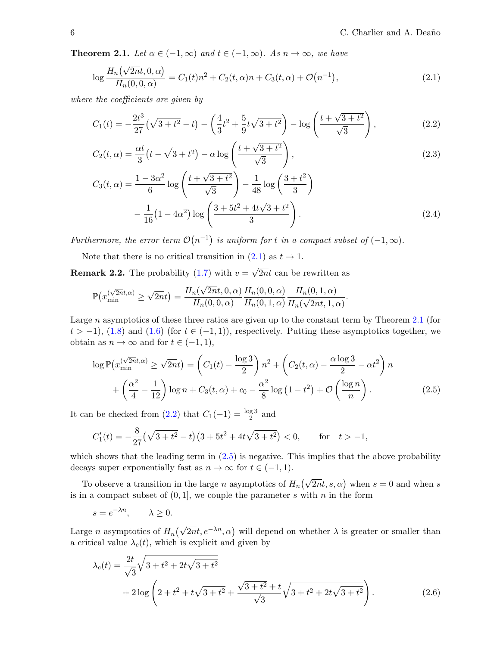<span id="page-6-1"></span>**Theorem 2.1.** Let  $\alpha \in (-1, \infty)$  and  $t \in (-1, \infty)$ . As  $n \to \infty$ , we have

$$
\log \frac{H_n(\sqrt{2n}t, 0, \alpha)}{H_n(0, 0, \alpha)} = C_1(t)n^2 + C_2(t, \alpha)n + C_3(t, \alpha) + \mathcal{O}(n^{-1}),
$$
\n(2.1)

where the coefficients are given by

<span id="page-6-0"></span>
$$
C_1(t) = -\frac{2t^3}{27}(\sqrt{3+t^2} - t) - \left(\frac{4}{3}t^2 + \frac{5}{9}t\sqrt{3+t^2}\right) - \log\left(\frac{t+\sqrt{3+t^2}}{\sqrt{3}}\right),\tag{2.2}
$$

$$
C_2(t,\alpha) = \frac{\alpha t}{3}(t - \sqrt{3+t^2}) - \alpha \log\left(\frac{t + \sqrt{3+t^2}}{\sqrt{3}}\right),\tag{2.3}
$$

<span id="page-6-2"></span>
$$
C_3(t,\alpha) = \frac{1 - 3\alpha^2}{6} \log\left(\frac{t + \sqrt{3 + t^2}}{\sqrt{3}}\right) - \frac{1}{48} \log\left(\frac{3 + t^2}{3}\right)
$$

$$
-\frac{1}{16} (1 - 4\alpha^2) \log\left(\frac{3 + 5t^2 + 4t\sqrt{3 + t^2}}{3}\right).
$$
(2.4)

Furthermore, the error term  $\mathcal{O}(n^{-1})$  is uniform for t in a compact subset of  $(-1,\infty)$ .

Note that there is no critical transition in  $(2.1)$  as  $t \to 1$ .

**Remark 2.2.** The probability [\(1.7\)](#page-1-1) with  $v = \sqrt{2nt}$  can be rewritten as

$$
\mathbb{P}\left(x_{\min}^{(\sqrt{2n}t,\alpha)} \ge \sqrt{2n}t\right) = \frac{H_n(\sqrt{2n}t,0,\alpha)}{H_n(0,0,\alpha)} \frac{H_n(0,0,\alpha)}{H_n(0,1,\alpha)} \frac{H_n(0,1,\alpha)}{H_n(\sqrt{2n}t,1,\alpha)}.
$$

<span id="page-6-5"></span>Large n asymptotics of these three ratios are given up to the constant term by Theorem [2.1](#page-5-1) (for  $t > -1$ , [\(1.8\)](#page-2-1) and [\(1.6\)](#page-1-3) (for  $t \in (-1, 1)$ ), respectively. Putting these asymptotics together, we obtain as  $n \to \infty$  and for  $t \in (-1, 1)$ ,

$$
\log \mathbb{P}(x_{\min}^{(\sqrt{2n}t,\alpha)} \ge \sqrt{2n}t) = \left(C_1(t) - \frac{\log 3}{2}\right)n^2 + \left(C_2(t,\alpha) - \frac{\alpha \log 3}{2} - \alpha t^2\right)n + \left(\frac{\alpha^2}{4} - \frac{1}{12}\right)\log n + C_3(t,\alpha) + c_0 - \frac{\alpha^2}{8}\log\left(1 - t^2\right) + \mathcal{O}\left(\frac{\log n}{n}\right).
$$
 (2.5)

It can be checked from  $(2.2)$  that  $C_1(-1) = \frac{\log 3}{2}$  and

<span id="page-6-3"></span>
$$
C_1'(t) = -\frac{8}{27} \left(\sqrt{3+t^2} - t\right) \left(3 + 5t^2 + 4t\sqrt{3+t^2}\right) < 0, \qquad \text{for} \quad t > -1,
$$

which shows that the leading term in  $(2.5)$  is negative. This implies that the above probability decays super exponentially fast as  $n \to \infty$  for  $t \in (-1, 1)$ .

To observe a transition in the large n asymptotics of  $H_n(\sqrt{2n}t, s, \alpha)$  when  $s = 0$  and when s is in a compact subset of  $(0, 1]$ , we couple the parameter s with n in the form

<span id="page-6-4"></span>
$$
s = e^{-\lambda n}, \qquad \lambda \ge 0.
$$

Large *n* asymptotics of  $H_n(\sqrt{2n}t, e^{-\lambda n}, \alpha)$  will depend on whether  $\lambda$  is greater or smaller than a critical value  $\lambda_c(t)$ , which is explicit and given by

<span id="page-6-6"></span>
$$
\lambda_c(t) = \frac{2t}{\sqrt{3}} \sqrt{3 + t^2 + 2t\sqrt{3 + t^2}} \n+ 2\log\left(2 + t^2 + t\sqrt{3 + t^2} + \frac{\sqrt{3 + t^2} + t}{\sqrt{3}}\sqrt{3 + t^2 + 2t\sqrt{3 + t^2}}\right).
$$
\n(2.6)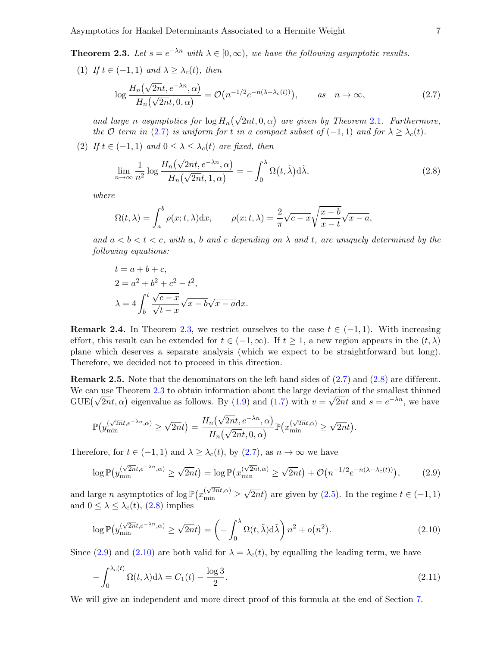**Theorem 2.3.** Let  $s = e^{-\lambda n}$  with  $\lambda \in [0, \infty)$ , we have the following asymptotic results.

(1) If  $t \in (-1,1)$  and  $\lambda \geq \lambda_c(t)$ , then

$$
\log \frac{H_n(\sqrt{2n}t, e^{-\lambda n}, \alpha)}{H_n(\sqrt{2n}t, 0, \alpha)} = \mathcal{O}\big(n^{-1/2}e^{-n(\lambda - \lambda_c(t))}\big), \qquad as \quad n \to \infty,
$$
\n(2.7)

and large n asymptotics for  $\log H_n(\sqrt{2n}t, 0, \alpha)$  are given by Theorem [2.1](#page-5-1). Furthermore, the  $\mathcal O$  term in [\(2.7\)](#page-6-0) is uniform for t in a compact subset of (-1, 1) and for  $\lambda \geq \lambda_c(t)$ .

(2) If  $t \in (-1,1)$  and  $0 \leq \lambda \leq \lambda_c(t)$  are fixed, then

$$
\lim_{n \to \infty} \frac{1}{n^2} \log \frac{H_n(\sqrt{2n}t, e^{-\lambda n}, \alpha)}{H_n(\sqrt{2n}t, 1, \alpha)} = -\int_0^\lambda \Omega(t, \tilde{\lambda}) d\tilde{\lambda},\tag{2.8}
$$

where

$$
\Omega(t,\lambda) = \int_a^b \rho(x;t,\lambda) dx, \qquad \rho(x;t,\lambda) = \frac{2}{\pi} \sqrt{c-x} \sqrt{\frac{x-b}{x-t}} \sqrt{x-a},
$$

<span id="page-7-0"></span>and  $a < b < t < c$ , with a, b and c depending on  $\lambda$  and t, are uniquely determined by the following equations:

<span id="page-7-1"></span>
$$
t = a + b + c,
$$
  
\n
$$
2 = a2 + b2 + c2 - t2,
$$
  
\n
$$
\lambda = 4 \int_b^t \frac{\sqrt{c - x}}{\sqrt{t - x}} \sqrt{x - b} \sqrt{x - a} dx.
$$

**Remark 2.4.** In Theorem [2.3,](#page-6-1) we restrict ourselves to the case  $t \in (-1, 1)$ . With increasing effort, this result can be extended for  $t \in (-1, \infty)$ . If  $t \geq 1$ , a new region appears in the  $(t, \lambda)$ plane which deserves a separate analysis (which we expect to be straightforward but long). Therefore, we decided not to proceed in this direction.

**Remark 2.5.** Note that the denominators on the left hand sides of  $(2.7)$  and  $(2.8)$  are different. We can use Theorem [2.3](#page-6-1) to obtain information about the large deviation of the smallest thinned GUE( $\sqrt{2nt}$ ,  $\alpha$ ) eigenvalue as follows. By [\(1.9\)](#page-2-2) and [\(1.7\)](#page-1-1) with  $v = \sqrt{2nt}$  and  $s = e^{-\lambda n}$ , we have

<span id="page-7-3"></span>
$$
\mathbb{P}(y_{\min}^{(\sqrt{2n}t,e^{-\lambda n},\alpha)} \ge \sqrt{2n}t) = \frac{H_n(\sqrt{2n}t,e^{-\lambda n},\alpha)}{H_n(\sqrt{2n}t,0,\alpha)}\mathbb{P}(x_{\min}^{(\sqrt{2n}t,\alpha)} \ge \sqrt{2n}t).
$$

Therefore, for  $t \in (-1,1)$  and  $\lambda \geq \lambda_c(t)$ , by  $(2.7)$ , as  $n \to \infty$  we have

<span id="page-7-2"></span>
$$
\log \mathbb{P}\big(y_{\min}^{(\sqrt{2n}t, e^{-\lambda n}, \alpha)} \ge \sqrt{2n}t\big) = \log \mathbb{P}\big(x_{\min}^{(\sqrt{2n}t, \alpha)} \ge \sqrt{2n}t\big) + \mathcal{O}\big(n^{-1/2}e^{-n(\lambda - \lambda_c(t))}\big),\tag{2.9}
$$

and large *n* asymptotics of  $\log \mathbb{P}\left(x_{\min}^{(\sqrt{2n}t,\alpha)}\geq 0\right)$  $\sqrt{2nt}$  are given by [\(2.5\)](#page-5-3). In the regime  $t \in (-1, 1)$ and  $0 \leq \lambda \leq \lambda_c(t)$ , [\(2.8\)](#page-6-2) implies

<span id="page-7-5"></span>
$$
\log \mathbb{P}\left(y_{\min}^{(\sqrt{2n}t, e^{-\lambda n}, \alpha)} \ge \sqrt{2n}t\right) = \left(-\int_0^{\lambda} \Omega(t, \tilde{\lambda}) d\tilde{\lambda}\right) n^2 + o(n^2). \tag{2.10}
$$

Since [\(2.9\)](#page-6-3) and [\(2.10\)](#page-6-4) are both valid for  $\lambda = \lambda_c(t)$ , by equalling the leading term, we have

<span id="page-7-4"></span>
$$
-\int_0^{\lambda_c(t)} \Omega(t,\lambda) d\lambda = C_1(t) - \frac{\log 3}{2}.\tag{2.11}
$$

We will give an independent and more direct proof of this formula at the end of Section [7.](#page-31-0)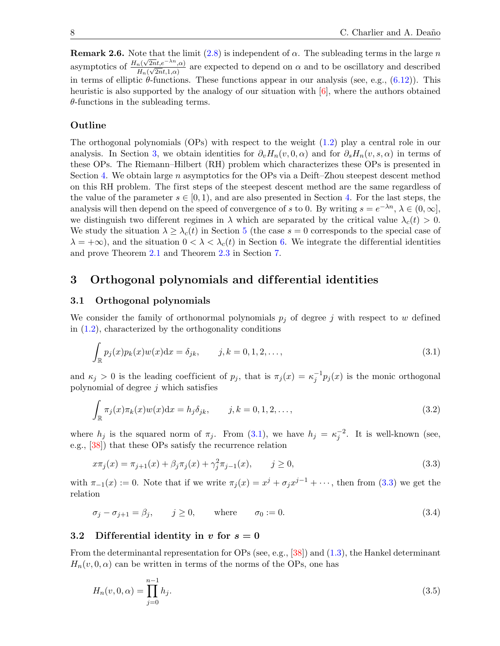**Remark 2.6.** Note that the limit  $(2.8)$  is independent of  $\alpha$ . The subleading terms in the large n asymptotics of  $\frac{H_n(\sqrt{2n}t, e^{-\lambda n}, \alpha)}{H_n(\sqrt{2n}t, 1, \alpha)}$  $\frac{H_n(\sqrt{2nt},e^{\alpha}-1,\alpha)}{H_n(\sqrt{2nt},1,\alpha)}$  are expected to depend on  $\alpha$  and to be oscillatory and described in terms of elliptic  $\theta$ -functions. These functions appear in our analysis (see, e.g.,  $(6.12)$ ). This heuristic is also supported by the analogy of our situation with [\[6\]](#page-41-0), where the authors obtained  $\theta$ -functions in the subleading terms.

#### Outline

The orthogonal polynomials (OPs) with respect to the weight [\(1.2\)](#page-0-1) play a central role in our analysis. In Section [3,](#page-7-0) we obtain identities for  $\partial_v H_n(v, 0, \alpha)$  and for  $\partial_s H_n(v, s, \alpha)$  in terms of these OPs. The Riemann–Hilbert (RH) problem which characterizes these OPs is presented in Section [4.](#page-9-0) We obtain large n asymptotics for the OPs via a Deift–Zhou steepest descent method on this RH problem. The first steps of the steepest descent method are the same regardless of the value of the parameter  $s \in [0, 1)$ , and are also presented in Section [4.](#page-9-0) For the last steps, the analysis will then depend on the speed of convergence of s to 0. By writing  $s = e^{-\lambda n}, \lambda \in (0, \infty],$ we distinguish two different regimes in  $\lambda$  which are separated by the critical value  $\lambda_c(t) > 0$ . We study the situation  $\lambda \geq \lambda_c(t)$  in Section [5](#page-15-0) (the case  $s = 0$  corresponds to the special case of  $\lambda = +\infty$ ), and the situation  $0 < \lambda < \lambda_c(t)$  in Section [6.](#page-25-0) We integrate the differential identities and prove Theorem [2.1](#page-5-1) and Theorem [2.3](#page-6-1) in Section [7.](#page-31-0)

### 3 Orthogonal polynomials and dif ferential identities

#### 3.1 Orthogonal polynomials

We consider the family of orthonormal polynomials  $p_j$  of degree j with respect to w defined in  $(1.2)$ , characterized by the orthogonality conditions

<span id="page-8-1"></span>
$$
\int_{\mathbb{R}} p_j(x) p_k(x) w(x) dx = \delta_{jk}, \qquad j, k = 0, 1, 2, \dots,
$$
\n(3.1)

and  $\kappa_j > 0$  is the leading coefficient of  $p_j$ , that is  $\pi_j(x) = \kappa_j^{-1} p_j(x)$  is the monic orthogonal polynomial of degree  $j$  which satisfies

$$
\int_{\mathbb{R}} \pi_j(x)\pi_k(x)w(x)dx = h_j\delta_{jk}, \qquad j, k = 0, 1, 2, \dots,
$$
\n(3.2)

where  $h_j$  is the squared norm of  $\pi_j$ . From [\(3.1\)](#page-7-1), we have  $h_j = \kappa_j^{-2}$ . It is well-known (see, e.g., [\[38\]](#page-42-12)) that these OPs satisfy the recurrence relation

<span id="page-8-2"></span>
$$
x\pi_j(x) = \pi_{j+1}(x) + \beta_j \pi_j(x) + \gamma_j^2 \pi_{j-1}(x), \qquad j \ge 0,
$$
\n(3.3)

with  $\pi_{-1}(x) := 0$ . Note that if we write  $\pi_j(x) = x^j + \sigma_j x^{j-1} + \cdots$ , then from [\(3.3\)](#page-7-2) we get the relation

 $\sigma_j - \sigma_{j+1} = \beta_j, \quad j \ge 0, \quad \text{where} \quad \sigma_0 := 0.$  (3.4)

#### 3.2 Differential identity in v for  $s = 0$

From the determinantal representation for OPs (see, e.g., [\[38\]](#page-42-12)) and [\(1.3\)](#page-0-2), the Hankel determinant  $H_n(v, 0, \alpha)$  can be written in terms of the norms of the OPs, one has

<span id="page-8-0"></span>
$$
H_n(v,0,\alpha) = \prod_{j=0}^{n-1} h_j.
$$
\n(3.5)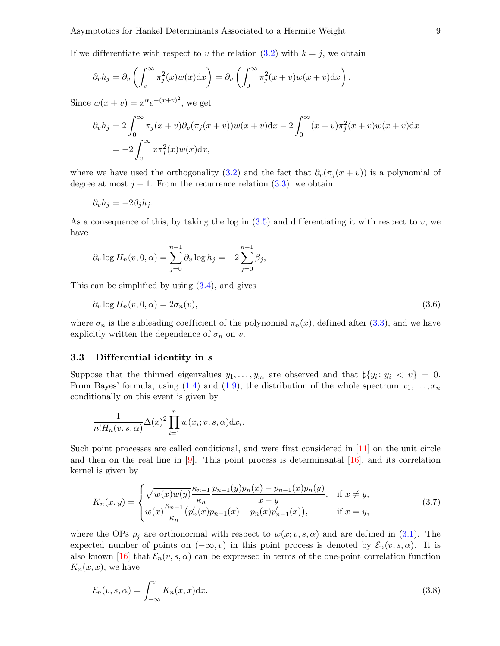If we differentiate with respect to v the relation  $(3.2)$  with  $k = j$ , we obtain

$$
\partial_v h_j = \partial_v \left( \int_v^\infty \pi_j^2(x) w(x) dx \right) = \partial_v \left( \int_0^\infty \pi_j^2(x+v) w(x+v) dx \right).
$$

Since  $w(x + v) = x^{\alpha} e^{-(x+v)^2}$ , we get

$$
\partial_v h_j = 2 \int_0^\infty \pi_j(x+v) \partial_v(\pi_j(x+v)) w(x+v) dx - 2 \int_0^\infty (x+v) \pi_j^2(x+v) w(x+v) dx
$$
  
= 
$$
-2 \int_v^\infty x \pi_j^2(x) w(x) dx,
$$

where we have used the orthogonality [\(3.2\)](#page-7-3) and the fact that  $\partial_v(\pi_i(x + v))$  is a polynomial of degree at most  $j - 1$ . From the recurrence relation [\(3.3\)](#page-7-2), we obtain

$$
\partial_v h_j = -2\beta_j h_j.
$$

As a consequence of this, by taking the log in  $(3.5)$  and differentiating it with respect to v, we have

$$
\partial_v \log H_n(v, 0, \alpha) = \sum_{j=0}^{n-1} \partial_v \log h_j = -2 \sum_{j=0}^{n-1} \beta_j,
$$

This can be simplified by using [\(3.4\)](#page-7-5), and gives

<span id="page-9-4"></span><span id="page-9-1"></span>
$$
\partial_v \log H_n(v, 0, \alpha) = 2\sigma_n(v),\tag{3.6}
$$

where  $\sigma_n$  is the subleading coefficient of the polynomial  $\pi_n(x)$ , defined after [\(3.3\)](#page-7-2), and we have explicitly written the dependence of  $\sigma_n$  on v.

#### <span id="page-9-0"></span>3.3 Differential identity in s

Suppose that the thinned eigenvalues  $y_1, \ldots, y_m$  are observed and that  $\sharp \{y_i : y_i \leq v\} = 0$ . From Bayes' formula, using [\(1.4\)](#page-1-0) and [\(1.9\)](#page-2-2), the distribution of the whole spectrum  $x_1, \ldots, x_n$ conditionally on this event is given by

<span id="page-9-2"></span>
$$
\frac{1}{n!H_n(v,s,\alpha)}\Delta(x)^2\prod_{i=1}^n w(x_i;v,s,\alpha)\mathrm{d}x_i.
$$

Such point processes are called conditional, and were first considered in [\[11\]](#page-41-2) on the unit circle and then on the real line in  $[9]$ . This point process is determinantal  $[16]$ , and its correlation kernel is given by

$$
K_n(x,y) = \begin{cases} \sqrt{w(x)w(y)} \frac{\kappa_{n-1}}{\kappa_n} \frac{p_{n-1}(y)p_n(x) - p_{n-1}(x)p_n(y)}{x - y}, & \text{if } x \neq y, \\ w(x) \frac{\kappa_{n-1}}{\kappa_n} (p'_n(x)p_{n-1}(x) - p_n(x)p'_{n-1}(x)), & \text{if } x = y, \end{cases}
$$
(3.7)

where the OPs  $p_i$  are orthonormal with respect to  $w(x; v, s, \alpha)$  and are defined in [\(3.1\)](#page-7-1). The expected number of points on  $(-\infty, v)$  in this point process is denoted by  $\mathcal{E}_n(v, s, \alpha)$ . It is also known [\[16\]](#page-41-12) that  $\mathcal{E}_n(v, s, \alpha)$  can be expressed in terms of the one-point correlation function  $K_n(x, x)$ , we have

<span id="page-9-3"></span>
$$
\mathcal{E}_n(v,s,\alpha) = \int_{-\infty}^v K_n(x,x) \mathrm{d}x. \tag{3.8}
$$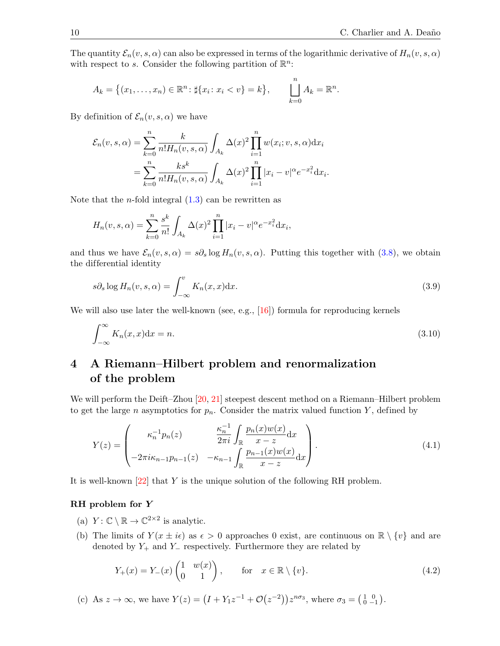The quantity  $\mathcal{E}_n(v, s, \alpha)$  can also be expressed in terms of the logarithmic derivative of  $H_n(v, s, \alpha)$ with respect to s. Consider the following partition of  $\mathbb{R}^n$ :

$$
A_k = \{(x_1, \ldots, x_n) \in \mathbb{R}^n : \sharp \{x_i \colon x_i < v\} = k\}, \qquad \bigsqcup_{k=0}^n A_k = \mathbb{R}^n.
$$

By definition of  $\mathcal{E}_n(v, s, \alpha)$  we have

<span id="page-10-2"></span>
$$
\mathcal{E}_n(v, s, \alpha) = \sum_{k=0}^n \frac{k}{n! H_n(v, s, \alpha)} \int_{A_k} \Delta(x)^2 \prod_{i=1}^n w(x_i; v, s, \alpha) dx_i
$$
  
= 
$$
\sum_{k=0}^n \frac{k s^k}{n! H_n(v, s, \alpha)} \int_{A_k} \Delta(x)^2 \prod_{i=1}^n |x_i - v|^\alpha e^{-x_i^2} dx_i.
$$

Note that the *n*-fold integral  $(1.3)$  can be rewritten as

<span id="page-10-1"></span>
$$
H_n(v, s, \alpha) = \sum_{k=0}^n \frac{s^k}{n!} \int_{A_k} \Delta(x)^2 \prod_{i=1}^n |x_i - v|^\alpha e^{-x_i^2} dx_i,
$$

and thus we have  $\mathcal{E}_n(v, s, \alpha) = s\partial_s \log H_n(v, s, \alpha)$ . Putting this together with [\(3.8\)](#page-8-0), we obtain the differential identity

$$
s\partial_s \log H_n(v, s, \alpha) = \int_{-\infty}^v K_n(x, x) \mathrm{d}x. \tag{3.9}
$$

We will also use later the well-known (see, e.g., [\[16\]](#page-41-12)) formula for reproducing kernels

$$
\int_{-\infty}^{\infty} K_n(x, x) \mathrm{d}x = n. \tag{3.10}
$$

# 4 A Riemann–Hilbert problem and renormalization of the problem

We will perform the Deift-Zhou [\[20,](#page-42-13) [21\]](#page-42-14) steepest descent method on a Riemann-Hilbert problem to get the large n asymptotics for  $p_n$ . Consider the matrix valued function Y, defined by

$$
Y(z) = \begin{pmatrix} \kappa_n^{-1} p_n(z) & \frac{\kappa_n^{-1}}{2\pi i} \int_{\mathbb{R}} \frac{p_n(x)w(x)}{x - z} dx \\ -2\pi i \kappa_{n-1} p_{n-1}(z) & -\kappa_{n-1} \int_{\mathbb{R}} \frac{p_{n-1}(x)w(x)}{x - z} dx \end{pmatrix}.
$$
 (4.1)

It is well-known  $[22]$  that Y is the unique solution of the following RH problem.

#### RH problem for Y

- (a)  $Y: \mathbb{C} \setminus \mathbb{R} \to \mathbb{C}^{2 \times 2}$  is analytic.
- (b) The limits of  $Y(x \pm i\epsilon)$  as  $\epsilon > 0$  approaches 0 exist, are continuous on  $\mathbb{R} \setminus \{v\}$  and are denoted by  $Y_+$  and  $Y_-\$  respectively. Furthermore they are related by

<span id="page-10-3"></span><span id="page-10-0"></span>
$$
Y_{+}(x) = Y_{-}(x) \begin{pmatrix} 1 & w(x) \\ 0 & 1 \end{pmatrix}, \quad \text{for} \quad x \in \mathbb{R} \setminus \{v\}. \tag{4.2}
$$

(c) As 
$$
z \to \infty
$$
, we have  $Y(z) = (I + Y_1 z^{-1} + \mathcal{O}(z^{-2})) z^{n\sigma_3}$ , where  $\sigma_3 = \begin{pmatrix} 1 & 0 \\ 0 & -1 \end{pmatrix}$ .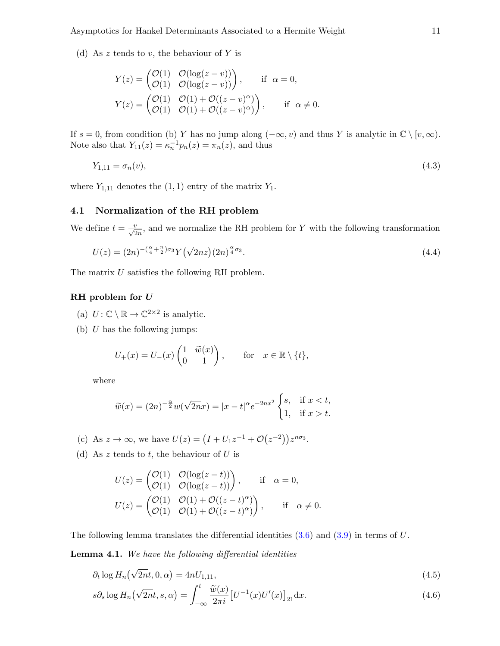(d) As z tends to v, the behaviour of Y is

$$
Y(z) = \begin{pmatrix} \mathcal{O}(1) & \mathcal{O}(\log(z - v)) \\ \mathcal{O}(1) & \mathcal{O}(\log(z - v)) \end{pmatrix}, \quad \text{if } \alpha = 0,
$$
  

$$
Y(z) = \begin{pmatrix} \mathcal{O}(1) & \mathcal{O}(1) + \mathcal{O}((z - v)^{\alpha}) \\ \mathcal{O}(1) & \mathcal{O}(1) + \mathcal{O}((z - v)^{\alpha}) \end{pmatrix}, \quad \text{if } \alpha \neq 0.
$$

<span id="page-11-4"></span>If  $s = 0$ , from condition (b) Y has no jump along  $(-\infty, v)$  and thus Y is analytic in  $\mathbb{C} \setminus [v, \infty)$ . Note also that  $Y_{11}(z) = \kappa_n^{-1} p_n(z) = \pi_n(z)$ , and thus

$$
Y_{1,11} = \sigma_n(v), \tag{4.3}
$$

where  $Y_{1,11}$  denotes the  $(1,1)$  entry of the matrix  $Y_1$ .

#### 4.1 Normalization of the RH problem

We define  $t = \frac{v}{\sqrt{2n}}$ , and we normalize the RH problem for Y with the following transformation

$$
U(z) = (2n)^{-(\frac{\alpha}{4} + \frac{n}{2})\sigma_3} Y(\sqrt{2n}z)(2n)^{\frac{\alpha}{4}\sigma_3}.
$$
\n(4.4)

The matrix U satisfies the following RH problem.

#### RH problem for U

- (a)  $U: \mathbb{C} \setminus \mathbb{R} \to \mathbb{C}^{2 \times 2}$  is analytic.
- (b)  $U$  has the following jumps:

$$
U_{+}(x) = U_{-}(x) \begin{pmatrix} 1 & \widetilde{w}(x) \\ 0 & 1 \end{pmatrix}, \quad \text{for} \quad x \in \mathbb{R} \setminus \{t\},
$$

where

<span id="page-11-2"></span><span id="page-11-1"></span>
$$
\widetilde{w}(x) = (2n)^{-\frac{\alpha}{2}}w(\sqrt{2n}x) = |x - t|^{\alpha}e^{-2nx^2} \begin{cases} s, & \text{if } x < t, \\ 1, & \text{if } x > t. \end{cases}
$$

(c) As  $z \to \infty$ , we have  $U(z) = (I + U_1 z^{-1} + \mathcal{O}(z^{-2})) z^{n\sigma_3}$ .

<span id="page-11-0"></span>(d) As  $z$  tends to  $t$ , the behaviour of  $U$  is

<span id="page-11-3"></span>
$$
U(z) = \begin{pmatrix} \mathcal{O}(1) & \mathcal{O}(\log(z-t)) \\ \mathcal{O}(1) & \mathcal{O}(\log(z-t)) \end{pmatrix}, \quad \text{if} \quad \alpha = 0,
$$
  

$$
U(z) = \begin{pmatrix} \mathcal{O}(1) & \mathcal{O}(1) + \mathcal{O}((z-t)^{\alpha}) \\ \mathcal{O}(1) & \mathcal{O}(1) + \mathcal{O}((z-t)^{\alpha}) \end{pmatrix}, \quad \text{if} \quad \alpha \neq 0.
$$

The following lemma translates the differential identities  $(3.6)$  and  $(3.9)$  in terms of U.

Lemma 4.1. We have the following differential identities

$$
\partial_t \log H_n(\sqrt{2n}t, 0, \alpha) = 4nU_{1,11},\tag{4.5}
$$

$$
s\partial_s \log H_n(\sqrt{2nt}, s, \alpha) = \int_{-\infty}^t \frac{\widetilde{w}(x)}{2\pi i} \left[ U^{-1}(x) U'(x) \right]_{21} \mathrm{d}x. \tag{4.6}
$$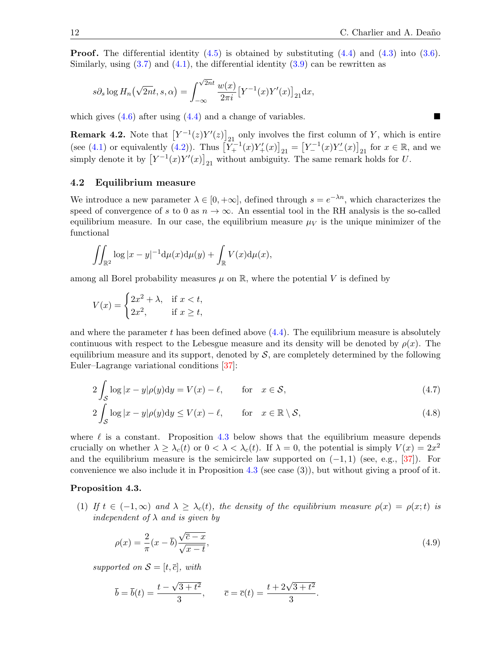**Proof.** The differential identity  $(4.5)$  is obtained by substituting  $(4.4)$  and  $(4.3)$  into  $(3.6)$ . Similarly, using  $(3.7)$  and  $(4.1)$ , the differential identity  $(3.9)$  can be rewritten as

<span id="page-12-6"></span><span id="page-12-4"></span>
$$
s\partial_s \log H_n(\sqrt{2n}t, s, \alpha) = \int_{-\infty}^{\sqrt{2n}t} \frac{w(x)}{2\pi i} \left[ Y^{-1}(x) Y'(x) \right]_{21} dx,
$$

which gives  $(4.6)$  after using  $(4.4)$  and a change of variables.

**Remark 4.2.** Note that  $[Y^{-1}(z)Y'(z)]_{21}$  only involves the first column of Y, which is entire  $(\text{see } (4.1) \text{ or equivalently } (4.2)).$  $(\text{see } (4.1) \text{ or equivalently } (4.2)).$  $(\text{see } (4.1) \text{ or equivalently } (4.2)).$  $(\text{see } (4.1) \text{ or equivalently } (4.2)).$  $(\text{see } (4.1) \text{ or equivalently } (4.2)).$  Thus  $\left[Y_{+}^{-1}(x)Y_{+}'(x)\right]_{21} = \left[Y_{-}^{-1}(x)Y_{-}'(x)\right]_{21}$  for  $x \in \mathbb{R}$ , and we simply denote it by  $[Y^{-1}(x)Y'(x)]_{21}$  without ambiguity. The same remark holds for U.

#### 4.2 Equilibrium measure

We introduce a new parameter  $\lambda \in [0, +\infty]$ , defined through  $s = e^{-\lambda n}$ , which characterizes the speed of convergence of s to 0 as  $n \to \infty$ . An essential tool in the RH analysis is the so-called equilibrium measure. In our case, the equilibrium measure  $\mu_V$  is the unique minimizer of the functional

<span id="page-12-2"></span><span id="page-12-0"></span>
$$
\iint_{\mathbb{R}^2} \log |x - y|^{-1} \mathrm{d}\mu(x) \mathrm{d}\mu(y) + \int_{\mathbb{R}} V(x) \mathrm{d}\mu(x),
$$

among all Borel probability measures  $\mu$  on  $\mathbb{R}$ , where the potential V is defined by

<span id="page-12-1"></span>
$$
V(x) = \begin{cases} 2x^2 + \lambda, & \text{if } x < t, \\ 2x^2, & \text{if } x \ge t, \end{cases}
$$

and where the parameter t has been defined above  $(4.4)$ . The equilibrium measure is absolutely continuous with respect to the Lebesgue measure and its density will be denoted by  $\rho(x)$ . The equilibrium measure and its support, denoted by  $S$ , are completely determined by the following Euler–Lagrange variational conditions [\[37\]](#page-42-16):

<span id="page-12-5"></span>
$$
2\int_{\mathcal{S}} \log|x - y|\rho(y)dy = V(x) - \ell, \quad \text{for} \quad x \in \mathcal{S},
$$
\n(4.7)

$$
2\int_{\mathcal{S}}\log|x-y|\rho(y)dy \le V(x) - \ell, \qquad \text{for} \quad x \in \mathbb{R} \setminus \mathcal{S},\tag{4.8}
$$

where  $\ell$  is a constant. Proposition [4.3](#page-11-0) below shows that the equilibrium measure depends crucially on whether  $\lambda \geq \lambda_c(t)$  or  $0 < \lambda < \lambda_c(t)$ . If  $\lambda = 0$ , the potential is simply  $V(x) = 2x^2$ and the equilibrium measure is the semicircle law supported on  $(-1, 1)$  (see, e.g., [\[37\]](#page-42-16)). For convenience we also include it in Proposition [4.3](#page-11-0) (see case  $(3)$ ), but without giving a proof of it.

#### Proposition 4.3.

(1) If  $t \in (-1,\infty)$  and  $\lambda \geq \lambda_c(t)$ , the density of the equilibrium measure  $\rho(x) = \rho(x;t)$  is independent of  $\lambda$  and is given by

<span id="page-12-7"></span><span id="page-12-3"></span>
$$
\rho(x) = \frac{2}{\pi}(x - \overline{b})\frac{\sqrt{\overline{c} - x}}{\sqrt{x - t}},\tag{4.9}
$$

supported on  $S = [t, \overline{c}]$ , with

$$
\overline{b} = \overline{b}(t) = \frac{t - \sqrt{3 + t^2}}{3}
$$
,  $\overline{c} = \overline{c}(t) = \frac{t + 2\sqrt{3 + t^2}}{3}$ .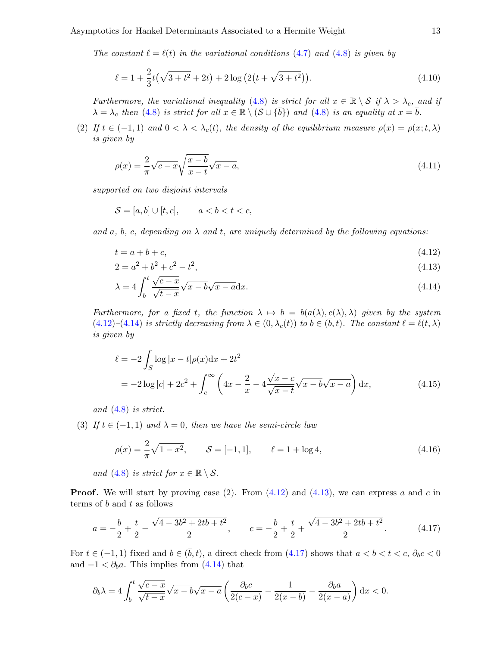The constant  $\ell = \ell(t)$  in the variational conditions [\(4.7\)](#page-11-1) and [\(4.8\)](#page-11-2) is given by

<span id="page-13-0"></span>
$$
\ell = 1 + \frac{2}{3}t(\sqrt{3+t^2} + 2t) + 2\log\left(2\left(t + \sqrt{3+t^2}\right)\right).
$$
 (4.10)

Furthermore, the variational inequality [\(4.8\)](#page-11-2) is strict for all  $x \in \mathbb{R} \setminus S$  if  $\lambda > \lambda_c$ , and if  $\lambda = \lambda_c$  then [\(4.8\)](#page-11-2) is strict for all  $x \in \mathbb{R} \setminus (\mathcal{S} \cup {\overline{b}})$  and (4.8) is an equality at  $x = \overline{b}$ .

(2) If  $t \in (-1,1)$  and  $0 < \lambda < \lambda_c(t)$ , the density of the equilibrium measure  $\rho(x) = \rho(x;t,\lambda)$ is given by

$$
\rho(x) = \frac{2}{\pi} \sqrt{c - x} \sqrt{\frac{x - b}{x - t}} \sqrt{x - a},\tag{4.11}
$$

supported on two disjoint intervals

$$
S = [a, b] \cup [t, c], \qquad a < b < t < c,
$$

and a, b, c, depending on  $\lambda$  and t, are uniquely determined by the following equations:

$$
t = a + b + c,\tag{4.12}
$$

$$
2 = a^2 + b^2 + c^2 - t^2,\tag{4.13}
$$

$$
\lambda = 4 \int_b^t \frac{\sqrt{c-x}}{\sqrt{t-x}} \sqrt{x-b} \sqrt{x-a} \, dx. \tag{4.14}
$$

Furthermore, for a fixed t, the function  $\lambda \mapsto b = b(a(\lambda), c(\lambda), \lambda)$  given by the system  $(4.12)-(4.14)$  $(4.12)-(4.14)$  $(4.12)-(4.14)$  is strictly decreasing from  $\lambda \in (0, \lambda_c(t))$  to  $b \in (\bar{b}, t)$ . The constant  $\ell = \ell(t, \lambda)$ is given by

$$
\ell = -2 \int_{S} \log |x - t| \rho(x) dx + 2t^{2}
$$
  
=  $-2 \log |c| + 2c^{2} + \int_{c}^{\infty} \left( 4x - \frac{2}{x} - 4 \frac{\sqrt{x - c}}{\sqrt{x - t}} \sqrt{x - b} \sqrt{x - a} \right) dx,$  (4.15)

and [\(4.8\)](#page-11-2) is strict.

(3) If  $t \in (-1,1)$  and  $\lambda = 0$ , then we have the semi-circle law

<span id="page-13-1"></span>
$$
\rho(x) = \frac{2}{\pi} \sqrt{1 - x^2}, \qquad \mathcal{S} = [-1, 1], \qquad \ell = 1 + \log 4,
$$
\n(4.16)

and [\(4.8\)](#page-11-2) is strict for  $x \in \mathbb{R} \setminus \mathcal{S}$ .

**Proof.** We will start by proving case (2). From  $(4.12)$  and  $(4.13)$ , we can express a and c in terms of  $b$  and  $t$  as follows

$$
a = -\frac{b}{2} + \frac{t}{2} - \frac{\sqrt{4 - 3b^2 + 2tb + t^2}}{2}, \qquad c = -\frac{b}{2} + \frac{t}{2} + \frac{\sqrt{4 - 3b^2 + 2tb + t^2}}{2}.
$$
 (4.17)

For  $t \in (-1,1)$  fixed and  $b \in (\bar{b}, t)$ , a direct check from [\(4.17\)](#page-12-3) shows that  $a < b < t < c$ ,  $\partial_b c < 0$ and  $-1 < \partial_b a$ . This implies from [\(4.14\)](#page-12-1) that

<span id="page-13-2"></span>
$$
\partial_b \lambda = 4 \int_b^t \frac{\sqrt{c-x}}{\sqrt{t-x}} \sqrt{x-b} \sqrt{x-a} \left( \frac{\partial_b c}{2(c-x)} - \frac{1}{2(x-b)} - \frac{\partial_b a}{2(x-a)} \right) dx < 0.
$$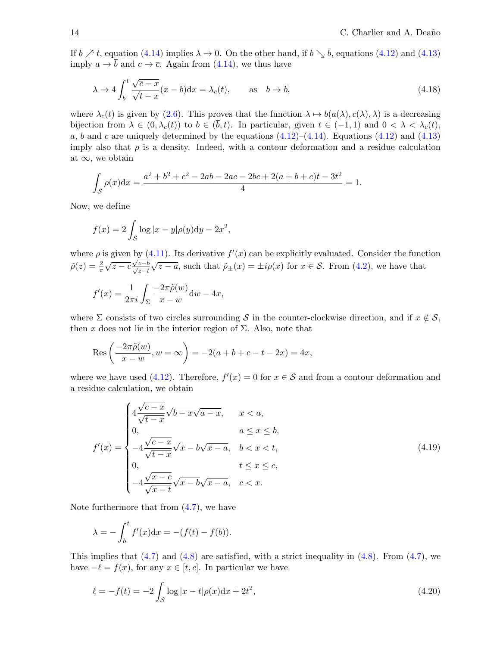If  $b \nearrow t$ , equation [\(4.14\)](#page-12-1) implies  $\lambda \to 0$ . On the other hand, if  $b \searrow \overline{b}$ , equations [\(4.12\)](#page-12-0) and [\(4.13\)](#page-12-2) imply  $a \to \overline{b}$  and  $c \to \overline{c}$ . Again from [\(4.14\)](#page-12-1), we thus have

<span id="page-14-0"></span>
$$
\lambda \to 4 \int_{\overline{b}}^t \frac{\sqrt{\overline{c} - x}}{\sqrt{t - x}} (x - \overline{b}) dx = \lambda_c(t), \quad \text{as} \quad b \to \overline{b}, \tag{4.18}
$$

where  $\lambda_c(t)$  is given by [\(2.6\)](#page-5-4). This proves that the function  $\lambda \mapsto b(a(\lambda), c(\lambda), \lambda)$  is a decreasing bijection from  $\lambda \in (0, \lambda_c(t))$  to  $b \in (\bar{b}, t)$ . In particular, given  $t \in (-1, 1)$  and  $0 < \lambda < \lambda_c(t)$ , a, b and c are uniquely determined by the equations  $(4.12)$ – $(4.14)$ . Equations  $(4.12)$  and  $(4.13)$ imply also that  $\rho$  is a density. Indeed, with a contour deformation and a residue calculation at  $\infty$ , we obtain

$$
\int_{\mathcal{S}} \rho(x) dx = \frac{a^2 + b^2 + c^2 - 2ab - 2ac - 2bc + 2(a + b + c)t - 3t^2}{4} = 1.
$$

Now, we define

<span id="page-14-1"></span>
$$
f(x) = 2 \int_{\mathcal{S}} \log |x - y| \rho(y) dy - 2x^2,
$$

where  $\rho$  is given by [\(4.11\)](#page-12-4). Its derivative  $f'(x)$  can be explicitly evaluated. Consider the function  $\tilde{\rho}(z) = \frac{2}{\pi} \sqrt{z-c} \frac{\sqrt{z-b}}{\sqrt{z-t}}$  $\sqrt{z-a}$ , such that  $\tilde{\rho}_{\pm}(x) = \pm i\rho(x)$  for  $x \in \mathcal{S}$ . From [\(4.2\)](#page-13-0), we have that

$$
f'(x) = \frac{1}{2\pi i} \int_{\Sigma} \frac{-2\pi \tilde{\rho}(w)}{x - w} dw - 4x,
$$

where  $\Sigma$  consists of two circles surrounding S in the counter-clockwise direction, and if  $x \notin S$ , then x does not lie in the interior region of  $\Sigma$ . Also, note that

Res 
$$
\left(\frac{-2\pi\tilde{\rho}(w)}{x-w}, w = \infty\right)
$$
 = -2(a+b+c-t-2x) = 4x,

where we have used [\(4.12\)](#page-12-0). Therefore,  $f'(x) = 0$  for  $x \in S$  and from a contour deformation and a residue calculation, we obtain

<span id="page-14-3"></span>
$$
f'(x) = \begin{cases} 4\frac{\sqrt{c-x}}{\sqrt{t-x}}\sqrt{b-x}\sqrt{a-x}, & x < a, \\ 0, & a \le x \le b, \\ -4\frac{\sqrt{c-x}}{\sqrt{t-x}}\sqrt{x-b}\sqrt{x-a}, & b < x < t, \\ 0, & t \le x \le c, \\ -4\frac{\sqrt{x-c}}{\sqrt{x-t}}\sqrt{x-b}\sqrt{x-a}, & c < x. \end{cases}
$$
(4.19)

Note furthermore that from  $(4.7)$ , we have

$$
\lambda = -\int_b^t f'(x) \mathrm{d}x = -(f(t) - f(b)).
$$

This implies that  $(4.7)$  and  $(4.8)$  are satisfied, with a strict inequality in  $(4.8)$ . From  $(4.7)$ , we have  $-\ell = f(x)$ , for any  $x \in [t, c]$ . In particular we have

<span id="page-14-2"></span>
$$
\ell = -f(t) = -2 \int_{\mathcal{S}} \log |x - t| \rho(x) dx + 2t^2,
$$
\n(4.20)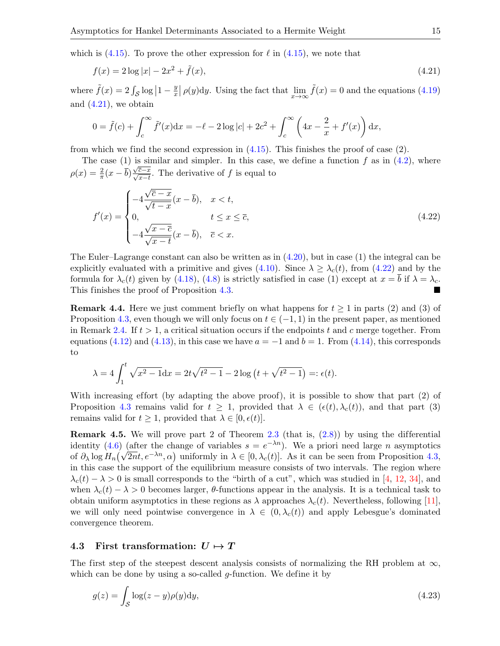which is [\(4.15\)](#page-12-5). To prove the other expression for  $\ell$  in (4.15), we note that

$$
f(x) = 2\log|x| - 2x^2 + \tilde{f}(x),\tag{4.21}
$$

where  $\tilde{f}(x) = 2 \int_{\mathcal{S}} \log |1 - \frac{y}{x}$  $\frac{y}{x} | \rho(y) dy$ . Using the fact that  $\lim_{x \to \infty} \tilde{f}(x) = 0$  and the equations [\(4.19\)](#page-13-1) and  $(4.21)$ , we obtain

<span id="page-15-2"></span><span id="page-15-1"></span>
$$
0 = \tilde{f}(c) + \int_c^{\infty} \tilde{f}'(x) dx = -\ell - 2 \log|c| + 2c^2 + \int_c^{\infty} \left( 4x - \frac{2}{x} + f'(x) \right) dx,
$$

from which we find the second expression in  $(4.15)$ . This finishes the proof of case  $(2)$ .

The case  $(1)$  is similar and simpler. In this case, we define a function f as in  $(4.2)$ , where  $\rho(x) = \frac{2}{\pi} (x - \overline{b}) \frac{\sqrt{\overline{c} - x}}{\sqrt{x - t}}$ . The derivative of f is equal to

<span id="page-15-4"></span>
$$
f'(x) = \begin{cases} -4\frac{\sqrt{\overline{c} - x}}{\sqrt{t - x}}(x - \overline{b}), & x < t, \\ 0, & t \le x \le \overline{c}, \\ -4\frac{\sqrt{x - \overline{c}}}{\sqrt{x - t}}(x - \overline{b}), & \overline{c} < x. \end{cases}
$$
(4.22)

The Euler–Lagrange constant can also be written as in [\(4.20\)](#page-13-2), but in case (1) the integral can be explicitly evaluated with a primitive and gives [\(4.10\)](#page-12-6). Since  $\lambda \geq \lambda_c(t)$ , from [\(4.22\)](#page-14-1) and by the formula for  $\lambda_c(t)$  given by [\(4.18\)](#page-13-0), [\(4.8\)](#page-11-2) is strictly satisfied in case (1) except at  $x = \overline{b}$  if  $\lambda = \lambda_c$ . This finishes the proof of Proposition [4.3.](#page-11-0)

**Remark 4.4.** Here we just comment briefly on what happens for  $t \ge 1$  in parts (2) and (3) of Proposition [4.3,](#page-11-0) even though we will only focus on  $t \in (-1,1)$  in the present paper, as mentioned in Remark [2.4.](#page-6-5) If  $t > 1$ , a critical situation occurs if the endpoints t and c merge together. From equations [\(4.12\)](#page-12-0) and [\(4.13\)](#page-12-2), in this case we have  $a = -1$  and  $b = 1$ . From [\(4.14\)](#page-12-1), this corresponds to

$$
\lambda = 4 \int_1^t \sqrt{x^2 - 1} \, dx = 2t \sqrt{t^2 - 1} - 2 \log \left( t + \sqrt{t^2 - 1} \right) =: \epsilon(t).
$$

With increasing effort (by adapting the above proof), it is possible to show that part  $(2)$  of Proposition [4.3](#page-11-0) remains valid for  $t \geq 1$ , provided that  $\lambda \in (\epsilon(t), \lambda_c(t))$ , and that part (3) remains valid for  $t \geq 1$ , provided that  $\lambda \in [0, \epsilon(t)]$ .

**Remark 4.5.** We will prove part 2 of Theorem [2.3](#page-6-1) (that is,  $(2.8)$ ) by using the differential identity [\(4.6\)](#page-10-3) (after the change of variables  $s = e^{-\lambda n}$ ). We a priori need large *n* asymptotics of  $\partial_{\lambda} \log H_n(\sqrt{2nt}, e^{-\lambda n}, \alpha)$  uniformly in  $\lambda \in [0, \lambda_c(t)]$ . As it can be seen from Proposition [4.3,](#page-11-0) in this case the support of the equilibrium measure consists of two intervals. The region where  $\lambda_c(t) - \lambda > 0$  is small corresponds to the "birth of a cut", which was studied in [\[4,](#page-41-13) [12,](#page-41-14) [34\]](#page-42-17), and when  $\lambda_c(t) - \lambda > 0$  becomes larger,  $\theta$ -functions appear in the analysis. It is a technical task to obtain uniform asymptotics in these regions as  $\lambda$  approaches  $\lambda_c(t)$ . Nevertheless, following [\[11\]](#page-41-2), we will only need pointwise convergence in  $\lambda \in (0, \lambda_c(t))$  and apply Lebesgue's dominated convergence theorem.

#### <span id="page-15-0"></span>4.3 First transformation:  $U \mapsto T$

The first step of the steepest descent analysis consists of normalizing the RH problem at  $\infty$ , which can be done by using a so-called  $q$ -function. We define it by

<span id="page-15-3"></span>
$$
g(z) = \int_{\mathcal{S}} \log(z - y)\rho(y) \mathrm{d}y,\tag{4.23}
$$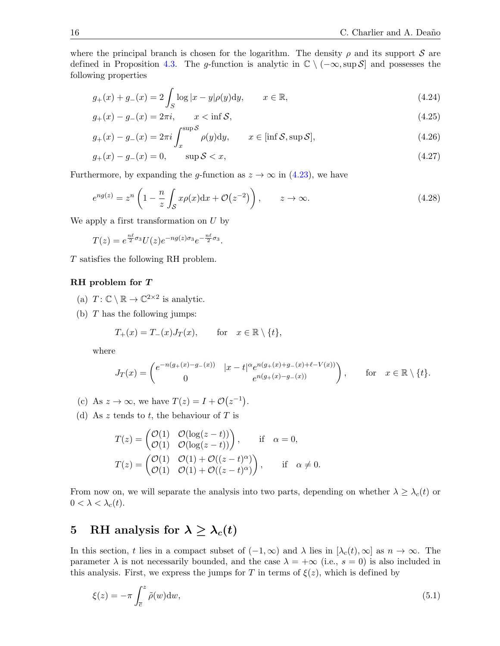where the principal branch is chosen for the logarithm. The density  $\rho$  and its support S are defined in Proposition [4.3.](#page-11-0) The g-function is analytic in  $\mathbb{C} \setminus (-\infty, \sup \mathcal{S}]$  and possesses the following properties

<span id="page-16-5"></span>
$$
g_{+}(x) + g_{-}(x) = 2 \int_{S} \log |x - y|\rho(y)dy, \qquad x \in \mathbb{R},
$$
 (4.24)

$$
g_{+}(x) - g_{-}(x) = 2\pi i, \qquad x < \inf \mathcal{S}, \tag{4.25}
$$

$$
g_{+}(x) - g_{-}(x) = 2\pi i \int_{x}^{\sup S} \rho(y) \mathrm{d}y, \qquad x \in [\inf S, \sup S], \tag{4.26}
$$

$$
g_{+}(x) - g_{-}(x) = 0,
$$
  $\sup S < x,$  (4.27)

Furthermore, by expanding the g-function as  $z \to \infty$  in [\(4.23\)](#page-14-2), we have

$$
e^{ng(z)} = z^n \left( 1 - \frac{n}{z} \int_{\mathcal{S}} x \rho(x) dx + \mathcal{O}(z^{-2}) \right), \qquad z \to \infty.
$$
 (4.28)

We apply a first transformation on U by

$$
T(z) = e^{\frac{n\ell}{2}\sigma_3}U(z)e^{-ng(z)\sigma_3}e^{-\frac{n\ell}{2}\sigma_3}.
$$

T satisfies the following RH problem.

#### RH problem for T

- (a)  $T: \mathbb{C} \setminus \mathbb{R} \to \mathbb{C}^{2 \times 2}$  is analytic.
- (b)  $T$  has the following jumps:

$$
T_+(x) = T_-(x)J_T(x), \quad \text{for} \quad x \in \mathbb{R} \setminus \{t\},
$$

where

$$
J_T(x) = \begin{pmatrix} e^{-n(g_+(x) - g_-(x))} & |x - t|^\alpha e^{n(g_+(x) + g_-(x) + \ell - V(x))} \\ 0 & e^{n(g_+(x) - g_-(x))} \end{pmatrix}, \qquad \text{for} \quad x \in \mathbb{R} \setminus \{t\}.
$$

(c) As 
$$
z \to \infty
$$
, we have  $T(z) = I + \mathcal{O}(z^{-1})$ 

(d) As z tends to t, the behaviour of  $T$  is

$$
T(z) = \begin{pmatrix} \mathcal{O}(1) & \mathcal{O}(\log(z-t)) \\ \mathcal{O}(1) & \mathcal{O}(\log(z-t)) \end{pmatrix}, \quad \text{if} \quad \alpha = 0,
$$
  

$$
T(z) = \begin{pmatrix} \mathcal{O}(1) & \mathcal{O}(1) + \mathcal{O}((z-t)^{\alpha}) \\ \mathcal{O}(1) & \mathcal{O}(1) + \mathcal{O}((z-t)^{\alpha}) \end{pmatrix}, \quad \text{if} \quad \alpha \neq 0.
$$

From now on, we will separate the analysis into two parts, depending on whether  $\lambda \geq \lambda_c(t)$  or  $0 < \lambda < \lambda_c(t)$ .

<span id="page-16-4"></span><span id="page-16-3"></span><span id="page-16-2"></span><span id="page-16-1"></span><span id="page-16-0"></span>.

# 5 RH analysis for  $\lambda \geq \lambda_c(t)$

In this section, t lies in a compact subset of  $(-1, \infty)$  and  $\lambda$  lies in  $[\lambda_c(t), \infty]$  as  $n \to \infty$ . The parameter  $\lambda$  is not necessarily bounded, and the case  $\lambda = +\infty$  (i.e.,  $s = 0$ ) is also included in this analysis. First, we express the jumps for T in terms of  $\xi(z)$ , which is defined by

$$
\xi(z) = -\pi \int_{\overline{c}}^{z} \tilde{\rho}(w) \mathrm{d}w,\tag{5.1}
$$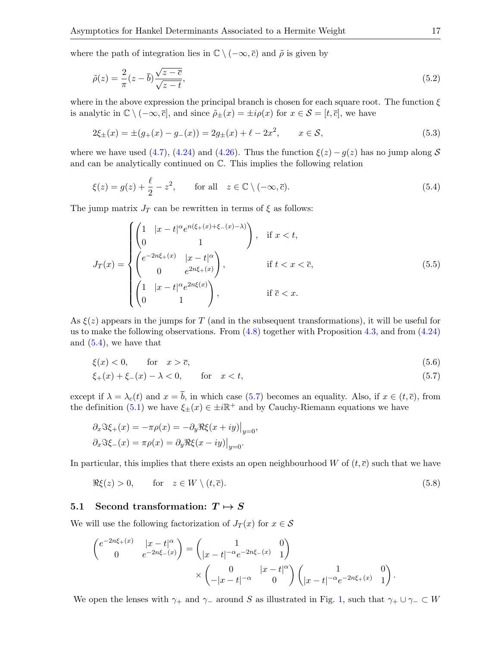where the path of integration lies in  $\mathbb{C} \setminus (-\infty, \overline{c})$  and  $\tilde{\rho}$  is given by

$$
\tilde{\rho}(z) = \frac{2}{\pi} (z - \overline{b}) \frac{\sqrt{z - \overline{c}}}{\sqrt{z - t}},\tag{5.2}
$$

where in the above expression the principal branch is chosen for each square root. The function  $\xi$ is analytic in  $\mathbb{C} \setminus (-\infty, \overline{c}]$ , and since  $\tilde{\rho}_{\pm}(x) = \pm i \rho(x)$  for  $x \in \mathcal{S} = [t, \overline{c}]$ , we have

<span id="page-17-0"></span>
$$
2\xi_{\pm}(x) = \pm(g_{+}(x) - g_{-}(x)) = 2g_{\pm}(x) + \ell - 2x^{2}, \qquad x \in \mathcal{S}, \tag{5.3}
$$

where we have used [\(4.7\)](#page-11-1), [\(4.24\)](#page-15-1) and [\(4.26\)](#page-15-2). Thus the function  $\xi(z) - g(z)$  has no jump along S and can be analytically continued on C. This implies the following relation

$$
\xi(z) = g(z) + \frac{\ell}{2} - z^2, \qquad \text{for all} \quad z \in \mathbb{C} \setminus (-\infty, \overline{c}). \tag{5.4}
$$

The jump matrix  $J_T$  can be rewritten in terms of  $\xi$  as follows:

$$
J_T(x) = \begin{cases} \begin{pmatrix} 1 & |x - t|^{\alpha} e^{n(\xi + (x) + \xi - (x) - \lambda)} \\ 0 & 1 \end{pmatrix}, & \text{if } x < t, \\ \begin{pmatrix} e^{-2n\xi + (x)} & |x - t|^{\alpha} \\ 0 & e^{2n\xi + (x)} \end{pmatrix}, & \text{if } t < x < \overline{c}, \\ \begin{pmatrix} 1 & |x - t|^{\alpha} e^{2n\xi(x)} \\ 0 & 1 \end{pmatrix}, & \text{if } \overline{c} < x. \end{cases} \tag{5.5}
$$

As  $\xi(z)$  appears in the jumps for T (and in the subsequent transformations), it will be useful for us to make the following observations. From  $(4.8)$  together with Proposition [4.3,](#page-11-0) and from  $(4.24)$ and [\(5.4\)](#page-16-0), we have that

$$
\xi(x) < 0, \qquad \text{for} \quad x > \overline{c}, \tag{5.6}
$$

$$
\xi_{+}(x) + \xi_{-}(x) - \lambda < 0,
$$
 for  $x < t,$  (5.7)

except if  $\lambda = \lambda_c(t)$  and  $x = \overline{b}$ , in which case [\(5.7\)](#page-16-1) becomes an equality. Also, if  $x \in (t, \overline{c})$ , from the definition [\(5.1\)](#page-15-3) we have  $\xi_{\pm}(x) \in \pm i\mathbb{R}^+$  and by Cauchy-Riemann equations we have

$$
\partial_x \Im \xi_+(x) = -\pi \rho(x) = -\partial_y \Re \xi(x+iy)|_{y=0},
$$
  

$$
\partial_x \Im \xi_-(x) = \pi \rho(x) = \partial_y \Re \xi(x-iy)|_{y=0}.
$$

In particular, this implies that there exists an open neighbourhood W of  $(t, \bar{c})$  such that we have

$$
\Re \xi(z) > 0, \qquad \text{for} \quad z \in W \setminus (t, \overline{c}). \tag{5.8}
$$

#### 5.1 Second transformation:  $T \mapsto S$

We will use the following factorization of  $J_T(x)$  for  $x \in \mathcal{S}$ 

<span id="page-17-1"></span>
$$
\begin{pmatrix} e^{-2n\xi_+(x)} & |x-t|^\alpha \\ 0 & e^{-2n\xi_-(x)} \end{pmatrix} = \begin{pmatrix} 1 & 0 \\ |x-t|^{-\alpha}e^{-2n\xi_-(x)} & 1 \end{pmatrix} \times \begin{pmatrix} 0 & |x-t|^\alpha \\ -|x-t|^{-\alpha} & 0 \end{pmatrix} \begin{pmatrix} 1 & 0 \\ |x-t|^{-\alpha}e^{-2n\xi_+(x)} & 1 \end{pmatrix}.
$$

We open the lenses with  $\gamma_+$  and  $\gamma_-$  around S as illustrated in Fig. [1,](#page-17-0) such that  $\gamma_+ \cup \gamma_- \subset W$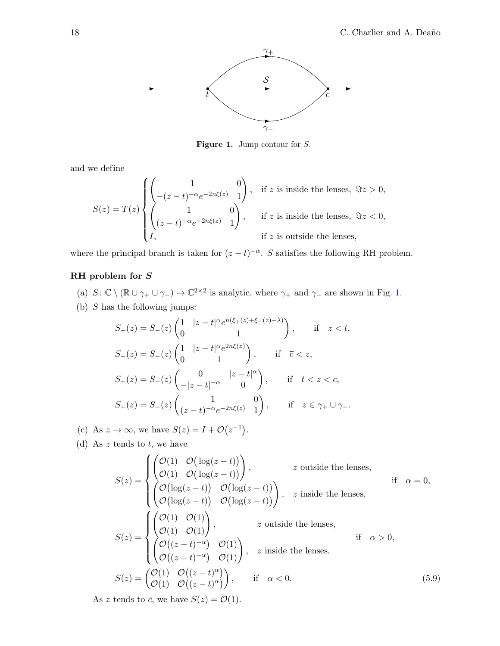

<span id="page-18-0"></span>Figure 1. Jump contour for S.

and we define

$$
S(z) = T(z) \begin{cases} \begin{pmatrix} 1 & 0 \\ -(z-t)^{-\alpha}e^{-2n\xi(z)} & 1 \end{pmatrix}, & \text{if } z \text{ is inside the lenses, } \Im z > 0, \\ \begin{pmatrix} 1 & 0 \\ (z-t)^{-\alpha}e^{-2n\xi(z)} & 1 \end{pmatrix}, & \text{if } z \text{ is inside the lenses, } \Im z < 0, \\ I, & \text{if } z \text{ is outside the lenses,} \end{cases}
$$

where the principal branch is taken for  $(z-t)^{-\alpha}$ . S satisfies the following RH problem.

## RH problem for S

- (a)  $S: \mathbb{C} \setminus (\mathbb{R} \cup \gamma_+ \cup \gamma_-) \to \mathbb{C}^{2 \times 2}$  is analytic, where  $\gamma_+$  and  $\gamma_-$  are shown in Fig. [1.](#page-17-0)
- (b)  $S$  has the following jumps:

$$
S_{+}(z) = S_{-}(z) \begin{pmatrix} 1 & |z - t|^{\alpha} e^{n(\xi + (z) + \xi_{-}(z) - \lambda)} \\ 0 & 1 \end{pmatrix}, \qquad \text{if} \quad z < t,
$$
\n
$$
S_{+}(z) = S_{-}(z) \begin{pmatrix} 1 & |z - t|^{\alpha} e^{2n\xi(z)} \\ 0 & 1 \end{pmatrix}, \qquad \text{if} \quad \overline{c} < z,
$$
\n
$$
S_{+}(z) = S_{-}(z) \begin{pmatrix} 0 & |z - t|^{\alpha} \\ -|z - t|^{-\alpha} & 0 \end{pmatrix}, \qquad \text{if} \quad t < z < \overline{c},
$$
\n
$$
S_{+}(z) = S_{-}(z) \begin{pmatrix} 1 & 0 \\ (z - t)^{-\alpha} e^{-2n\xi(z)} & 1 \end{pmatrix}, \qquad \text{if} \quad z \in \gamma_{+} \cup \gamma_{-}.
$$

(c) As  $z \to \infty$ , we have  $S(z) = I + \mathcal{O}(z^{-1})$ .

(d) As  $z$  tends to  $t$ , we have

<span id="page-18-2"></span><span id="page-18-1"></span>
$$
S(z) = \begin{cases} \begin{pmatrix} \mathcal{O}(1) & \mathcal{O}(\log(z-t)) \\ \mathcal{O}(1) & \mathcal{O}(\log(z-t)) \end{pmatrix}, & z \text{ outside the lenses,} \\ \begin{pmatrix} \mathcal{O}(\log(z-t)) & \mathcal{O}(\log(z-t)) \\ \mathcal{O}(\log(z-t)) & \mathcal{O}(\log(z-t)) \end{pmatrix}, & z \text{ inside the lenses,} \\ S(z) = \begin{cases} \begin{pmatrix} \mathcal{O}(1) & \mathcal{O}(1) \\ \mathcal{O}(1) & \mathcal{O}(1) \end{pmatrix}, & z \text{ outside the lenses,} \\ \begin{pmatrix} \mathcal{O}((z-t)^{-\alpha}) & \mathcal{O}(1) \\ \mathcal{O}((z-t)^{-\alpha}) & \mathcal{O}(1) \end{pmatrix}, & z \text{ inside the lenses,} \end{cases} \text{ if } \alpha > 0, \\ S(z) = \begin{pmatrix} \mathcal{O}(1) & \mathcal{O}((z-t)^{\alpha}) \\ \mathcal{O}(1) & \mathcal{O}((z-t)^{\alpha}) \end{pmatrix}, & \text{if } \alpha < 0. \end{cases} \tag{5.9}
$$

As z tends to  $\bar{c}$ , we have  $S(z) = \mathcal{O}(1)$ .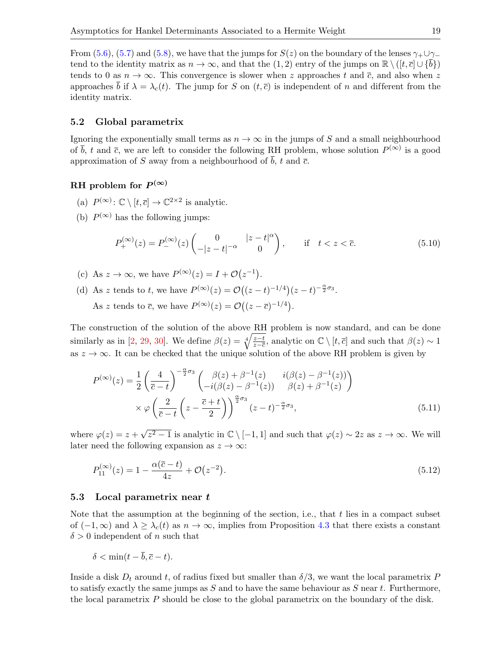From [\(5.6\)](#page-16-2), [\(5.7\)](#page-16-1) and [\(5.8\)](#page-16-3), we have that the jumps for  $S(z)$  on the boundary of the lenses  $\gamma_+ \cup \gamma_$ tend to the identity matrix as  $n \to \infty$ , and that the (1, 2) entry of the jumps on  $\mathbb{R} \setminus (\lbrack t, \bar{c} \rbrack \cup \{b\})$ tends to 0 as  $n \to \infty$ . This convergence is slower when z approaches t and  $\bar{c}$ , and also when z approaches b if  $\lambda = \lambda_c(t)$ . The jump for S on  $(t, \overline{c})$  is independent of n and different from the identity matrix.

#### 5.2 Global parametrix

Ignoring the exponentially small terms as  $n \to \infty$  in the jumps of S and a small neighbourhood of  $\bar{b}$ , t and  $\bar{c}$ , we are left to consider the following RH problem, whose solution  $P^{(\infty)}$  is a good approximation of S away from a neighbourhood of  $\overline{b}$ , t and  $\overline{c}$ .

# RH problem for  $P^{(\infty)}$

- (a)  $P^{(\infty)}: \mathbb{C} \setminus [t, \overline{c}] \to \mathbb{C}^{2 \times 2}$  is analytic.
- (b)  $P^{(\infty)}$  has the following jumps:

<span id="page-19-0"></span>
$$
P_{+}^{(\infty)}(z) = P_{-}^{(\infty)}(z) \begin{pmatrix} 0 & |z - t|^{\alpha} \\ -|z - t|^{-\alpha} & 0 \end{pmatrix}, \quad \text{if} \quad t < z < \overline{c}.
$$
 (5.10)

- (c) As  $z \to \infty$ , we have  $P^{(\infty)}(z) = I + \mathcal{O}(z^{-1}).$
- (d) As z tends to t, we have  $P^{(\infty)}(z) = \mathcal{O}\left((z-t)^{-1/4}\right)(z-t)^{-\frac{\alpha}{2}\sigma_3}$ .

As z tends to  $\bar{c}$ , we have  $P^{(\infty)}(z) = \mathcal{O}((z - \bar{c})^{-1/4})$ .

The construction of the solution of the above RH problem is now standard, and can be done similarly as in [\[2,](#page-41-15) [29,](#page-42-2) [30\]](#page-42-18). We define  $\beta(z) = \sqrt[4]{\frac{z-t}{z-\overline{c}}}$  $\frac{z-t}{z-\overline{c}}$ , analytic on  $\mathbb{C} \setminus [t, \overline{c}]$  and such that  $\beta(z) \sim 1$ as  $z \to \infty$ . It can be checked that the unique solution of the above RH problem is given by

$$
P^{(\infty)}(z) = \frac{1}{2} \left( \frac{4}{\overline{c} - t} \right)^{-\frac{\alpha}{2}\sigma_3} \begin{pmatrix} \beta(z) + \beta^{-1}(z) & i(\beta(z) - \beta^{-1}(z)) \\ -i(\beta(z) - \beta^{-1}(z)) & \beta(z) + \beta^{-1}(z) \end{pmatrix}
$$

$$
\times \varphi \left( \frac{2}{\overline{c} - t} \left( z - \frac{\overline{c} + t}{2} \right) \right)^{\frac{\alpha}{2}\sigma_3} (z - t)^{-\frac{\alpha}{2}\sigma_3}, \tag{5.11}
$$

where  $\varphi(z) = z + \sqrt{z^2 - 1}$  is analytic in  $\mathbb{C} \setminus [-1, 1]$  and such that  $\varphi(z) \sim 2z$  as  $z \to \infty$ . We will later need the following expansion as  $z \to \infty$ :

<span id="page-19-1"></span>
$$
P_{11}^{(\infty)}(z) = 1 - \frac{\alpha(\bar{c} - t)}{4z} + \mathcal{O}(z^{-2}).
$$
\n(5.12)

#### 5.3 Local parametrix near t

Note that the assumption at the beginning of the section, i.e., that t lies in a compact subset of  $(-1, \infty)$  and  $\lambda \geq \lambda_c(t)$  as  $n \to \infty$ , implies from Proposition [4.3](#page-11-0) that there exists a constant  $\delta > 0$  independent of n such that

$$
\delta < \min(t - \overline{b}, \overline{c} - t).
$$

Inside a disk  $D_t$  around t, of radius fixed but smaller than  $\delta/3$ , we want the local parametrix P to satisfy exactly the same jumps as  $S$  and to have the same behaviour as  $S$  near  $t$ . Furthermore, the local parametrix P should be close to the global parametrix on the boundary of the disk.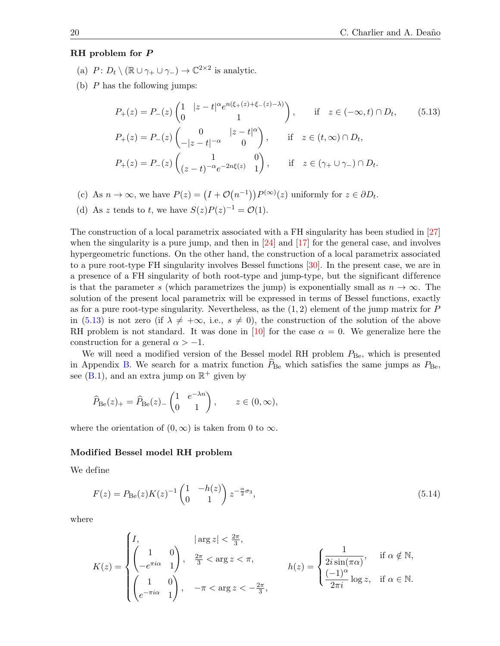#### RH problem for P

- (a)  $P: D_t \setminus (\mathbb{R} \cup \gamma_+ \cup \gamma_-) \to \mathbb{C}^{2 \times 2}$  is analytic.
- (b)  $P$  has the following jumps:

<span id="page-20-0"></span>
$$
P_{+}(z) = P_{-}(z) \begin{pmatrix} 1 & |z - t|^{\alpha} e^{n(\xi + (z) + \xi - (z) - \lambda)} \\ 0 & 1 \end{pmatrix}, \quad \text{if } z \in (-\infty, t) \cap D_{t}, \qquad (5.13)
$$
  
\n
$$
P_{+}(z) = P_{-}(z) \begin{pmatrix} 0 & |z - t|^{\alpha} \\ -|z - t|^{-\alpha} & 0 \end{pmatrix}, \quad \text{if } z \in (t, \infty) \cap D_{t},
$$
  
\n
$$
P_{+}(z) = P_{-}(z) \begin{pmatrix} 1 & 0 \\ (z - t)^{-\alpha} e^{-2n\xi(z)} & 1 \end{pmatrix}, \quad \text{if } z \in (\gamma_{+} \cup \gamma_{-}) \cap D_{t}.
$$

- (c) As  $n \to \infty$ , we have  $P(z) = (I + \mathcal{O}(n^{-1}))P^{(\infty)}(z)$  uniformly for  $z \in \partial D_t$ .
- (d) As z tends to t, we have  $S(z)P(z)^{-1} = \mathcal{O}(1)$ .

The construction of a local parametrix associated with a FH singularity has been studied in [\[27\]](#page-42-4) when the singularity is a pure jump, and then in  $[24]$  and  $[17]$  for the general case, and involves hypergeometric functions. On the other hand, the construction of a local parametrix associated to a pure root-type FH singularity involves Bessel functions [\[30\]](#page-42-18). In the present case, we are in a presence of a FH singularity of both root-type and jump-type, but the significant difference is that the parameter s (which parametrizes the jump) is exponentially small as  $n \to \infty$ . The solution of the present local parametrix will be expressed in terms of Bessel functions, exactly as for a pure root-type singularity. Nevertheless, as the  $(1, 2)$  element of the jump matrix for P in [\(5.13\)](#page-19-0) is not zero (if  $\lambda \neq +\infty$ , i.e.,  $s \neq 0$ ), the construction of the solution of the above RH problem is not standard. It was done in [\[10\]](#page-41-1) for the case  $\alpha = 0$ . We generalize here the construction for a general  $\alpha > -1$ .

We will need a modified version of the Bessel model RH problem  $P_{\text{Be}}$ , which is presented in Appendix [B.](#page-39-0) We search for a matrix function  $\hat{P}_{\text{Be}}$  which satisfies the same jumps as  $P_{\text{Be}}$ . see [\(B.1\)](#page-40-0), and an extra jump on  $\mathbb{R}^+$  given by

$$
\widehat{P}_{\text{Be}}(z)_+ = \widehat{P}_{\text{Be}}(z)_-\begin{pmatrix} 1 & e^{-\lambda n} \\ 0 & 1 \end{pmatrix}, \qquad z \in (0, \infty),
$$

where the orientation of  $(0, \infty)$  is taken from 0 to  $\infty$ .

#### Modif ied Bessel model RH problem

We define

$$
F(z) = P_{\text{Be}}(z)K(z)^{-1} \begin{pmatrix} 1 & -h(z) \\ 0 & 1 \end{pmatrix} z^{-\frac{\alpha}{2}\sigma_3},\tag{5.14}
$$

where

<span id="page-20-2"></span><span id="page-20-1"></span>
$$
K(z) = \begin{cases} I, & |\arg z| < \frac{2\pi}{3}, \\ \begin{pmatrix} 1 & 0 \\ -e^{\pi i \alpha} & 1 \end{pmatrix}, & \frac{2\pi}{3} < \arg z < \pi, \\ \begin{pmatrix} 1 & 0 \\ e^{-\pi i \alpha} & 1 \end{pmatrix}, & -\pi < \arg z < -\frac{2\pi}{3}, \end{cases} \qquad h(z) = \begin{cases} \frac{1}{2i \sin(\pi \alpha)}, & \text{if } \alpha \notin \mathbb{N}, \\ \frac{(-1)^{\alpha}}{2\pi i} \log z, & \text{if } \alpha \in \mathbb{N}. \end{cases}
$$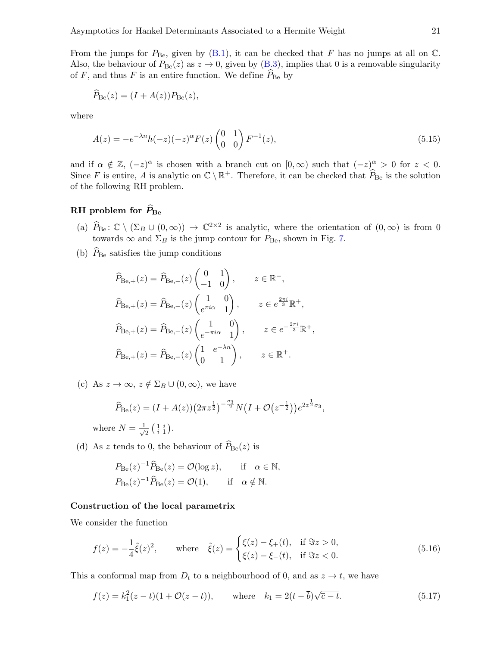From the jumps for  $P_{\text{Be}}$ , given by  $(B.1)$ , it can be checked that F has no jumps at all on  $\mathbb{C}$ . Also, the behaviour of  $P_{\text{Be}}(z)$  as  $z \to 0$ , given by [\(B.3\)](#page-40-1), implies that 0 is a removable singularity of  $F$ , and thus  $F$  is an entire function. We define  $P_{\text{Be}}$  by

$$
\widehat{P}_{\rm Be}(z) = (I + A(z))P_{\rm Be}(z),
$$

where

$$
A(z) = -e^{-\lambda n}h(-z)(-z)^{\alpha}F(z)\begin{pmatrix} 0 & 1\\ 0 & 0 \end{pmatrix}F^{-1}(z),
$$
\n(5.15)

and if  $\alpha \notin \mathbb{Z}$ ,  $(-z)^{\alpha}$  is chosen with a branch cut on  $[0, \infty)$  such that  $(-z)^{\alpha} > 0$  for  $z < 0$ . Since F is entire, A is analytic on  $\mathbb{C} \setminus \mathbb{R}^+$ . Therefore, it can be checked that  $\widehat{P}_{\text{Be}}$  is the solution of the following RH problem.

## RH problem for  $\widehat{P}_{\text{Be}}$

- (a)  $\widehat{P}_{\text{Be}}$ :  $\mathbb{C} \setminus (\Sigma_B \cup (0,\infty)) \to \mathbb{C}^{2 \times 2}$  is analytic, where the orientation of  $(0,\infty)$  is from 0 towards  $\infty$  and  $\Sigma_B$  is the jump contour for  $P_{\text{Be}}$ , shown in Fig. [7.](#page-40-2)
- (b)  $P_{\text{Be}}$  satisfies the jump conditions

<span id="page-21-2"></span><span id="page-21-0"></span>
$$
\widehat{P}_{\text{Be},+}(z) = \widehat{P}_{\text{Be},-}(z) \begin{pmatrix} 0 & 1 \\ -1 & 0 \end{pmatrix}, \qquad z \in \mathbb{R}^-,
$$
  

$$
\widehat{P}_{\text{Be},+}(z) = \widehat{P}_{\text{Be},-}(z) \begin{pmatrix} 1 & 0 \\ e^{\pi i \alpha} & 1 \end{pmatrix}, \qquad z \in e^{\frac{2\pi i}{3}} \mathbb{R}^+,
$$
  

$$
\widehat{P}_{\text{Be},+}(z) = \widehat{P}_{\text{Be},-}(z) \begin{pmatrix} 1 & 0 \\ e^{-\pi i \alpha} & 1 \end{pmatrix}, \qquad z \in e^{-\frac{2\pi i}{3}} \mathbb{R}^+,
$$
  

$$
\widehat{P}_{\text{Be},+}(z) = \widehat{P}_{\text{Be},-}(z) \begin{pmatrix} 1 & e^{-\lambda n} \\ 0 & 1 \end{pmatrix}, \qquad z \in \mathbb{R}^+.
$$

(c) As  $z \to \infty$ ,  $z \notin \Sigma_B \cup (0, \infty)$ , we have

<span id="page-21-1"></span>
$$
\widehat{P}_{\text{Be}}(z) = (I + A(z))(2\pi z^{\frac{1}{2}})^{-\frac{\sigma_3}{2}} N (I + \mathcal{O}(z^{-\frac{1}{2}})) e^{2z^{\frac{1}{2}} \sigma_3},
$$

where  $N = \frac{1}{\sqrt{2}}$  $\overline{2}$   $\left(\begin{array}{cc} 1 & i \\ i & 1 \end{array}\right)$ .

(d) As z tends to 0, the behaviour of  $\widehat{P}_{\text{Be}}(z)$  is

$$
P_{\text{Be}}(z)^{-1}\widehat{P}_{\text{Be}}(z) = \mathcal{O}(\log z), \quad \text{if} \quad \alpha \in \mathbb{N},
$$
  

$$
P_{\text{Be}}(z)^{-1}\widehat{P}_{\text{Be}}(z) = \mathcal{O}(1), \quad \text{if} \quad \alpha \notin \mathbb{N}.
$$

#### Construction of the local parametrix

We consider the function

$$
f(z) = -\frac{1}{4}\tilde{\xi}(z)^2, \quad \text{where} \quad \tilde{\xi}(z) = \begin{cases} \xi(z) - \xi_+(t), & \text{if } \Im z > 0, \\ \xi(z) - \xi_-(t), & \text{if } \Im z < 0. \end{cases}
$$
(5.16)

This a conformal map from  $D_t$  to a neighbourhood of 0, and as  $z \to t$ , we have

$$
f(z) = k_1^2(z - t)(1 + \mathcal{O}(z - t)), \quad \text{where} \quad k_1 = 2(t - \bar{b})\sqrt{\bar{c} - t}.
$$
 (5.17)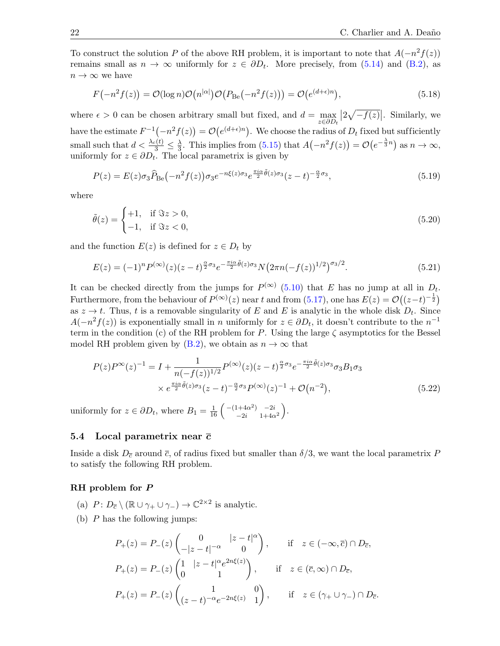To construct the solution P of the above RH problem, it is important to note that  $A(-n^2f(z))$ remains small as  $n \to \infty$  uniformly for  $z \in \partial D_t$ . More precisely, from [\(5.14\)](#page-19-1) and [\(B.2\)](#page-40-3), as  $n \to \infty$  we have

$$
F(-n^2f(z)) = \mathcal{O}(\log n)\mathcal{O}(n^{|\alpha|})\mathcal{O}(P_{\text{Be}}(-n^2f(z))) = \mathcal{O}(e^{(d+\epsilon)n}),
$$
\n(5.18)

where  $\epsilon > 0$  can be chosen arbitrary small but fixed, and  $d = \max_{\alpha \in \mathbb{R}} d$  $z ∈ ∂D_t$  $\left|2\sqrt{-f(z)}\right|$ . Similarly, we have the estimate  $F^{-1}(-n^2f(z)) = \mathcal{O}(e^{(d+\epsilon)n})$ . We choose the radius of  $D_t$  fixed but sufficiently small such that  $d < \frac{\lambda_c(t)}{3} \leq \frac{\lambda}{3}$  $\frac{\lambda}{3}$ . This implies from [\(5.15\)](#page-20-0) that  $A(-n^2f(z)) = \mathcal{O}(e^{-\frac{\lambda}{3}n})$  as  $n \to \infty$ , uniformly for  $z \in \partial D_t$ . The local parametrix is given by

$$
P(z) = E(z)\sigma_3 \hat{P}_{\text{Be}}(-n^2 f(z))\sigma_3 e^{-n\xi(z)\sigma_3} e^{\frac{\pi i \alpha}{2} \tilde{\theta}(z)\sigma_3} (z-t)^{-\frac{\alpha}{2}\sigma_3},\tag{5.19}
$$

where

$$
\tilde{\theta}(z) = \begin{cases} +1, & \text{if } \Im z > 0, \\ -1, & \text{if } \Im z < 0, \end{cases} \tag{5.20}
$$

and the function  $E(z)$  is defined for  $z \in D_t$  by

$$
E(z) = (-1)^n P^{(\infty)}(z)(z-t)^{\frac{\alpha}{2}\sigma_3} e^{-\frac{\pi i \alpha}{2}\tilde{\theta}(z)\sigma_3} N \big(2\pi n (-f(z))^{1/2}\big)^{\sigma_3/2}.
$$
 (5.21)

It can be checked directly from the jumps for  $P^{(\infty)}$  [\(5.10\)](#page-18-0) that E has no jump at all in  $D_t$ . Furthermore, from the behaviour of  $P^{(\infty)}(z)$  near t and from [\(5.17\)](#page-20-1), one has  $E(z) = \mathcal{O}((z-t)^{-\frac{1}{2}})$ as  $z \to t$ . Thus, t is a removable singularity of E and E is analytic in the whole disk  $D_t$ . Since  $A(-n^2f(z))$  is exponentially small in n uniformly for  $z \in \partial D_t$ , it doesn't contribute to the  $n^{-1}$ term in the condition (c) of the RH problem for P. Using the large  $\zeta$  asymptotics for the Bessel model RH problem given by [\(B.2\)](#page-40-3), we obtain as  $n \to \infty$  that

<span id="page-22-0"></span>
$$
P(z)P^{\infty}(z)^{-1} = I + \frac{1}{n(-f(z))^{1/2}} P^{(\infty)}(z)(z-t)^{\frac{\alpha}{2}\sigma_3} e^{-\frac{\pi i \alpha}{2}\tilde{\theta}(z)\sigma_3} \sigma_3 B_1 \sigma_3
$$

$$
\times e^{\frac{\pi i \alpha}{2}\tilde{\theta}(z)\sigma_3}(z-t)^{-\frac{\alpha}{2}\sigma_3} P^{(\infty)}(z)^{-1} + \mathcal{O}(n^{-2}), \tag{5.22}
$$

uniformly for  $z \in \partial D_t$ , where  $B_1 = \frac{1}{16} \begin{pmatrix} -(1+4\alpha^2) & -2i \\ -2i & 1+4\alpha \end{pmatrix}$  $_{-2i}^{1+4\alpha^2}$ )  $_{-2i}^{-2i}$ <br> $_{1+4\alpha^2}$ ).

#### 5.4 Local parametrix near  $\bar{c}$

Inside a disk  $D_{\overline{c}}$  around  $\overline{c}$ , of radius fixed but smaller than  $\delta/3$ , we want the local parametrix P to satisfy the following RH problem.

#### RH problem for P

- (a)  $P: D_{\overline{c}} \setminus (\mathbb{R} \cup \gamma_+ \cup \gamma_-) \to \mathbb{C}^{2 \times 2}$  is analytic.
- (b)  $P$  has the following jumps:

$$
P_{+}(z) = P_{-}(z) \begin{pmatrix} 0 & |z - t|^{\alpha} \\ -|z - t|^{-\alpha} & 0 \end{pmatrix}, \quad \text{if} \quad z \in (-\infty, \overline{c}) \cap D_{\overline{c}},
$$
  

$$
P_{+}(z) = P_{-}(z) \begin{pmatrix} 1 & |z - t|^{\alpha} e^{2n\xi(z)} \\ 0 & 1 \end{pmatrix}, \quad \text{if} \quad z \in (\overline{c}, \infty) \cap D_{\overline{c}},
$$
  

$$
P_{+}(z) = P_{-}(z) \begin{pmatrix} 1 & 0 \\ (z - t)^{-\alpha} e^{-2n\xi(z)} & 1 \end{pmatrix}, \quad \text{if} \quad z \in (\gamma_{+} \cup \gamma_{-}) \cap D_{\overline{c}}.
$$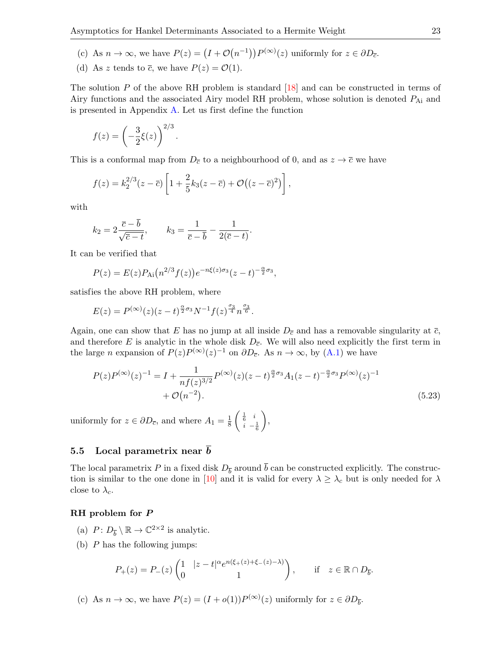- (c) As  $n \to \infty$ , we have  $P(z) = (I + \mathcal{O}(n^{-1})) P^{(\infty)}(z)$  uniformly for  $z \in \partial D_{\overline{c}}$ .
- (d) As z tends to  $\overline{c}$ , we have  $P(z) = \mathcal{O}(1)$ .

The solution P of the above RH problem is standard [\[18\]](#page-42-20) and can be constructed in terms of Airy functions and the associated Airy model RH problem, whose solution is denoted PAi and is presented in Appendix [A.](#page-38-0) Let us first define the function

<span id="page-23-2"></span>
$$
f(z) = \left(-\frac{3}{2}\xi(z)\right)^{2/3}.
$$

This is a conformal map from  $D_{\bar{c}}$  to a neighbourhood of 0, and as  $z \to \bar{c}$  we have

<span id="page-23-0"></span>
$$
f(z) = k_2^{2/3}(z - \overline{c}) \left[ 1 + \frac{2}{5}k_3(z - \overline{c}) + \mathcal{O}((z - \overline{c})^2) \right],
$$

with

$$
k_2 = 2\frac{\overline{c} - \overline{b}}{\sqrt{\overline{c} - t}}, \qquad k_3 = \frac{1}{\overline{c} - \overline{b}} - \frac{1}{2(\overline{c} - t)}.
$$

It can be verified that

$$
P(z) = E(z)P_{\text{Ai}}(n^{2/3}f(z))e^{-n\xi(z)\sigma_3}(z-t)^{-\frac{\alpha}{2}\sigma_3},
$$

satisfies the above RH problem, where

$$
E(z) = P^{(\infty)}(z)(z-t)^{\frac{\alpha}{2}\sigma_3}N^{-1}f(z)^{\frac{\sigma_3}{4}}n^{\frac{\sigma_3}{6}}.
$$

Again, one can show that E has no jump at all inside  $D_{\bar{c}}$  and has a removable singularity at  $\bar{c}$ , and therefore E is analytic in the whole disk  $D_{\overline{c}}$ . We will also need explicitly the first term in the large *n* expansion of  $P(z)P^{(\infty)}(z)^{-1}$  on  $\partial D_{\overline{c}}$ . As  $n \to \infty$ , by [\(A.1\)](#page-39-1) we have

<span id="page-23-3"></span>
$$
P(z)P^{(\infty)}(z)^{-1} = I + \frac{1}{nf(z)^{3/2}}P^{(\infty)}(z)(z-t)^{\frac{\alpha}{2}\sigma_3}A_1(z-t)^{-\frac{\alpha}{2}\sigma_3}P^{(\infty)}(z)^{-1} + \mathcal{O}(n^{-2}).
$$
\n(5.23)

uniformly for  $z \in \partial D_{\overline{c}}$ , and where  $A_1 = \frac{1}{8}$ 8  $\int \frac{1}{6}$  i  $i - \frac{1}{6}$  $\setminus$ ,

#### 5.5 Local parametrix near  $\overline{b}$

The local parametrix P in a fixed disk  $D_{\bar{b}}$  around b can be constructed explicitly. The construc-tion is similar to the one done in [\[10\]](#page-41-1) and it is valid for every  $\lambda \geq \lambda_c$  but is only needed for  $\lambda$ close to  $\lambda_c$ .

#### RH problem for P

- (a)  $P: D_{\overline{b}} \setminus \mathbb{R} \to \mathbb{C}^{2 \times 2}$  is analytic.
- (b)  $P$  has the following jumps:

<span id="page-23-1"></span>
$$
P_+(z) = P_-(z) \begin{pmatrix} 1 & |z - t|^\alpha e^{n(\xi_+(z) + \xi_-(z) - \lambda)} \\ 0 & 1 \end{pmatrix}, \qquad \text{if} \quad z \in \mathbb{R} \cap D_{\overline{b}}.
$$

(c) As  $n \to \infty$ , we have  $P(z) = (I + o(1))P^{(\infty)}(z)$  uniformly for  $z \in \partial D_{\overline{b}}$ .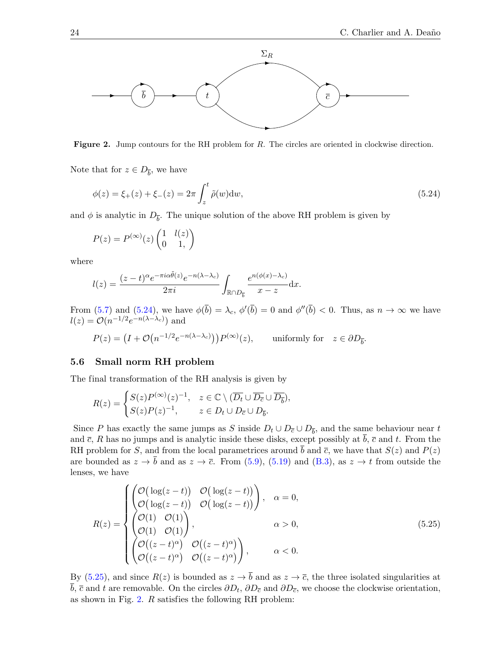

Figure 2. Jump contours for the RH problem for R. The circles are oriented in clockwise direction.

Note that for  $z \in D_{\overline{b}}$ , we have

$$
\phi(z) = \xi_+(z) + \xi_-(z) = 2\pi \int_z^t \tilde{\rho}(w) \, dw,\tag{5.24}
$$

and  $\phi$  is analytic in  $D_{\bar{b}}$ . The unique solution of the above RH problem is given by

<span id="page-24-1"></span>
$$
P(z) = P^{(\infty)}(z) \begin{pmatrix} 1 & l(z) \\ 0 & 1, \end{pmatrix}
$$

where

$$
l(z) = \frac{(z-t)^{\alpha}e^{-\pi i \alpha \tilde{\theta}(z)}e^{-n(\lambda-\lambda_c)}}{2\pi i} \int_{\mathbb{R}\cap D_{\overline{b}}} \frac{e^{n(\phi(x)-\lambda_c)}}{x-z} \mathrm{d}x.
$$

From  $(5.7)$  and  $(5.24)$ , we have  $\phi(b) = \lambda_c$ ,  $\phi'(b) = 0$  and  $\phi''(b) < 0$ . Thus, as  $n \to \infty$  we have  $l(z) = \mathcal{O}(n^{-1/2}e^{-n(\lambda - \lambda_c)})$  and

$$
P(z) = (I + \mathcal{O}(n^{-1/2}e^{-n(\lambda - \lambda_c)}))P^{(\infty)}(z), \quad \text{ uniformly for} \quad z \in \partial D_{\overline{b}}.
$$

#### 5.6 Small norm RH problem

The final transformation of the RH analysis is given by

$$
R(z)=\begin{cases} S(z)P^{(\infty)}(z)^{-1},\quad z\in\mathbb{C}\setminus (\overline{D_t}\cup \overline{D_{\overline{c}}}\cup \overline{D_{\overline{b}}}),\\ S(z)P(z)^{-1},\qquad z\in D_t\cup D_{\overline{c}}\cup D_{\overline{b}}.\end{cases}
$$

Since P has exactly the same jumps as S inside  $D_t \cup D_{\overline{c}} \cup D_{\overline{b}}$ , and the same behaviour near t and  $\bar{c}$ , R has no jumps and is analytic inside these disks, except possibly at  $\bar{b}$ ,  $\bar{c}$  and t. From the RH problem for S, and from the local parametrices around  $\bar{b}$  and  $\bar{c}$ , we have that  $S(z)$  and  $P(z)$ are bounded as  $z \to \bar{b}$  and as  $z \to \bar{c}$ . From [\(5.9\)](#page-17-1), [\(5.19\)](#page-21-0) and [\(B.3\)](#page-40-1), as  $z \to t$  from outside the lenses, we have

<span id="page-24-0"></span>
$$
R(z) = \begin{cases} \begin{pmatrix} \mathcal{O}(\log(z-t)) & \mathcal{O}(\log(z-t)) \\ \mathcal{O}(\log(z-t)) & \mathcal{O}(\log(z-t)) \end{pmatrix}, & \alpha = 0, \\ \begin{pmatrix} \mathcal{O}(1) & \mathcal{O}(1) \\ \mathcal{O}(1) & \mathcal{O}(1) \end{pmatrix}, & \alpha > 0, \\ \begin{pmatrix} \mathcal{O}((z-t)^{\alpha}) & \mathcal{O}((z-t)^{\alpha}) \\ \mathcal{O}((z-t)^{\alpha}) & \mathcal{O}((z-t)^{\alpha}) \end{pmatrix}, & \alpha < 0. \end{cases} \tag{5.25}
$$

By [\(5.25\)](#page-23-1), and since  $R(z)$  is bounded as  $z \to \overline{b}$  and as  $z \to \overline{c}$ , the three isolated singularities at b,  $\bar{c}$  and t are removable. On the circles  $\partial D_t$ ,  $\partial D_{\bar{c}}$  and  $\partial D_{\bar{c}}$ , we choose the clockwise orientation, as shown in Fig. [2.](#page-23-2) R satisfies the following RH problem: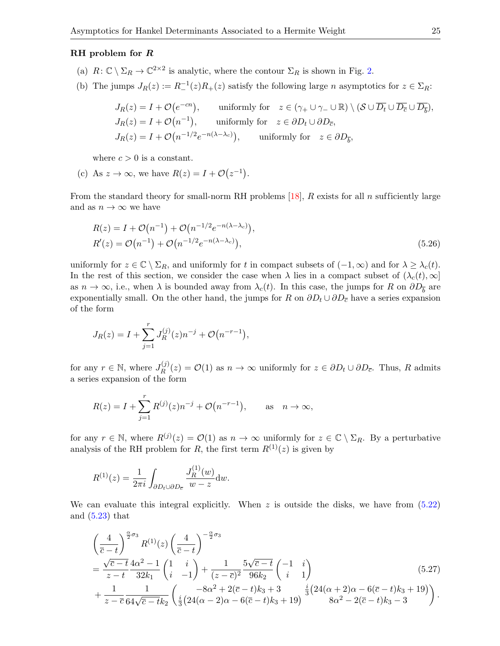#### <span id="page-25-0"></span>RH problem for R

- (a)  $R: \mathbb{C} \setminus \Sigma_R \to \mathbb{C}^{2 \times 2}$  is analytic, where the contour  $\Sigma_R$  is shown in Fig. [2.](#page-23-2)
- (b) The jumps  $J_R(z) := R^{-1}(z)R_+(z)$  satisfy the following large *n* asymptotics for  $z \in \Sigma_R$ :

<span id="page-25-4"></span>
$$
J_R(z) = I + \mathcal{O}(e^{-cn}), \qquad \text{uniformly for} \quad z \in (\gamma_+ \cup \gamma_- \cup \mathbb{R}) \setminus (\mathcal{S} \cup \overline{D_t} \cup \overline{D_c} \cup \overline{D_b}),
$$
  
\n
$$
J_R(z) = I + \mathcal{O}(n^{-1}), \qquad \text{uniformly for} \quad z \in \partial D_t \cup \partial D_{\overline{c}},
$$
  
\n
$$
J_R(z) = I + \mathcal{O}(n^{-1/2}e^{-n(\lambda - \lambda_c)}), \qquad \text{uniformly for} \quad z \in \partial D_{\overline{b}},
$$

where  $c > 0$  is a constant.

(c) As  $z \to \infty$ , we have  $R(z) = I + \mathcal{O}(z^{-1})$ .

From the standard theory for small-norm RH problems [\[18\]](#page-42-20), R exists for all n sufficiently large and as  $n \to \infty$  we have

<span id="page-25-1"></span>
$$
R(z) = I + \mathcal{O}(n^{-1}) + \mathcal{O}(n^{-1/2}e^{-n(\lambda - \lambda_c)}),
$$
  
\n
$$
R'(z) = \mathcal{O}(n^{-1}) + \mathcal{O}(n^{-1/2}e^{-n(\lambda - \lambda_c)}),
$$
\n(5.26)

uniformly for  $z \in \mathbb{C} \setminus \Sigma_R$ , and uniformly for t in compact subsets of  $(-1, \infty)$  and for  $\lambda \geq \lambda_c(t)$ . In the rest of this section, we consider the case when  $\lambda$  lies in a compact subset of  $(\lambda_c(t), \infty]$ as  $n \to \infty$ , i.e., when  $\lambda$  is bounded away from  $\lambda_c(t)$ . In this case, the jumps for R on  $\partial D_{\overline{b}}$  are exponentially small. On the other hand, the jumps for R on  $\partial D_t \cup \partial D_{\overline{c}}$  have a series expansion of the form

<span id="page-25-5"></span><span id="page-25-2"></span>
$$
J_R(z) = I + \sum_{j=1}^r J_R^{(j)}(z) n^{-j} + \mathcal{O}(n^{-r-1}),
$$

for any  $r \in \mathbb{N}$ , where  $J_R^{(j)}$  $R^{(U)}(z) = \mathcal{O}(1)$  as  $n \to \infty$  uniformly for  $z \in \partial D_t \cup \partial D_{\overline{c}}$ . Thus, R admits a series expansion of the form

$$
R(z) = I + \sum_{j=1}^{r} R^{(j)}(z) n^{-j} + \mathcal{O}(n^{-r-1}),
$$
 as  $n \to \infty$ ,

for any  $r \in \mathbb{N}$ , where  $R^{(j)}(z) = \mathcal{O}(1)$  as  $n \to \infty$  uniformly for  $z \in \mathbb{C} \setminus \Sigma_R$ . By a perturbative analysis of the RH problem for R, the first term  $R^{(1)}(z)$  is given by

<span id="page-25-3"></span>
$$
R^{(1)}(z) = \frac{1}{2\pi i} \int_{\partial D_t \cup \partial D_{\overline{c}}} \frac{J_R^{(1)}(w)}{w - z} dw.
$$

We can evaluate this integral explicitly. When  $z$  is outside the disks, we have from  $(5.22)$ and  $(5.23)$  that

<span id="page-25-6"></span>
$$
\left(\frac{4}{\bar{c}-t}\right)^{\frac{\alpha}{2}\sigma_{3}} R^{(1)}(z) \left(\frac{4}{\bar{c}-t}\right)^{-\frac{\alpha}{2}\sigma_{3}} \n= \frac{\sqrt{\bar{c}-t}}{z-t} \frac{4\alpha^{2}-1}{32k_{1}} \begin{pmatrix} 1 & i \\ i & -1 \end{pmatrix} + \frac{1}{(z-\bar{c})^{2}} \frac{5\sqrt{\bar{c}-t}}{96k_{2}} \begin{pmatrix} -1 & i \\ i & 1 \end{pmatrix} \n+ \frac{1}{z-\bar{c}} \frac{1}{64\sqrt{\bar{c}-t}k_{2}} \begin{pmatrix} -8\alpha^{2}+2(\bar{c}-t)k_{3}+3 & \frac{i}{3}(24(\alpha+2)\alpha-6(\bar{c}-t)k_{3}+19) \\ \frac{i}{3}(24(\alpha+2)\alpha-6(\bar{c}-t)k_{3}+3 & 8\alpha^{2}-2(\bar{c}-t)k_{3}-3 \end{pmatrix}.
$$
\n
$$
(5.27)
$$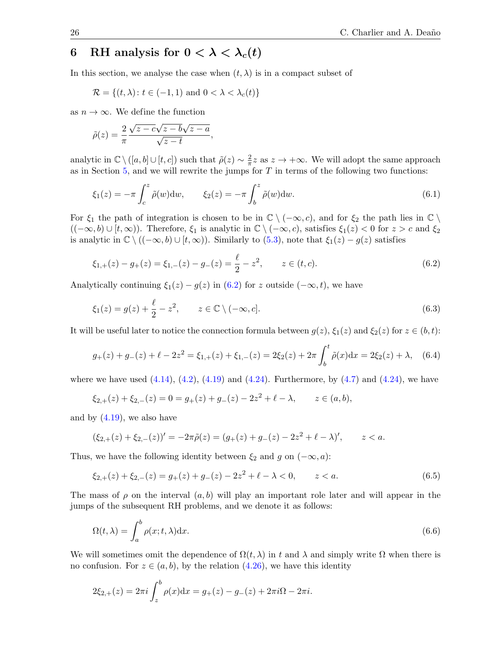# 6 RH analysis for  $0 < \lambda < \lambda_c(t)$

In this section, we analyse the case when  $(t, \lambda)$  is in a compact subset of

<span id="page-26-1"></span><span id="page-26-0"></span>
$$
\mathcal{R} = \{(t, \lambda) \colon t \in (-1, 1) \text{ and } 0 < \lambda < \lambda_c(t)\}
$$

as  $n \to \infty$ . We define the function

$$
\tilde{\rho}(z) = \frac{2}{\pi} \frac{\sqrt{z - c\sqrt{z - b}\sqrt{z - a}}}{\sqrt{z - t}},
$$

analytic in  $\mathbb{C} \setminus ([a, b] \cup [t, c])$  such that  $\tilde{\rho}(z) \sim \frac{2}{\pi}$  $\frac{2}{\pi}z$  as  $z \to +\infty$ . We will adopt the same approach as in Section  $5$ , and we will rewrite the jumps for  $T$  in terms of the following two functions:

$$
\xi_1(z) = -\pi \int_c^z \tilde{\rho}(w) \, dw, \qquad \xi_2(z) = -\pi \int_b^z \tilde{\rho}(w) \, dw. \tag{6.1}
$$

For  $\xi_1$  the path of integration is chosen to be in  $\mathbb{C} \setminus (-\infty, c)$ , and for  $\xi_2$  the path lies in  $\mathbb{C} \setminus$  $((-\infty, b) \cup [t, \infty))$ . Therefore,  $\xi_1$  is analytic in  $\mathbb{C} \setminus (-\infty, c)$ , satisfies  $\xi_1(z) < 0$  for  $z > c$  and  $\xi_2$ is analytic in  $\mathbb{C} \setminus ((-\infty, b) \cup [t, \infty))$ . Similarly to  $(5.3)$ , note that  $\xi_1(z) - g(z)$  satisfies

$$
\xi_{1,+}(z) - g_{+}(z) = \xi_{1,-}(z) - g_{-}(z) = \frac{\ell}{2} - z^2, \qquad z \in (t, c). \tag{6.2}
$$

Analytically continuing  $\xi_1(z) - g(z)$  in [\(6.2\)](#page-25-1) for z outside  $(-\infty, t)$ , we have

$$
\xi_1(z) = g(z) + \frac{\ell}{2} - z^2, \qquad z \in \mathbb{C} \setminus (-\infty, c]. \tag{6.3}
$$

It will be useful later to notice the connection formula between  $g(z)$ ,  $\xi_1(z)$  and  $\xi_2(z)$  for  $z \in (b, t)$ :

$$
g_{+}(z) + g_{-}(z) + \ell - 2z^{2} = \xi_{1,+}(z) + \xi_{1,-}(z) = 2\xi_{2}(z) + 2\pi \int_{b}^{t} \tilde{\rho}(x)dx = 2\xi_{2}(z) + \lambda, \quad (6.4)
$$

where we have used  $(4.14)$ ,  $(4.2)$ ,  $(4.19)$  and  $(4.24)$ . Furthermore, by  $(4.7)$  and  $(4.24)$ , we have

$$
\xi_{2,+}(z) + \xi_{2,-}(z) = 0 = g_+(z) + g_-(z) - 2z^2 + \ell - \lambda, \qquad z \in (a, b),
$$

and by  $(4.19)$ , we also have

$$
(\xi_{2,+}(z) + \xi_{2,-}(z))' = -2\pi \tilde{\rho}(z) = (g_+(z) + g_-(z) - 2z^2 + \ell - \lambda)', \qquad z < a.
$$

Thus, we have the following identity between  $\xi_2$  and g on  $(-\infty, a)$ :

<span id="page-26-2"></span>
$$
\xi_{2,+}(z) + \xi_{2,-}(z) = g_+(z) + g_-(z) - 2z^2 + \ell - \lambda < 0, \qquad z < a. \tag{6.5}
$$

The mass of  $\rho$  on the interval  $(a, b)$  will play an important role later and will appear in the jumps of the subsequent RH problems, and we denote it as follows:

$$
\Omega(t,\lambda) = \int_{a}^{b} \rho(x;t,\lambda) \mathrm{d}x. \tag{6.6}
$$

We will sometimes omit the dependence of  $\Omega(t,\lambda)$  in t and  $\lambda$  and simply write  $\Omega$  when there is no confusion. For  $z \in (a, b)$ , by the relation  $(4.26)$ , we have this identity

$$
2\xi_{2,+}(z) = 2\pi i \int_{z}^{b} \rho(x) dx = g_{+}(z) - g_{-}(z) + 2\pi i \Omega - 2\pi i.
$$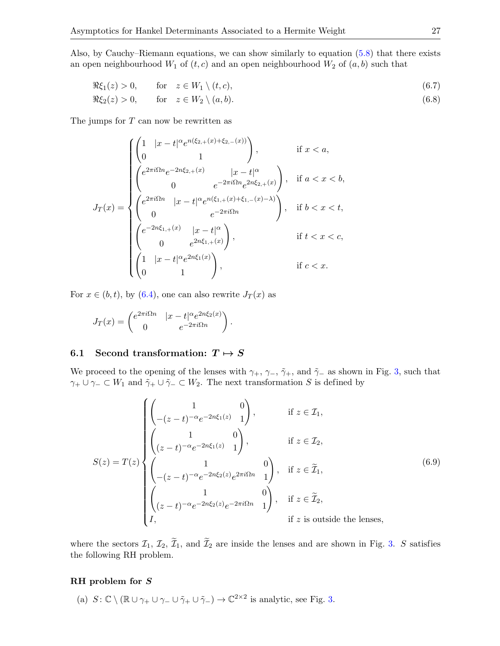Also, by Cauchy–Riemann equations, we can show similarly to equation [\(5.8\)](#page-16-3) that there exists an open neighbourhood  $W_1$  of  $(t, c)$  and an open neighbourhood  $W_2$  of  $(a, b)$  such that

$$
\Re \xi_1(z) > 0, \qquad \text{for} \quad z \in W_1 \setminus (t, c), \tag{6.7}
$$

$$
\Re \xi_2(z) > 0, \qquad \text{for} \quad z \in W_2 \setminus (a, b). \tag{6.8}
$$

The jumps for  $T$  can now be rewritten as

<span id="page-27-0"></span>
$$
J_T(x) = \begin{cases} \begin{pmatrix} 1 & |x - t|^{\alpha} e^{n(\xi_{2,+}(x) + \xi_{2,-}(x))} \\ 0 & 1 \end{pmatrix}, & \text{if } x < a, \\ \begin{pmatrix} e^{2\pi i \Omega n} e^{-2n\xi_{2,+}(x)} & |x - t|^{\alpha} \\ 0 & e^{-2\pi i \Omega n} e^{2n\xi_{2,+}(x)} \end{pmatrix}, & \text{if } a < x < b, \\ \begin{pmatrix} e^{2\pi i \Omega n} & |x - t|^{\alpha} e^{n(\xi_{1,+}(x) + \xi_{1,-}(x) - \lambda)} \\ 0 & e^{-2\pi i \Omega n} \end{pmatrix}, & \text{if } b < x < t, \\ \begin{pmatrix} e^{-2n\xi_{1,+}(x)} & |x - t|^{\alpha} \\ 0 & e^{2n\xi_{1,+}(x)} \end{pmatrix}, & \text{if } t < x < c, \\ \begin{pmatrix} 1 & |x - t|^{\alpha} e^{2n\xi_1(x)} \\ 0 & 1 \end{pmatrix}, & \text{if } c < x. \end{cases}
$$

For  $x \in (b, t)$ , by  $(6.4)$ , one can also rewrite  $J_T(x)$  as

$$
J_T(x) = \begin{pmatrix} e^{2\pi i \Omega n} & |x - t|^\alpha e^{2n\xi_2(x)} \\ 0 & e^{-2\pi i \Omega n} \end{pmatrix}.
$$

#### 6.1 Second transformation:  $T \mapsto S$

We proceed to the opening of the lenses with  $\gamma_+$ ,  $\gamma_-$ ,  $\tilde{\gamma}_+$ , and  $\tilde{\gamma}_-$  as shown in Fig. [3,](#page-27-0) such that  $\gamma_+ \cup \gamma_- \subset W_1$  and  $\tilde{\gamma}_+ \cup \tilde{\gamma}_- \subset W_2$ . The next transformation S is defined by

$$
S(z) = T(z) \begin{cases} \begin{pmatrix} 1 & 0 \\ -(z-t)^{-\alpha}e^{-2n\xi_1(z)} & 1 \end{pmatrix}, & \text{if } z \in \mathcal{I}_1, \\ \begin{pmatrix} 1 & 0 \\ (z-t)^{-\alpha}e^{-2n\xi_1(z)} & 1 \end{pmatrix}, & \text{if } z \in \mathcal{I}_2, \\ \begin{pmatrix} 1 & 0 \\ -(z-t)^{-\alpha}e^{-2n\xi_2(z)}e^{2\pi i \Omega n} & 1 \end{pmatrix}, & \text{if } z \in \widetilde{\mathcal{I}}_1, \\ \begin{pmatrix} 1 & 0 \\ (z-t)^{-\alpha}e^{-2n\xi_2(z)}e^{-2\pi i \Omega n} & 1 \end{pmatrix}, & \text{if } z \in \widetilde{\mathcal{I}}_2, \\ I, & \text{if } z \text{ is outside the lenses,} \end{cases}
$$
(6.9)

where the sectors  $\mathcal{I}_1, \mathcal{I}_2, \widetilde{\mathcal{I}}_1$ , and  $\widetilde{\mathcal{I}}_2$  are inside the lenses and are shown in Fig. [3.](#page-27-0) S satisfies the following RH problem.

#### RH problem for S

(a)  $S: \mathbb{C} \setminus (\mathbb{R} \cup \gamma_+ \cup \gamma_- \cup \tilde{\gamma}_+ \cup \tilde{\gamma}_-) \to \mathbb{C}^{2 \times 2}$  is analytic, see Fig. [3.](#page-27-0)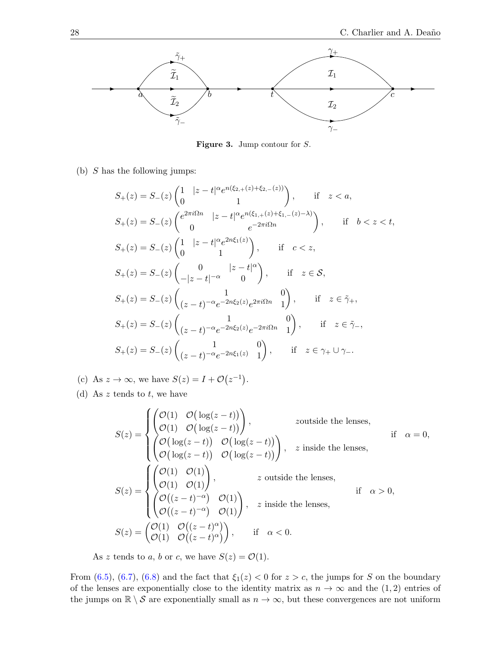

Figure 3. Jump contour for S.

(b)  $S$  has the following jumps:

<span id="page-28-1"></span><span id="page-28-0"></span>
$$
S_{+}(z) = S_{-}(z) \begin{pmatrix} 1 & |z - t|^{\alpha} e^{n(\xi_{2,+}(z) + \xi_{2,-}(z))} \\ 0 & 1 \end{pmatrix}, \quad \text{if} \quad z < a,
$$
  
\n
$$
S_{+}(z) = S_{-}(z) \begin{pmatrix} e^{2\pi i \Omega n} & |z - t|^{\alpha} e^{n(\xi_{1,+}(z) + \xi_{1,-}(z) - \lambda)} \\ 0 & e^{-2\pi i \Omega n} \end{pmatrix}, \quad \text{if} \quad b < z < t,
$$
  
\n
$$
S_{+}(z) = S_{-}(z) \begin{pmatrix} 1 & |z - t|^{\alpha} e^{2n\xi_{1}(z)} \\ 0 & 1 \end{pmatrix}, \quad \text{if} \quad c < z,
$$
  
\n
$$
S_{+}(z) = S_{-}(z) \begin{pmatrix} 0 & |z - t|^{\alpha} \\ -|z - t|^{-\alpha} & 0 \end{pmatrix}, \quad \text{if} \quad z \in S,
$$
  
\n
$$
S_{+}(z) = S_{-}(z) \begin{pmatrix} 1 & 0 \\ (z - t)^{-\alpha} e^{-2n\xi_{2}(z)} e^{2\pi i \Omega n} & 1 \end{pmatrix}, \quad \text{if} \quad z \in \tilde{\gamma}_{+},
$$
  
\n
$$
S_{+}(z) = S_{-}(z) \begin{pmatrix} 1 & 0 \\ (z - t)^{-\alpha} e^{-2n\xi_{2}(z)} e^{-2\pi i \Omega n} & 1 \end{pmatrix}, \quad \text{if} \quad z \in \tilde{\gamma}_{-},
$$
  
\n
$$
S_{+}(z) = S_{-}(z) \begin{pmatrix} 1 & 0 \\ (z - t)^{-\alpha} e^{-2n\xi_{1}(z)} & 1 \end{pmatrix}, \quad \text{if} \quad z \in \gamma_{+} \cup \gamma_{-}.
$$

(c) As  $z \to \infty$ , we have  $S(z) = I + \mathcal{O}(z^{-1})$ .

(d) As  $z$  tends to  $t$ , we have

$$
S(z) = \begin{cases} \begin{pmatrix} \mathcal{O}(1) & \mathcal{O}(\log(z-t)) \\ \mathcal{O}(1) & \mathcal{O}(\log(z-t)) \end{pmatrix}, & z \text{outside the lenses}, \\ \begin{pmatrix} \mathcal{O}(\log(z-t)) & \mathcal{O}(\log(z-t)) \\ \mathcal{O}(\log(z-t)) & \mathcal{O}(\log(z-t)) \end{pmatrix}, & z \text{ inside the lenses}, \\ S(z) = \begin{cases} \begin{pmatrix} \mathcal{O}(1) & \mathcal{O}(1) \\ \mathcal{O}(1) & \mathcal{O}(1) \end{pmatrix}, & z \text{ outside the lenses}, \\ \begin{pmatrix} \mathcal{O}((z-t)^{-\alpha}) & \mathcal{O}(1) \\ \mathcal{O}((z-t)^{-\alpha}) & \mathcal{O}(1) \end{pmatrix}, & z \text{ inside the lenses}, \\ S(z) = \begin{pmatrix} \mathcal{O}(1) & \mathcal{O}((z-t)^{\alpha}) \\ \mathcal{O}((z-t)^{\alpha}) & \mathcal{O}((z-t)^{\alpha}) \end{pmatrix}, & \text{if } \alpha < 0. \end{cases}
$$

As z tends to a, b or c, we have  $S(z) = \mathcal{O}(1)$ .

From [\(6.5\)](#page-25-3), [\(6.7\)](#page-26-0), [\(6.8\)](#page-26-1) and the fact that  $\xi_1(z) < 0$  for  $z > c$ , the jumps for S on the boundary of the lenses are exponentially close to the identity matrix as  $n \to \infty$  and the (1,2) entries of the jumps on  $\mathbb{R} \setminus S$  are exponentially small as  $n \to \infty$ , but these convergences are not uniform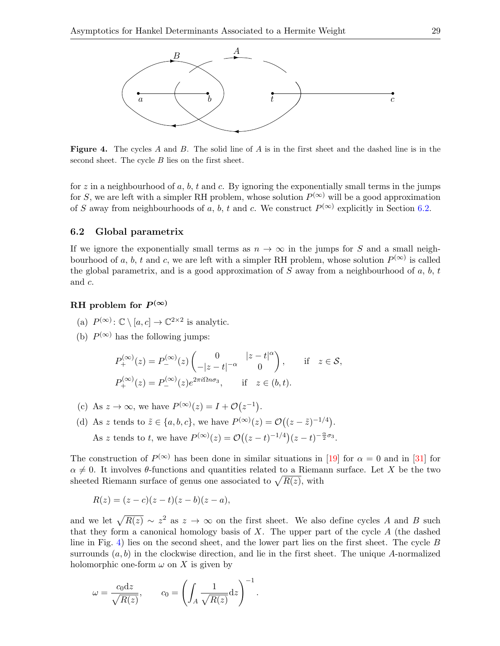<span id="page-29-0"></span>

**Figure 4.** The cycles A and B. The solid line of A is in the first sheet and the dashed line is in the second sheet. The cycle B lies on the first sheet.

for z in a neighbourhood of a, b, t and c. By ignoring the exponentially small terms in the jumps for S, we are left with a simpler RH problem, whose solution  $P^{(\infty)}$  will be a good approximation of S away from neighbourhoods of a, b, t and c. We construct  $P^{(\infty)}$  explicitly in Section [6.2.](#page-28-0)

#### 6.2 Global parametrix

If we ignore the exponentially small terms as  $n \to \infty$  in the jumps for S and a small neighbourhood of a, b, t and c, we are left with a simpler RH problem, whose solution  $P^{(\infty)}$  is called the global parametrix, and is a good approximation of  $S$  away from a neighbourhood of  $a, b, t$ and c.

# RH problem for  $P^{(\infty)}$

- (a)  $P^{(\infty)}: \mathbb{C} \setminus [a, c] \to \mathbb{C}^{2 \times 2}$  is analytic.
- (b)  $P^{(\infty)}$  has the following jumps:

$$
P_{+}^{(\infty)}(z) = P_{-}^{(\infty)}(z) \begin{pmatrix} 0 & |z - t|^{\alpha} \\ -|z - t|^{-\alpha} & 0 \end{pmatrix}, \quad \text{if} \quad z \in \mathcal{S},
$$
  

$$
P_{+}^{(\infty)}(z) = P_{-}^{(\infty)}(z)e^{2\pi i\Omega n\sigma_{3}}, \quad \text{if} \quad z \in (b, t).
$$

- (c) As  $z \to \infty$ , we have  $P^{(\infty)}(z) = I + \mathcal{O}(z^{-1}).$
- (d) As z tends to  $\tilde{z} \in \{a, b, c\}$ , we have  $P^{(\infty)}(z) = \mathcal{O}((z \tilde{z})^{-1/4})$ . As z tends to t, we have  $P^{(\infty)}(z) = \mathcal{O}\left((z-t)^{-1/4}\right)(z-t)^{-\frac{\alpha}{2}\sigma_3}$ .

The construction of  $P^{(\infty)}$  has been done in similar situations in [\[19\]](#page-42-21) for  $\alpha = 0$  and in [\[31\]](#page-42-22) for  $\alpha \neq 0$ . It involves  $\theta$ -functions and quantities related to a Riemann surface. Let X be the two sheeted Riemann surface of genus one associated to  $\sqrt{R(z)}$ , with

$$
R(z) = (z - c)(z - t)(z - b)(z - a),
$$

and we let  $\sqrt{R(z)} \sim z^2$  as  $z \to \infty$  on the first sheet. We also define cycles A and B such that they form a canonical homology basis of  $X$ . The upper part of the cycle  $A$  (the dashed line in Fig. [4\)](#page-28-1) lies on the second sheet, and the lower part lies on the first sheet. The cycle B surrounds  $(a, b)$  in the clockwise direction, and lie in the first sheet. The unique A-normalized holomorphic one-form  $\omega$  on X is given by

$$
\omega = \frac{c_0 \mathrm{d}z}{\sqrt{R(z)}}, \qquad c_0 = \left( \int_A \frac{1}{\sqrt{R(z)}} \mathrm{d}z \right)^{-1}.
$$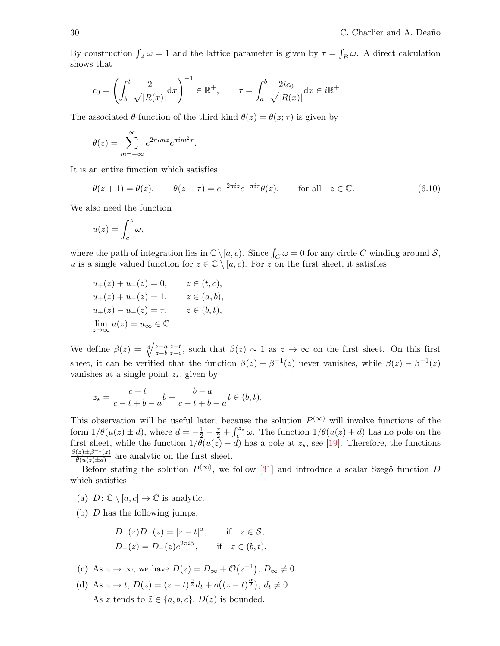By construction  $\int_A \omega = 1$  and the lattice parameter is given by  $\tau = \int_B \omega$ . A direct calculation shows that

<span id="page-30-1"></span>
$$
c_0 = \left(\int_b^t \frac{2}{\sqrt{|R(x)|}} dx\right)^{-1} \in \mathbb{R}^+, \qquad \tau = \int_a^b \frac{2ic_0}{\sqrt{|R(x)|}} dx \in i\mathbb{R}^+.
$$

The associated  $\theta$ -function of the third kind  $\theta(z) = \theta(z;\tau)$  is given by

$$
\theta(z) = \sum_{m=-\infty}^{\infty} e^{2\pi i m z} e^{\pi i m^2 \tau}.
$$

It is an entire function which satisfies

$$
\theta(z+1) = \theta(z), \qquad \theta(z+\tau) = e^{-2\pi i z} e^{-\pi i \tau} \theta(z), \qquad \text{for all} \quad z \in \mathbb{C}.
$$
 (6.10)

We also need the function

<span id="page-30-0"></span>
$$
u(z) = \int_c^z \omega,
$$

where the path of integration lies in  $\mathbb{C} \setminus [a, c)$ . Since  $\int_C \omega = 0$  for any circle C winding around S, u is a single valued function for  $z \in \mathbb{C} \setminus [a, c)$ . For z on the first sheet, it satisfies

$$
u_{+}(z) + u_{-}(z) = 0, \t z \in (t, c),
$$
  
\n
$$
u_{+}(z) + u_{-}(z) = 1, \t z \in (a, b),
$$
  
\n
$$
u_{+}(z) - u_{-}(z) = \tau, \t z \in (b, t),
$$
  
\n
$$
\lim_{z \to \infty} u(z) = u_{\infty} \in \mathbb{C}.
$$

We define  $\beta(z) = \sqrt[4]{\frac{z-a}{z-b}}$  $z-b$  $\frac{z-t}{z}$  $\frac{z-t}{z-c}$ , such that  $\beta(z) \sim 1$  as  $z \to \infty$  on the first sheet. On this first sheet, it can be verified that the function  $\beta(z) + \beta^{-1}(z)$  never vanishes, while  $\beta(z) - \beta^{-1}(z)$ vanishes at a single point  $z_{\star}$ , given by

$$
z_{\star} = \frac{c - t}{c - t + b - a}b + \frac{b - a}{c - t + b - a}t \in (b, t).
$$

This observation will be useful later, because the solution  $P^{(\infty)}$  will involve functions of the form  $1/\theta(u(z) \pm d)$ , where  $d = -\frac{1}{2} - \frac{\tau}{2} + \int_{c}^{z_{\star}} \omega$ . The function  $1/\theta(u(z) + d)$  has no pole on the first sheet, while the function  $1/\theta(u(z) - d)$  has a pole at  $z_{\star}$ , see [\[19\]](#page-42-21). Therefore, the functions  $\frac{\beta(z) \pm \beta^{-1}(z)}{z}$  $\frac{z}{\theta(u(z) \pm d)}$  are analytic on the first sheet.

Before stating the solution  $P^{(\infty)}$ , we follow [\[31\]](#page-42-22) and introduce a scalar Szegő function D which satisfies

(a)  $D: \mathbb{C} \setminus [a, c] \to \mathbb{C}$  is analytic.

(b)  $D$  has the following jumps:

$$
D_{+}(z)D_{-}(z) = |z - t|^{\alpha}, \quad \text{if} \quad z \in \mathcal{S},
$$
  

$$
D_{+}(z) = D_{-}(z)e^{2\pi i \tilde{\alpha}}, \quad \text{if} \quad z \in (b, t).
$$

(c) As 
$$
z \to \infty
$$
, we have  $D(z) = D_{\infty} + \mathcal{O}(z^{-1}), D_{\infty} \neq 0$ .

(d) As 
$$
z \to t
$$
,  $D(z) = (z - t)^{\frac{\alpha}{2}} d_t + o((z - t)^{\frac{\alpha}{2}})$ ,  $d_t \neq 0$ .  
As  $z$  tends to  $\tilde{z} \in \{a, b, c\}$ ,  $D(z)$  is bounded.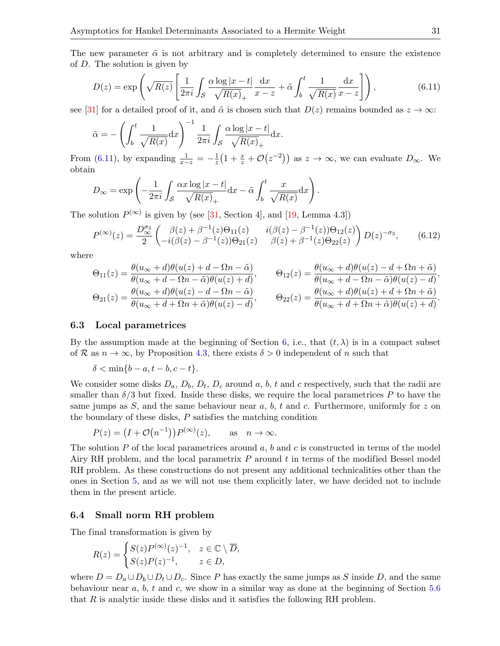The new parameter  $\tilde{\alpha}$  is not arbitrary and is completely determined to ensure the existence of D. The solution is given by

$$
D(z) = \exp\left(\sqrt{R(z)} \left[\frac{1}{2\pi i} \int_{\mathcal{S}} \frac{\alpha \log|x-t|}{\sqrt{R(x)}_{+}} \frac{\mathrm{d}x}{x-z} + \tilde{\alpha} \int_{b}^{t} \frac{1}{\sqrt{R(x)}} \frac{\mathrm{d}x}{x-z}\right]\right),\tag{6.11}
$$

see [\[31\]](#page-42-22) for a detailed proof of it, and  $\tilde{\alpha}$  is chosen such that  $D(z)$  remains bounded as  $z \to \infty$ :

<span id="page-31-1"></span>
$$
\tilde{\alpha} = -\left(\int_b^t \frac{1}{\sqrt{R(x)}} dx\right)^{-1} \frac{1}{2\pi i} \int_{\mathcal{S}} \frac{\alpha \log|x - t|}{\sqrt{R(x)}} dx.
$$

From [\(6.11\)](#page-30-1), by expanding  $\frac{1}{x-z} = -\frac{1}{z}$  $\frac{1}{z}(1+\frac{x}{z}+\mathcal{O}(z^{-2}))$  as  $z\to\infty$ , we can evaluate  $D_{\infty}$ . We obtain

$$
D_{\infty} = \exp\left(-\frac{1}{2\pi i} \int_{\mathcal{S}} \frac{\alpha x \log|x-t|}{\sqrt{R(x)}_{+}} dx - \tilde{\alpha} \int_{b}^{t} \frac{x}{\sqrt{R(x)}} dx\right).
$$

The solution  $P^{(\infty)}$  is given by (see [\[31,](#page-42-22) Section 4], and [\[19,](#page-42-21) Lemma 4.3])

$$
P^{(\infty)}(z) = \frac{D_{\infty}^{\sigma_3}}{2} \begin{pmatrix} \beta(z) + \beta^{-1}(z)\Theta_{11}(z) & i(\beta(z) - \beta^{-1}(z))\Theta_{12}(z) \\ -i(\beta(z) - \beta^{-1}(z))\Theta_{21}(z) & \beta(z) + \beta^{-1}(z)\Theta_{22}(z) \end{pmatrix} D(z)^{-\sigma_3}, \quad (6.12)
$$

where

<span id="page-31-3"></span>
$$
\Theta_{11}(z) = \frac{\theta(u_{\infty} + d)\theta(u(z) + d - \Omega n - \tilde{\alpha})}{\theta(u_{\infty} + d - \Omega n - \tilde{\alpha})\theta(u(z) + d)}, \qquad \Theta_{12}(z) = \frac{\theta(u_{\infty} + d)\theta(u(z) - d + \Omega n + \tilde{\alpha})}{\theta(u_{\infty} + d - \Omega n - \tilde{\alpha})\theta(u(z) - d)},
$$
  

$$
\Theta_{21}(z) = \frac{\theta(u_{\infty} + d)\theta(u(z) - d - \Omega n - \tilde{\alpha})}{\theta(u_{\infty} + d + \Omega n + \tilde{\alpha})\theta(u(z) - d)}, \qquad \Theta_{22}(z) = \frac{\theta(u_{\infty} + d)\theta(u(z) + d + \Omega n + \tilde{\alpha})}{\theta(u_{\infty} + d + \Omega n + \tilde{\alpha})\theta(u(z) + d)}.
$$

#### 6.3 Local parametrices

<span id="page-31-0"></span>By the assumption made at the beginning of Section [6,](#page-25-0) i.e., that  $(t, \lambda)$  is in a compact subset of R as  $n \to \infty$ , by Proposition [4.3,](#page-11-0) there exists  $\delta > 0$  independent of n such that

$$
\delta < \min\{b-a, t-b, c-t\}.
$$

We consider some disks  $D_a$ ,  $D_b$ ,  $D_t$ ,  $D_c$  around a, b, t and c respectively, such that the radii are smaller than  $\delta/3$  but fixed. Inside these disks, we require the local parametrices P to have the same jumps as S, and the same behaviour near a, b, t and c. Furthermore, uniformly for z on the boundary of these disks, P satisfies the matching condition

<span id="page-31-2"></span>
$$
P(z) = (I + \mathcal{O}(n^{-1}))P^{(\infty)}(z), \quad \text{as} \quad n \to \infty.
$$

The solution  $P$  of the local parametrices around  $a, b$  and  $c$  is constructed in terms of the model Airy RH problem, and the local parametrix  $P$  around  $t$  in terms of the modified Bessel model RH problem. As these constructions do not present any additional technicalities other than the ones in Section [5,](#page-15-0) and as we will not use them explicitly later, we have decided not to include them in the present article.

#### 6.4 Small norm RH problem

The final transformation is given by

$$
R(z) = \begin{cases} S(z)P^{(\infty)}(z)^{-1}, & z \in \mathbb{C} \setminus \overline{D}, \\ S(z)P(z)^{-1}, & z \in D, \end{cases}
$$

where  $D = D_a \cup D_b \cup D_t \cup D_c$ . Since P has exactly the same jumps as S inside D, and the same behaviour near  $a, b, t$  and  $c$ , we show in a similar way as done at the beginning of Section  $5.6$ that R is analytic inside these disks and it satisfies the following RH problem.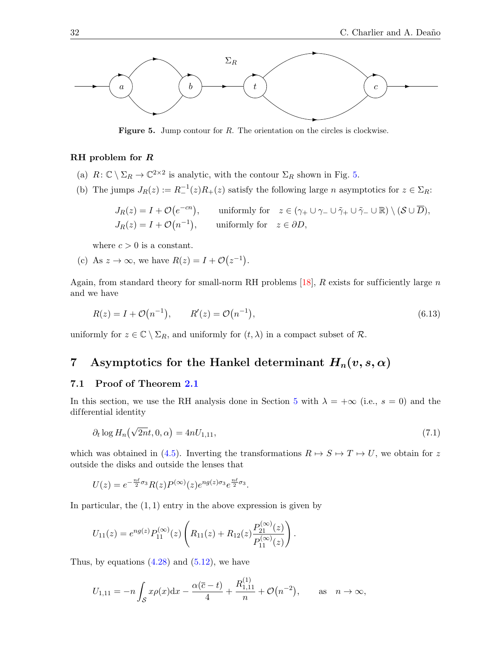

<span id="page-32-0"></span>Figure 5. Jump contour for R. The orientation on the circles is clockwise.

#### RH problem for R

- (a)  $R: \mathbb{C} \setminus \Sigma_R \to \mathbb{C}^{2 \times 2}$  is analytic, with the contour  $\Sigma_R$  shown in Fig. [5.](#page-31-1)
- (b) The jumps  $J_R(z) := R^{-1}(z)R_+(z)$  satisfy the following large *n* asymptotics for  $z \in \Sigma_R$ :

$$
J_R(z) = I + \mathcal{O}(e^{-cn}), \quad \text{uniformly for} \quad z \in (\gamma_+ \cup \gamma_- \cup \tilde{\gamma}_+ \cup \tilde{\gamma}_- \cup \mathbb{R}) \setminus (\mathcal{S} \cup \overline{D}),
$$
  

$$
J_R(z) = I + \mathcal{O}(n^{-1}), \quad \text{uniformly for} \quad z \in \partial D,
$$

where  $c > 0$  is a constant.

(c) As  $z \to \infty$ , we have  $R(z) = I + \mathcal{O}(z^{-1})$ .

Again, from standard theory for small-norm RH problems  $[18]$ , R exists for sufficiently large n and we have

$$
R(z) = I + \mathcal{O}(n^{-1}), \qquad R'(z) = \mathcal{O}(n^{-1}), \tag{6.13}
$$

uniformly for  $z \in \mathbb{C} \setminus \Sigma_R$ , and uniformly for  $(t, \lambda)$  in a compact subset of  $\mathcal{R}$ .

# 7 Asymptotics for the Hankel determinant  $H_n(v, s, \alpha)$

#### 7.1 Proof of Theorem [2.1](#page-5-1)

In this section, we use the RH analysis done in Section [5](#page-15-0) with  $\lambda = +\infty$  (i.e.,  $s = 0$ ) and the differential identity

<span id="page-32-2"></span><span id="page-32-1"></span>
$$
\partial_t \log H_n(\sqrt{2n}t, 0, \alpha) = 4nU_{1,11},\tag{7.1}
$$

which was obtained in [\(4.5\)](#page-10-0). Inverting the transformations  $R \mapsto S \mapsto T \mapsto U$ , we obtain for z outside the disks and outside the lenses that

<span id="page-32-3"></span>
$$
U(z) = e^{-\frac{n\ell}{2}\sigma_3} R(z) P^{(\infty)}(z) e^{n g(z)\sigma_3} e^{\frac{n\ell}{2}\sigma_3}.
$$

In particular, the  $(1, 1)$  entry in the above expression is given by

$$
U_{11}(z) = e^{ng(z)} P_{11}^{(\infty)}(z) \left( R_{11}(z) + R_{12}(z) \frac{P_{21}^{(\infty)}(z)}{P_{11}^{(\infty)}(z)} \right).
$$

Thus, by equations  $(4.28)$  and  $(5.12)$ , we have

<span id="page-32-4"></span>
$$
U_{1,11} = -n \int_{\mathcal{S}} x \rho(x) dx - \frac{\alpha(\overline{c} - t)}{4} + \frac{R_{1,11}^{(1)}}{n} + \mathcal{O}(n^{-2}), \quad \text{as} \quad n \to \infty,
$$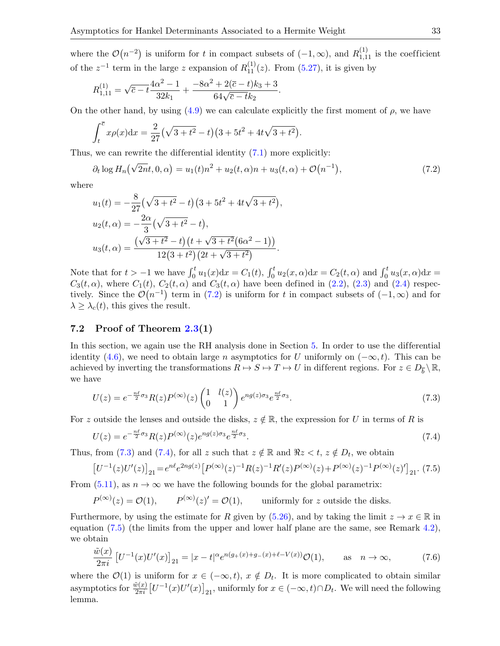<span id="page-33-8"></span>where the  $\mathcal{O}(n^{-2})$  is uniform for t in compact subsets of  $(-1,\infty)$ , and  $R_{1,11}^{(1)}$  is the coefficient of the  $z^{-1}$  term in the large z expansion of  $R_{11}^{(1)}(z)$ . From [\(5.27\)](#page-24-0), it is given by

<span id="page-33-5"></span>
$$
R_{1,11}^{(1)} = \sqrt{\overline{c} - t} \frac{4\alpha^2 - 1}{32k_1} + \frac{-8\alpha^2 + 2(\overline{c} - t)k_3 + 3}{64\sqrt{\overline{c} - t}k_2}.
$$

On the other hand, by using  $(4.9)$  we can calculate explicitly the first moment of  $\rho$ , we have

<span id="page-33-7"></span>
$$
\int_t^{\overline{c}} x \rho(x) dx = \frac{2}{27} (\sqrt{3+t^2} - t) (3 + 5t^2 + 4t\sqrt{3+t^2}).
$$

Thus, we can rewrite the differential identity  $(7.1)$  more explicitly:

<span id="page-33-1"></span>
$$
\partial_t \log H_n(\sqrt{2n}t, 0, \alpha) = u_1(t)n^2 + u_2(t, \alpha)n + u_3(t, \alpha) + \mathcal{O}(n^{-1}), \tag{7.2}
$$

where

<span id="page-33-0"></span>
$$
u_1(t) = -\frac{8}{27}(\sqrt{3+t^2} - t)(3+5t^2+4t\sqrt{3+t^2}),
$$
  
\n
$$
u_2(t,\alpha) = -\frac{2\alpha}{3}(\sqrt{3+t^2} - t),
$$
  
\n
$$
u_3(t,\alpha) = \frac{(\sqrt{3+t^2} - t)(t+\sqrt{3+t^2}(6\alpha^2 - 1))}{12(3+t^2)(2t+\sqrt{3+t^2})}.
$$

Note that for  $t > -1$  we have  $\int_0^t u_1(x) dx = C_1(t)$ ,  $\int_0^t u_2(x, \alpha) dx = C_2(t, \alpha)$  and  $\int_0^t u_3(x, \alpha) dx =$  $C_3(t, \alpha)$ , where  $C_1(t)$ ,  $C_2(t, \alpha)$  and  $C_3(t, \alpha)$  have been defined in [\(2.2\)](#page-5-2), [\(2.3\)](#page-5-5) and [\(2.4\)](#page-5-6) respectively. Since the  $\mathcal{O}(n^{-1})$  term in [\(7.2\)](#page-32-0) is uniform for t in compact subsets of  $(-1,\infty)$  and for  $\lambda \geq \lambda_c(t)$ , this gives the result.

#### 7.2 Proof of Theorem [2.3\(](#page-6-1)1)

In this section, we again use the RH analysis done in Section [5.](#page-15-0) In order to use the differential identity [\(4.6\)](#page-10-3), we need to obtain large n asymptotics for U uniformly on  $(-\infty, t)$ . This can be achieved by inverting the transformations  $R \mapsto S \mapsto T \mapsto U$  in different regions. For  $z \in D_{\overline{b}} \setminus \mathbb{R}$ , we have

<span id="page-33-4"></span><span id="page-33-2"></span>
$$
U(z) = e^{-\frac{n\ell}{2}\sigma_3} R(z) P^{(\infty)}(z) \begin{pmatrix} 1 & l(z) \\ 0 & 1 \end{pmatrix} e^{n g(z)\sigma_3} e^{\frac{n\ell}{2}\sigma_3}.
$$
 (7.3)

For z outside the lenses and outside the disks,  $z \notin \mathbb{R}$ , the expression for U in terms of R is

<span id="page-33-3"></span>
$$
U(z) = e^{-\frac{n\ell}{2}\sigma_3} R(z) P^{(\infty)}(z) e^{n g(z)\sigma_3} e^{\frac{n\ell}{2}\sigma_3}.
$$
\n
$$
(7.4)
$$

Thus, from [\(7.3\)](#page-32-1) and [\(7.4\)](#page-32-2), for all z such that  $z \notin \mathbb{R}$  and  $\Re z < t$ ,  $z \notin D_t$ , we obtain

$$
\left[U^{-1}(z)U'(z)\right]_{21} = e^{n\ell}e^{2ng(z)}\left[P^{(\infty)}(z)^{-1}R(z)^{-1}R'(z)P^{(\infty)}(z) + P^{(\infty)}(z)^{-1}P^{(\infty)}(z)'\right]_{21}.\tag{7.5}
$$

From [\(5.11\)](#page-18-2), as  $n \to \infty$  we have the following bounds for the global parametrix:

<span id="page-33-6"></span>
$$
P^{(\infty)}(z) = \mathcal{O}(1),
$$
  $P^{(\infty)}(z)' = \mathcal{O}(1),$  uniformly for z outside the disks.

Furthermore, by using the estimate for R given by [\(5.26\)](#page-24-1), and by taking the limit  $z \to x \in \mathbb{R}$  in equation  $(7.5)$  (the limits from the upper and lower half plane are the same, see Remark [4.2\)](#page-11-4), we obtain

$$
\frac{\tilde{w}(x)}{2\pi i} \left[ U^{-1}(x)U'(x) \right]_{21} = |x - t|^{\alpha} e^{n(g_+(x) + g_-(x) + \ell - V(x))} \mathcal{O}(1), \quad \text{as} \quad n \to \infty,
$$
\n(7.6)

where the  $\mathcal{O}(1)$  is uniform for  $x \in (-\infty, t)$ ,  $x \notin D_t$ . It is more complicated to obtain similar asymptotics for  $\frac{\tilde{w}(x)}{2\pi i} [U^{-1}(x)U'(x)]_{21}$ , uniformly for  $x \in (-\infty, t) \cap D_t$ . We will need the following lemma.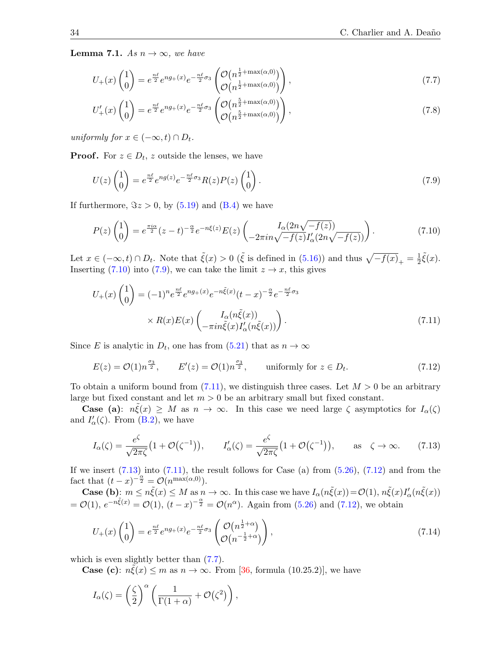**Lemma 7.1.** As  $n \to \infty$ , we have

$$
U_{+}(x)\begin{pmatrix}1\\0\end{pmatrix} = e^{\frac{n\ell}{2}}e^{ng_{+}(x)}e^{-\frac{n\ell}{2}\sigma_{3}}\begin{pmatrix}\mathcal{O}\left(n^{\frac{1}{2}+\max(\alpha,0)}\right)\\ \mathcal{O}\left(n^{\frac{1}{2}+\max(\alpha,0)}\right)\end{pmatrix},\tag{7.7}
$$

$$
U'_{+}(x)\begin{pmatrix}1\\0\end{pmatrix} = e^{\frac{n\ell}{2}}e^{ng_{+}(x)}e^{-\frac{n\ell}{2}\sigma_{3}}\begin{pmatrix}\mathcal{O}\left(n^{\frac{5}{2}+\max(\alpha,0)}\right)\\ \mathcal{O}\left(n^{\frac{5}{2}+\max(\alpha,0)}\right)\end{pmatrix},\tag{7.8}
$$

uniformly for  $x \in (-\infty, t) \cap D_t$ .

**Proof.** For  $z \in D_t$ , z outside the lenses, we have

$$
U(z)\begin{pmatrix}1\\0\end{pmatrix} = e^{\frac{n\ell}{2}}e^{ng(z)}e^{-\frac{n\ell}{2}\sigma_3}R(z)P(z)\begin{pmatrix}1\\0\end{pmatrix}.
$$
 (7.9)

If furthermore,  $\Im z > 0$ , by  $(5.19)$  and  $(B.4)$  we have

$$
P(z)\begin{pmatrix}1\\0\end{pmatrix} = e^{\frac{\pi i \alpha}{2}}(z-t)^{-\frac{\alpha}{2}}e^{-n\xi(z)}E(z)\begin{pmatrix}I_{\alpha}(2n\sqrt{-f(z)})\\-2\pi i n\sqrt{-f(z)}I'_{\alpha}(2n\sqrt{-f(z)})\end{pmatrix}.
$$
 (7.10)

Let  $x \in (-\infty, t) \cap D_t$ . Note that  $\tilde{\xi}(x) > 0$  ( $\tilde{\xi}$  is defined in [\(5.16\)](#page-20-2)) and thus  $\sqrt{-f(x)}_{+} = \frac{1}{2}$  $\frac{1}{2}\tilde{\xi}(x).$ Inserting [\(7.10\)](#page-33-0) into [\(7.9\)](#page-33-1), we can take the limit  $z \to x$ , this gives

$$
U_{+}(x)\begin{pmatrix}1\\0\end{pmatrix} = (-1)^{n}e^{\frac{n\ell}{2}}e^{ng_{+}(x)}e^{-n\tilde{\xi}(x)}(t-x)^{-\frac{\alpha}{2}}e^{-\frac{n\ell}{2}\sigma_{3}}\\ \times R(x)E(x)\begin{pmatrix}I_{\alpha}(n\tilde{\xi}(x))\\-\pi i n\tilde{\xi}(x)I'_{\alpha}(n\tilde{\xi}(x))\end{pmatrix}.
$$
\n(7.11)

Since E is analytic in  $D_t$ , one has from  $(5.21)$  that as  $n \to \infty$ 

$$
E(z) = \mathcal{O}(1)n^{\frac{\sigma_3}{2}}, \qquad E'(z) = \mathcal{O}(1)n^{\frac{\sigma_3}{2}}, \qquad \text{uniformly for } z \in D_t.
$$
 (7.12)

To obtain a uniform bound from [\(7.11\)](#page-33-2), we distinguish three cases. Let  $M > 0$  be an arbitrary large but fixed constant and let  $m > 0$  be an arbitrary small but fixed constant.

**Case** (a):  $n\xi(x) \geq M$  as  $n \to \infty$ . In this case we need large  $\zeta$  asymptotics for  $I_{\alpha}(\zeta)$ and  $I'_{\alpha}(\zeta)$ . From [\(B.2\)](#page-40-3), we have

$$
I_{\alpha}(\zeta) = \frac{e^{\zeta}}{\sqrt{2\pi\zeta}} \left(1 + \mathcal{O}(\zeta^{-1})\right), \qquad I_{\alpha}'(\zeta) = \frac{e^{\zeta}}{\sqrt{2\pi\zeta}} \left(1 + \mathcal{O}(\zeta^{-1})\right), \qquad \text{as} \quad \zeta \to \infty. \tag{7.13}
$$

If we insert  $(7.13)$  into  $(7.11)$ , the result follows for Case (a) from  $(5.26)$ ,  $(7.12)$  and from the fact that  $(t-x)^{-\frac{\alpha}{2}} = \mathcal{O}(n^{\max(\alpha,0)})$ .

**Case (b)**:  $m \leq n\tilde{\xi}(x) \leq M$  as  $n \to \infty$ . In this case we have  $I_{\alpha}(n\tilde{\xi}(x)) = \mathcal{O}(1)$ ,  $n\tilde{\xi}(x)I'_{\alpha}(n\tilde{\xi}(x))$  $= \mathcal{O}(1), e^{-n\tilde{\xi}(x)} = \mathcal{O}(1), (t-x)^{-\frac{\alpha}{2}} = \mathcal{O}(n^{\alpha}).$  Again from [\(5.26\)](#page-24-1) and [\(7.12\)](#page-33-4), we obtain

<span id="page-34-0"></span>
$$
U_{+}(x)\begin{pmatrix}1\\0\end{pmatrix} = e^{\frac{n\ell}{2}}e^{ng_{+}(x)}e^{-\frac{n\ell}{2}\sigma_{3}}\begin{pmatrix}\mathcal{O}(n^{\frac{1}{2}+\alpha})\\ \mathcal{O}(n^{-\frac{1}{2}+\alpha})\end{pmatrix},\tag{7.14}
$$

which is even slightly better than  $(7.7)$ .

**Case (c):**  $n\tilde{\xi}(x) \leq m$  as  $n \to \infty$ . From [\[36,](#page-42-8) formula (10.25.2)], we have

<span id="page-34-1"></span>
$$
I_{\alpha}(\zeta) = \left(\frac{\zeta}{2}\right)^{\alpha} \left(\frac{1}{\Gamma(1+\alpha)} + \mathcal{O}(\zeta^2)\right),\,
$$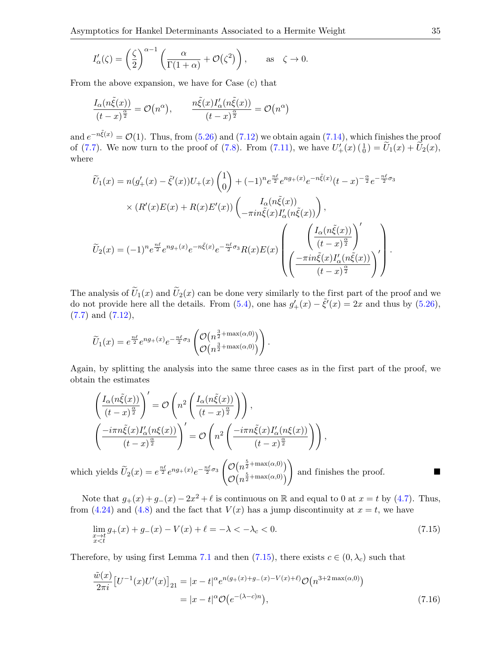$$
I'_{\alpha}(\zeta) = \left(\frac{\zeta}{2}\right)^{\alpha - 1} \left(\frac{\alpha}{\Gamma(1 + \alpha)} + \mathcal{O}(\zeta^2)\right), \quad \text{as} \quad \zeta \to 0.
$$

From the above expansion, we have for Case (c) that

$$
\frac{I_{\alpha}(n\tilde{\xi}(x))}{(t-x)^{\frac{\alpha}{2}}} = \mathcal{O}\big(n^{\alpha}\big), \qquad \frac{n\tilde{\xi}(x)I'_{\alpha}(n\tilde{\xi}(x))}{(t-x)^{\frac{\alpha}{2}}} = \mathcal{O}\big(n^{\alpha}\big)
$$

and  $e^{-n\xi(x)} = \mathcal{O}(1)$ . Thus, from [\(5.26\)](#page-24-1) and [\(7.12\)](#page-33-4) we obtain again [\(7.14\)](#page-33-6), which finishes the proof of [\(7.7\)](#page-33-5). We now turn to the proof of [\(7.8\)](#page-33-7). From [\(7.11\)](#page-33-2), we have  $U'_{+}(x) \begin{pmatrix} 1 \\ 0 \end{pmatrix} = U_{1}(x) + U_{2}(x)$ , where

$$
\widetilde{U}_{1}(x) = n(g'_{+}(x) - \tilde{\xi}'(x))U_{+}(x)\begin{pmatrix}1\\0\end{pmatrix} + (-1)^{n}e^{\frac{n\ell}{2}}e^{ng_{+}(x)}e^{-n\tilde{\xi}(x)}(t-x)^{-\frac{\alpha}{2}}e^{-\frac{n\ell}{2}\sigma_{3}}
$$
\n
$$
\times (R'(x)E(x) + R(x)E'(x))\begin{pmatrix}I_{\alpha}(n\tilde{\xi}(x))\\-\pi i n\tilde{\xi}(x)I'_{\alpha}(n\tilde{\xi}(x))\end{pmatrix},
$$
\n
$$
\widetilde{U}_{2}(x) = (-1)^{n}e^{\frac{n\ell}{2}}e^{ng_{+}(x)}e^{-n\tilde{\xi}(x)}e^{-\frac{n\ell}{2}\sigma_{3}}R(x)E(x)\begin{pmatrix}\left(\frac{I_{\alpha}(n\tilde{\xi}(x))}{(t-x)^{\frac{\alpha}{2}}}\right)^{'}\\-\pi i n\tilde{\xi}(x)I'_{\alpha}(n\tilde{\xi}(x))\\(t-x)^{\frac{\alpha}{2}}\end{pmatrix}.
$$

The analysis of  $\tilde{U}_1(x)$  and  $\tilde{U}_2(x)$  can be done very similarly to the first part of the proof and we do not provide here all the details. From [\(5.4\)](#page-16-0), one has  $g'_{+}(x) - \tilde{\xi}'(x) = 2x$  and thus by [\(5.26\)](#page-24-1),  $(7.7)$  and  $(7.12)$ ,

$$
\widetilde{U}_1(x) = e^{\frac{n\ell}{2}} e^{n g_+(x)} e^{-\frac{n\ell}{2}\sigma_3} \begin{pmatrix} \mathcal{O}\left(n^{\frac{3}{2} + \max(\alpha,0)}\right) \\ \mathcal{O}\left(n^{\frac{3}{2} + \max(\alpha,0)}\right) \end{pmatrix}.
$$

Again, by splitting the analysis into the same three cases as in the first part of the proof, we obtain the estimates

<span id="page-35-0"></span>
$$
\begin{aligned}\n&\left(\frac{I_{\alpha}(n\tilde{\xi}(x))}{(t-x)^{\frac{\alpha}{2}}}\right)' = \mathcal{O}\left(n^2\left(\frac{I_{\alpha}(n\tilde{\xi}(x))}{(t-x)^{\frac{\alpha}{2}}}\right)\right), \\
&\left(\frac{-i\pi n\tilde{\xi}(x)I'_{\alpha}(n\xi(x))}{(t-x)^{\frac{\alpha}{2}}}\right)' = \mathcal{O}\left(n^2\left(\frac{-i\pi n\tilde{\xi}(x)I'_{\alpha}(n\xi(x))}{(t-x)^{\frac{\alpha}{2}}}\right)\right),\n\end{aligned}
$$

which yields  $\widetilde{U}_2(x) = e^{\frac{n\ell}{2}} e^{n g_+(x)} e^{-\frac{n\ell}{2} \sigma_3}$  $\mathcal{O}\big(n^{\frac{5}{2}+\max(\alpha,0)}\big)$  $\mathcal{O}\big(n^{\frac{5}{2}+\max(\alpha,0)}\big)$ and finishes the proof.

Note that  $g_{+}(x) + g_{-}(x) - 2x^{2} + \ell$  is continuous on R and equal to 0 at  $x = t$  by [\(4.7\)](#page-11-1). Thus, from [\(4.24\)](#page-15-1) and [\(4.8\)](#page-11-2) and the fact that  $V(x)$  has a jump discontinuity at  $x = t$ , we have

$$
\lim_{\substack{x \to t \\ x < t}} g_+(x) + g_-(x) - V(x) + \ell = -\lambda < -\lambda_c < 0. \tag{7.15}
$$

Therefore, by using first Lemma [7.1](#page-33-8) and then [\(7.15\)](#page-34-0), there exists  $c \in (0, \lambda_c)$  such that

$$
\frac{\tilde{w}(x)}{2\pi i} \left[ U^{-1}(x) U'(x) \right]_{21} = |x - t|^{\alpha} e^{n(g_+(x) + g_-(x) - V(x) + \ell)} \mathcal{O}\left(n^{3+2 \max(\alpha, 0)}\right)
$$
\n
$$
= |x - t|^{\alpha} \mathcal{O}\left(e^{-(\lambda - c)n}\right),\tag{7.16}
$$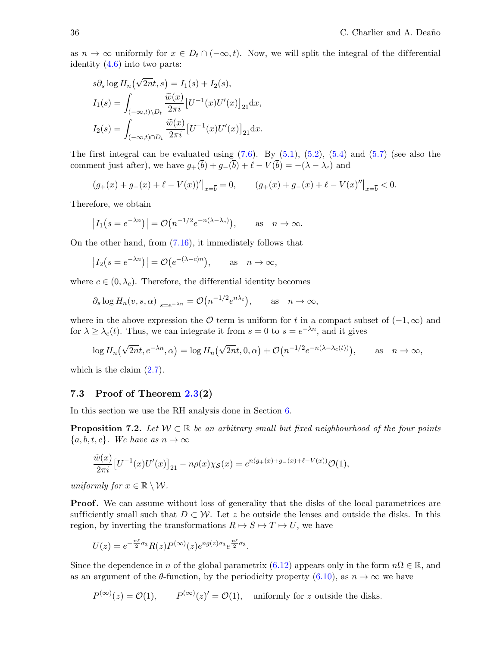as  $n \to \infty$  uniformly for  $x \in D_t \cap (-\infty, t)$ . Now, we will split the integral of the differential identity [\(4.6\)](#page-10-3) into two parts:

<span id="page-36-0"></span>
$$
s\partial_s \log H_n(\sqrt{2n}t, s) = I_1(s) + I_2(s),
$$
  
\n
$$
I_1(s) = \int_{(-\infty, t)\backslash D_t} \frac{\tilde{w}(x)}{2\pi i} \left[U^{-1}(x)U'(x)\right]_{21} dx,
$$
  
\n
$$
I_2(s) = \int_{(-\infty, t)\cap D_t} \frac{\tilde{w}(x)}{2\pi i} \left[U^{-1}(x)U'(x)\right]_{21} dx.
$$

The first integral can be evaluated using  $(7.6)$ . By  $(5.1)$ ,  $(5.2)$ ,  $(5.4)$  and  $(5.7)$  (see also the comment just after), we have  $g_+(\overline{b}) + g_-(\overline{b}) + \ell - V(\overline{b}) = -(\lambda - \lambda_c)$  and

$$
(g_+(x) + g_-(x) + \ell - V(x))'\big|_{x=\overline{b}} = 0, \qquad (g_+(x) + g_-(x) + \ell - V(x)''\big|_{x=\overline{b}} < 0.
$$

Therefore, we obtain

<span id="page-36-1"></span>
$$
|I_1(s = e^{-\lambda n})| = \mathcal{O}(n^{-1/2}e^{-n(\lambda - \lambda_c)}),
$$
 as  $n \to \infty$ .

On the other hand, from [\(7.16\)](#page-34-1), it immediately follows that

<span id="page-36-2"></span>
$$
|I_2(s = e^{-\lambda n})| = \mathcal{O}(e^{-(\lambda - c)n}),
$$
 as  $n \to \infty$ ,

where  $c \in (0, \lambda_c)$ . Therefore, the differential identity becomes

$$
\partial_s \log H_n(v, s, \alpha)\big|_{s=e^{-\lambda n}} = \mathcal{O}\big(n^{-1/2}e^{n\lambda_c}\big), \quad \text{as} \quad n \to \infty,
$$

where in the above expression the  $\mathcal O$  term is uniform for t in a compact subset of  $(-1,\infty)$  and for  $\lambda \geq \lambda_c(t)$ . Thus, we can integrate it from  $s = 0$  to  $s = e^{-\lambda n}$ , and it gives

<span id="page-36-3"></span>
$$
\log H_n(\sqrt{2n}t, e^{-\lambda n}, \alpha) = \log H_n(\sqrt{2n}t, 0, \alpha) + \mathcal{O}(n^{-1/2}e^{-n(\lambda - \lambda_c(t))}), \quad \text{as} \quad n \to \infty,
$$

which is the claim  $(2.7)$ .

#### 7.3 Proof of Theorem [2.3\(](#page-6-1)2)

In this section we use the RH analysis done in Section [6.](#page-25-0)

**Proposition 7.2.** Let  $W \subset \mathbb{R}$  be an arbitrary small but fixed neighbourhood of the four points  ${a, b, t, c}$ . We have as  $n \to \infty$ 

$$
\frac{\tilde{w}(x)}{2\pi i} \left[ U^{-1}(x)U'(x) \right]_{21} - n\rho(x)\chi_{\mathcal{S}}(x) = e^{n(g_+(x) + g_-(x) + \ell - V(x))} \mathcal{O}(1),
$$

uniformly for  $x \in \mathbb{R} \setminus \mathcal{W}$ .

**Proof.** We can assume without loss of generality that the disks of the local parametrices are sufficiently small such that  $D \subset \mathcal{W}$ . Let z be outside the lenses and outside the disks. In this region, by inverting the transformations  $R \mapsto S \mapsto T \mapsto U$ , we have

$$
U(z) = e^{-\frac{n\ell}{2}\sigma_3} R(z) P^{(\infty)}(z) e^{n g(z)\sigma_3} e^{\frac{n\ell}{2}\sigma_3}.
$$

Since the dependence in n of the global parametrix [\(6.12\)](#page-30-0) appears only in the form  $n\Omega \in \mathbb{R}$ , and as an argument of the  $\theta$ -function, by the periodicity property [\(6.10\)](#page-29-0), as  $n \to \infty$  we have

$$
P^{(\infty)}(z) = \mathcal{O}(1),
$$
  $P^{(\infty)}(z)' = \mathcal{O}(1),$  uniformly for z outside the disks.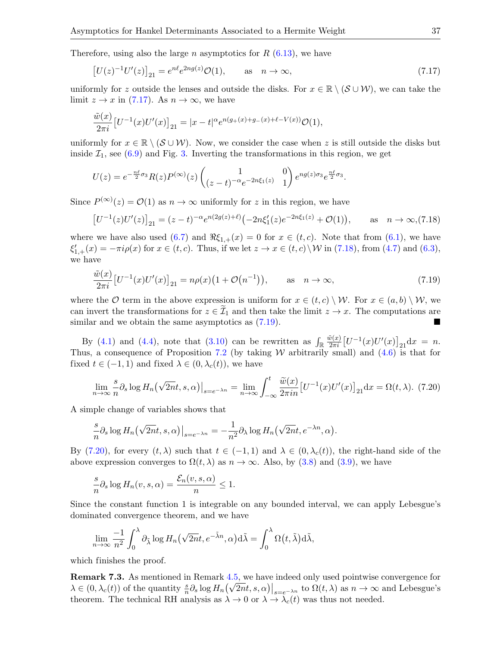Therefore, using also the large *n* asymptotics for  $R$  [\(6.13\)](#page-31-3), we have

$$
[U(z)^{-1}U'(z)]_{21} = e^{n\ell}e^{2ng(z)}\mathcal{O}(1), \qquad \text{as} \quad n \to \infty,
$$
 (7.17)

uniformly for z outside the lenses and outside the disks. For  $x \in \mathbb{R} \setminus (\mathcal{S} \cup \mathcal{W})$ , we can take the limit  $z \to x$  in [\(7.17\)](#page-36-0). As  $n \to \infty$ , we have

$$
\frac{\tilde{w}(x)}{2\pi i} \left[ U^{-1}(x)U'(x) \right]_{21} = |x - t|^{\alpha} e^{n(g_+(x) + g_-(x) + \ell - V(x))} \mathcal{O}(1),
$$

<span id="page-37-7"></span>uniformly for  $x \in \mathbb{R} \setminus (\mathcal{S} \cup \mathcal{W})$ . Now, we consider the case when z is still outside the disks but inside  $\mathcal{I}_1$ , see [\(6.9\)](#page-26-2) and Fig. [3.](#page-27-0) Inverting the transformations in this region, we get

$$
U(z) = e^{-\frac{n\ell}{2}\sigma_3} R(z) P^{(\infty)}(z) \begin{pmatrix} 1 & 0\\ (z-t)^{-\alpha} e^{-2n\xi_1(z)} & 1 \end{pmatrix} e^{ng(z)\sigma_3} e^{\frac{n\ell}{2}\sigma_3}
$$

Since  $P^{(\infty)}(z) = \mathcal{O}(1)$  as  $n \to \infty$  uniformly for z in this region, we have

$$
\left[U^{-1}(z)U'(z)\right]_{21} = (z-t)^{-\alpha}e^{n(2g(z)+\ell)}(-2n\xi_1'(z)e^{-2n\xi_1(z)} + \mathcal{O}(1)), \quad \text{as} \quad n \to \infty, (7.18)
$$

<span id="page-37-4"></span><span id="page-37-3"></span><span id="page-37-2"></span><span id="page-37-1"></span><span id="page-37-0"></span>.

where we have also used  $(6.7)$  and  $\Re \xi_{1,+}(x) = 0$  for  $x \in (t, c)$ . Note that from  $(6.1)$ , we have  $\xi'_{1,+}(x) = -\pi i \rho(x)$  for  $x \in (t, c)$ . Thus, if we let  $z \to x \in (t, c) \setminus \mathcal{W}$  in [\(7.18\)](#page-36-1), from [\(4.7\)](#page-11-1) and [\(6.3\)](#page-25-5), we have

$$
\frac{\tilde{w}(x)}{2\pi i} \left[ U^{-1}(x)U'(x) \right]_{21} = n\rho(x) \left( 1 + \mathcal{O}\left( n^{-1} \right) \right), \qquad \text{as} \quad n \to \infty,
$$
\n(7.19)

where the O term in the above expression is uniform for  $x \in (t, c) \setminus W$ . For  $x \in (a, b) \setminus W$ , we can invert the transformations for  $z \in \mathcal{I}_1$  and then take the limit  $z \to x$ . The computations are similar and we obtain the same asymptotics as  $(7.19)$ .

By [\(4.1\)](#page-9-2) and [\(4.4\)](#page-10-1), note that [\(3.10\)](#page-9-4) can be rewritten as  $\int_{\mathbb{R}} \frac{\tilde{w}(x)}{2\pi i} [U^{-1}(x)U'(x)]_{21} dx = n$ . Thus, a consequence of Proposition [7.2](#page-35-0) (by taking W arbitrarily small) and  $(4.6)$  is that for fixed  $t \in (-1,1)$  and fixed  $\lambda \in (0, \lambda_c(t))$ , we have

$$
\lim_{n \to \infty} \frac{s}{n} \partial_s \log H_n\left(\sqrt{2n}t, s, \alpha\right)|_{s=e^{-\lambda n}} = \lim_{n \to \infty} \int_{-\infty}^t \frac{\widetilde{w}(x)}{2\pi i n} \left[U^{-1}(x)U'(x)\right]_{21} \mathrm{d}x = \Omega(t, \lambda). \tag{7.20}
$$

A simple change of variables shows that

$$
\frac{s}{n}\partial_s \log H_n(\sqrt{2n}t,s,\alpha)\big|_{s=e^{-\lambda n}} = -\frac{1}{n^2}\partial_\lambda \log H_n(\sqrt{2n}t,e^{-\lambda n},\alpha).
$$

By [\(7.20\)](#page-36-3), for every  $(t, \lambda)$  such that  $t \in (-1, 1)$  and  $\lambda \in (0, \lambda_c(t))$ , the right-hand side of the above expression converges to  $\Omega(t, \lambda)$  as  $n \to \infty$ . Also, by [\(3.8\)](#page-8-0) and [\(3.9\)](#page-9-1), we have

$$
\frac{s}{n}\partial_s \log H_n(v,s,\alpha) = \frac{\mathcal{E}_n(v,s,\alpha)}{n} \le 1.
$$

Since the constant function 1 is integrable on any bounded interval, we can apply Lebesgue's dominated convergence theorem, and we have

<span id="page-37-5"></span>
$$
\lim_{n\to\infty}\frac{-1}{n^2}\int_0^\lambda\partial_{\tilde\lambda}\log H_n(\sqrt{2n}t,e^{-\tilde\lambda n},\alpha)d\tilde\lambda=\int_0^\lambda\Omega(t,\tilde\lambda)d\tilde\lambda,
$$

<span id="page-37-6"></span>which finishes the proof.

Remark 7.3. As mentioned in Remark [4.5,](#page-14-3) we have indeed only used pointwise convergence for  $\lambda \in (0, \lambda_c(t))$  of the quantity  $\frac{s}{n} \partial_s \log H_n(\sqrt{2nt}, s, \alpha)|_{s=e^{-\lambda n}}$  to  $\Omega(t, \lambda)$  as  $n \to \infty$  and Lebesgue's theorem. The technical RH analysis as  $\lambda \to 0$  or  $\lambda \to \lambda_c(t)$  was thus not needed.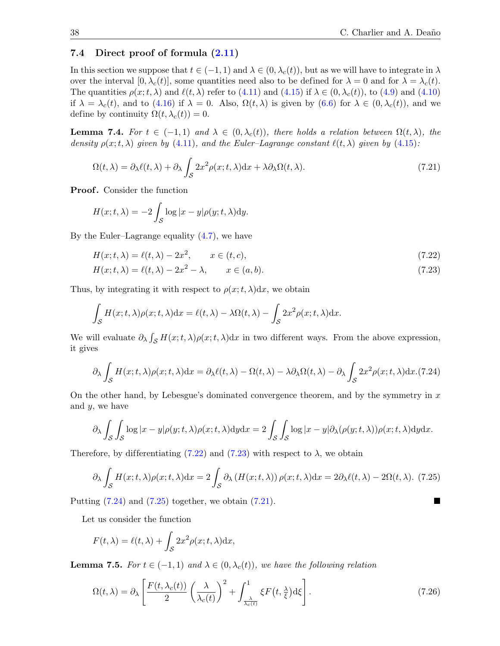#### 7.4 Direct proof of formula [\(2.11\)](#page-6-6)

In this section we suppose that  $t \in (-1, 1)$  and  $\lambda \in (0, \lambda_c(t))$ , but as we will have to integrate in  $\lambda$ over the interval  $[0, \lambda_c(t)]$ , some quantities need also to be defined for  $\lambda = 0$  and for  $\lambda = \lambda_c(t)$ . The quantities  $\rho(x; t, \lambda)$  and  $\ell(t, \lambda)$  refer to [\(4.11\)](#page-12-4) and [\(4.15\)](#page-12-5) if  $\lambda \in (0, \lambda_c(t))$ , to [\(4.9\)](#page-11-3) and [\(4.10\)](#page-12-6) if  $\lambda = \lambda_c(t)$ , and to [\(4.16\)](#page-12-7) if  $\lambda = 0$ . Also,  $\Omega(t, \lambda)$  is given by [\(6.6\)](#page-25-6) for  $\lambda \in (0, \lambda_c(t))$ , and we define by continuity  $\Omega(t, \lambda_c(t)) = 0$ .

**Lemma 7.4.** For  $t \in (-1,1)$  and  $\lambda \in (0, \lambda_c(t))$ , there holds a relation between  $\Omega(t, \lambda)$ , the density  $\rho(x;t,\lambda)$  given by [\(4.11\)](#page-12-4), and the Euler–Lagrange constant  $\ell(t,\lambda)$  given by [\(4.15\)](#page-12-5):

<span id="page-38-1"></span>
$$
\Omega(t,\lambda) = \partial_{\lambda}\ell(t,\lambda) + \partial_{\lambda} \int_{\mathcal{S}} 2x^2 \rho(x;t,\lambda) dx + \lambda \partial_{\lambda} \Omega(t,\lambda).
$$
\n(7.21)

Proof. Consider the function

<span id="page-38-5"></span>
$$
H(x;t,\lambda) = -2\int_{\mathcal{S}} \log|x-y|\rho(y;t,\lambda)dy.
$$

By the Euler–Lagrange equality [\(4.7\)](#page-11-1), we have

$$
H(x;t,\lambda) = \ell(t,\lambda) - 2x^2, \qquad x \in (t,c),\tag{7.22}
$$

$$
H(x;t,\lambda) = \ell(t,\lambda) - 2x^2 - \lambda, \qquad x \in (a,b). \tag{7.23}
$$

Thus, by integrating it with respect to  $\rho(x; t, \lambda) dx$ , we obtain

<span id="page-38-4"></span>
$$
\int_{\mathcal{S}} H(x;t,\lambda)\rho(x;t,\lambda)dx = \ell(t,\lambda) - \lambda\Omega(t,\lambda) - \int_{\mathcal{S}} 2x^2 \rho(x;t,\lambda)dx.
$$

We will evaluate  $\partial_{\lambda} \int_{\mathcal{S}} H(x;t,\lambda) \rho(x;t,\lambda) dx$  in two different ways. From the above expression, it gives

<span id="page-38-2"></span>
$$
\partial_{\lambda} \int_{\mathcal{S}} H(x;t,\lambda)\rho(x;t,\lambda)dx = \partial_{\lambda}\ell(t,\lambda) - \Omega(t,\lambda) - \lambda\partial_{\lambda}\Omega(t,\lambda) - \partial_{\lambda} \int_{\mathcal{S}} 2x^2 \rho(x;t,\lambda)dx.(7.24)
$$

On the other hand, by Lebesgue's dominated convergence theorem, and by the symmetry in  $x$ and  $y$ , we have

<span id="page-38-3"></span>
$$
\partial_{\lambda} \int_{\mathcal{S}} \int_{\mathcal{S}} \log |x - y| \rho(y; t, \lambda) \rho(x; t, \lambda) dy dx = 2 \int_{\mathcal{S}} \int_{\mathcal{S}} \log |x - y| \partial_{\lambda} (\rho(y; t, \lambda)) \rho(x; t, \lambda) dy dx.
$$

<span id="page-38-0"></span>Therefore, by differentiating [\(7.22\)](#page-37-0) and [\(7.23\)](#page-37-1) with respect to  $\lambda$ , we obtain

$$
\partial_{\lambda} \int_{\mathcal{S}} H(x;t,\lambda)\rho(x;t,\lambda)dx = 2\int_{\mathcal{S}} \partial_{\lambda} \left(H(x;t,\lambda)\right)\rho(x;t,\lambda)dx = 2\partial_{\lambda}\ell(t,\lambda) - 2\Omega(t,\lambda). \tag{7.25}
$$

Putting  $(7.24)$  and  $(7.25)$  together, we obtain  $(7.21)$ .

Let us consider the function

$$
F(t,\lambda) = \ell(t,\lambda) + \int_{\mathcal{S}} 2x^2 \rho(x;t,\lambda) dx,
$$

**Lemma 7.5.** For  $t \in (-1,1)$  and  $\lambda \in (0, \lambda_c(t))$ , we have the following relation

$$
\Omega(t,\lambda) = \partial_{\lambda} \left[ \frac{F(t,\lambda_c(t))}{2} \left( \frac{\lambda}{\lambda_c(t)} \right)^2 + \int_{\frac{\lambda}{\lambda_c(t)}}^1 \xi F(t,\frac{\lambda}{\xi}) d\xi \right].
$$
\n(7.26)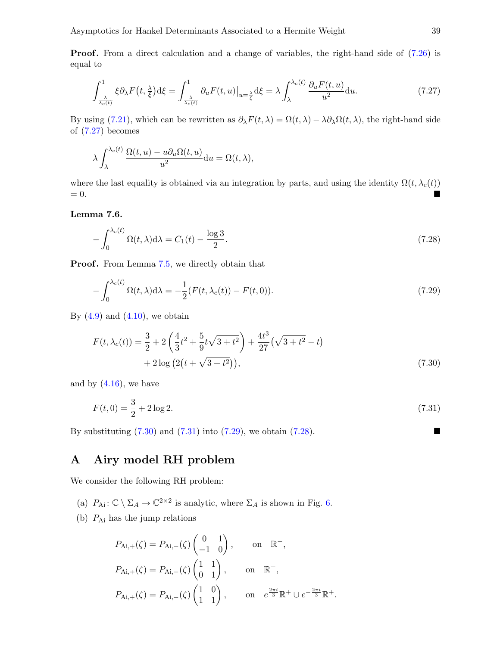**Proof.** From a direct calculation and a change of variables, the right-hand side of  $(7.26)$  is equal to

$$
\int_{\frac{\lambda}{\lambda_c(t)}}^1 \xi \partial_\lambda F(t, \frac{\lambda}{\xi}) d\xi = \int_{\frac{\lambda}{\lambda_c(t)}}^1 \partial_u F(t, u)|_{u = \frac{\lambda}{\xi}} d\xi = \lambda \int_{\lambda}^{\lambda_c(t)} \frac{\partial_u F(t, u)}{u^2} du. \tag{7.27}
$$

By using [\(7.21\)](#page-37-4), which can be rewritten as  $\partial_{\lambda} F(t, \lambda) = \Omega(t, \lambda) - \lambda \partial_{\lambda} \Omega(t, \lambda)$ , the right-hand side of [\(7.27\)](#page-38-1) becomes

<span id="page-39-2"></span>
$$
\lambda \int_{\lambda}^{\lambda_c(t)} \frac{\Omega(t,u) - u \partial_u \Omega(t,u)}{u^2} \mathrm{d}u = \Omega(t,\lambda),
$$

where the last equality is obtained via an integration by parts, and using the identity  $\Omega(t, \lambda_c(t))$  $= 0.$ 

Lemma 7.6.

<span id="page-39-1"></span>
$$
-\int_0^{\lambda_c(t)} \Omega(t,\lambda) d\lambda = C_1(t) - \frac{\log 3}{2}.\tag{7.28}
$$

**Proof.** From Lemma [7.5,](#page-37-6) we directly obtain that

$$
-\int_0^{\lambda_c(t)} \Omega(t,\lambda)d\lambda = -\frac{1}{2}(F(t,\lambda_c(t)) - F(t,0)).
$$
\n(7.29)

By  $(4.9)$  and  $(4.10)$ , we obtain

$$
F(t, \lambda_c(t)) = \frac{3}{2} + 2\left(\frac{4}{3}t^2 + \frac{5}{9}t\sqrt{3+t^2}\right) + \frac{4t^3}{27}\left(\sqrt{3+t^2} - t\right) + 2\log\left(2\left(t + \sqrt{3+t^2}\right)\right),\tag{7.30}
$$

and by  $(4.16)$ , we have

$$
F(t,0) = \frac{3}{2} + 2\log 2. \tag{7.31}
$$

By substituting  $(7.30)$  and  $(7.31)$  into  $(7.29)$ , we obtain  $(7.28)$ .

# A Airy model RH problem

We consider the following RH problem:

- (a)  $P_{\text{Ai}}: \mathbb{C} \setminus \Sigma_A \to \mathbb{C}^{2 \times 2}$  is analytic, where  $\Sigma_A$  is shown in Fig. [6.](#page-39-2)
- <span id="page-39-0"></span>(b)  $P_{\text{Ai}}$  has the jump relations

$$
P_{\text{Ai},+}(\zeta) = P_{\text{Ai},-}(\zeta) \begin{pmatrix} 0 & 1 \\ -1 & 0 \end{pmatrix}, \quad \text{on } \mathbb{R}^-,
$$
  
\n
$$
P_{\text{Ai},+}(\zeta) = P_{\text{Ai},-}(\zeta) \begin{pmatrix} 1 & 1 \\ 0 & 1 \end{pmatrix}, \quad \text{on } \mathbb{R}^+,
$$
  
\n
$$
P_{\text{Ai},+}(\zeta) = P_{\text{Ai},-}(\zeta) \begin{pmatrix} 1 & 0 \\ 1 & 1 \end{pmatrix}, \quad \text{on } e^{\frac{2\pi i}{3}} \mathbb{R}^+ \cup e^{-\frac{2\pi i}{3}} \mathbb{R}^+.
$$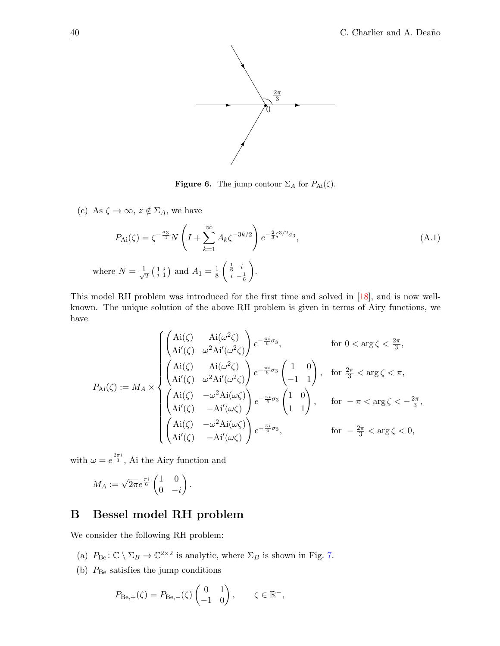

<span id="page-40-3"></span><span id="page-40-2"></span><span id="page-40-0"></span>**Figure 6.** The jump contour  $\Sigma_A$  for  $P_{Ai}(\zeta)$ .

(c) As  $\zeta \to \infty$ ,  $z \notin \Sigma_A$ , we have

$$
P_{\text{Ai}}(\zeta) = \zeta^{-\frac{\sigma_3}{4}} N \left( I + \sum_{k=1}^{\infty} A_k \zeta^{-3k/2} \right) e^{-\frac{2}{3} \zeta^{3/2} \sigma_3},
$$
\n(A.1)

\nwhere  $N = \frac{1}{\sqrt{2}} \left( \begin{array}{c} 1 & i \\ i & 1 \end{array} \right)$  and  $A_1 = \frac{1}{8} \left( \begin{array}{c} \frac{1}{6} & i \\ i & -\frac{1}{6} \end{array} \right).$ 

This model RH problem was introduced for the first time and solved in [\[18\]](#page-42-20), and is now wellknown. The unique solution of the above RH problem is given in terms of Airy functions, we have

$$
P_{\mathrm{Ai}}(\zeta) := M_A \times \begin{cases} \begin{pmatrix} \mathrm{Ai}(\zeta) & \mathrm{Ai}(\omega^2 \zeta) \\ \mathrm{Ai}'(\zeta) & \omega^2 \mathrm{Ai}'(\omega^2 \zeta) \end{pmatrix} e^{-\frac{\pi i}{6}\sigma_3}, & \text{for } 0 < \arg \zeta < \frac{2\pi}{3}, \\ \begin{pmatrix} \mathrm{Ai}(\zeta) & \mathrm{Ai}(\omega^2 \zeta) \\ \mathrm{Ai}'(\zeta) & \omega^2 \mathrm{Ai}'(\omega^2 \zeta) \end{pmatrix} e^{-\frac{\pi i}{6}\sigma_3} \begin{pmatrix} 1 & 0 \\ -1 & 1 \end{pmatrix}, & \text{for } \frac{2\pi}{3} < \arg \zeta < \pi, \\ \begin{pmatrix} \mathrm{Ai}(\zeta) & -\omega^2 \mathrm{Ai}(\omega \zeta) \\ \mathrm{Ai}'(\zeta) & -\mathrm{Ai}'(\omega \zeta) \end{pmatrix} e^{-\frac{\pi i}{6}\sigma_3} \begin{pmatrix} 1 & 0 \\ 1 & 1 \end{pmatrix}, & \text{for } -\pi < \arg \zeta < -\frac{2\pi}{3}, \\ \begin{pmatrix} \mathrm{Ai}(\zeta) & -\omega^2 \mathrm{Ai}(\omega \zeta) \\ \mathrm{Ai}'(\zeta) & -\mathrm{Ai}'(\omega \zeta) \end{pmatrix} e^{-\frac{\pi i}{6}\sigma_3}, & \text{for } -\frac{2\pi}{3} < \arg \zeta < 0, \end{cases}
$$

with  $\omega = e^{\frac{2\pi i}{3}}$ , Ai the Airy function and

$$
M_A:=\sqrt{2\pi}e^{\frac{\pi i}{6}}\begin{pmatrix}1&0\\0&-i\end{pmatrix}.
$$

# B Bessel model RH problem

We consider the following RH problem:

- (a)  $P_{\text{Be}}: \mathbb{C} \setminus \Sigma_B \to \mathbb{C}^{2 \times 2}$  is analytic, where  $\Sigma_B$  is shown in Fig. [7.](#page-40-2)
- (b)  $P_{\text{Be}}$  satisfies the jump conditions

<span id="page-40-4"></span><span id="page-40-1"></span>
$$
P_{\text{Be},+}(\zeta) = P_{\text{Be},-}(\zeta) \begin{pmatrix} 0 & 1 \\ -1 & 0 \end{pmatrix}, \qquad \zeta \in \mathbb{R}^-,
$$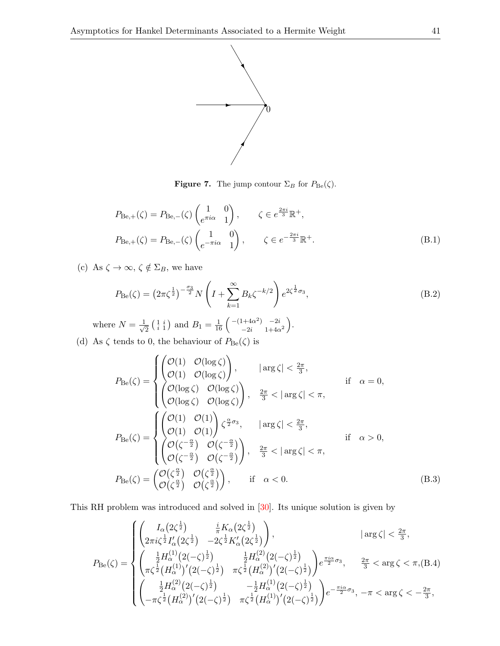

**Figure 7.** The jump contour  $\Sigma_B$  for  $P_{\text{Be}}(\zeta)$ .

$$
P_{\text{Be},+}(\zeta) = P_{\text{Be},-}(\zeta) \begin{pmatrix} 1 & 0 \\ e^{\pi i \alpha} & 1 \end{pmatrix}, \qquad \zeta \in e^{\frac{2\pi i}{3}} \mathbb{R}^+,
$$
  
\n
$$
P_{\text{Be},+}(\zeta) = P_{\text{Be},-}(\zeta) \begin{pmatrix} 1 & 0 \\ e^{-\pi i \alpha} & 1 \end{pmatrix}, \qquad \zeta \in e^{-\frac{2\pi i}{3}} \mathbb{R}^+.
$$
 (B.1)

<span id="page-41-15"></span><span id="page-41-13"></span><span id="page-41-10"></span><span id="page-41-4"></span>(c) As  $\zeta \to \infty$ ,  $\zeta \notin \Sigma_B$ , we have

$$
P_{\text{Be}}(\zeta) = \left(2\pi\zeta^{\frac{1}{2}}\right)^{-\frac{\sigma_3}{2}} N\left(I + \sum_{k=1}^{\infty} B_k \zeta^{-k/2}\right) e^{2\zeta^{\frac{1}{2}}\sigma_3},\tag{B.2}
$$

<span id="page-41-5"></span>where  $N=\frac{1}{\sqrt{2}}$  $\frac{1}{2} \left( \begin{array}{c} 1 & i \\ i & 1 \end{array} \right)$  and  $B_1 = \frac{1}{16} \left( \begin{array}{cc} -(1+4\alpha^2) & -2i \\ -2i & 1+4\alpha \end{array} \right)$  $_{-2i}^{1+4\alpha^2}$   $_{-2i}^{-2i}$   $_{1+4\alpha^2}$   $\Big).$ 

<span id="page-41-11"></span><span id="page-41-7"></span><span id="page-41-6"></span><span id="page-41-0"></span>(d) As  $\zeta$  tends to 0, the behaviour of  $P_{\text{Be}}(\zeta)$  is

<span id="page-41-1"></span>
$$
P_{\text{Be}}(\zeta) = \begin{cases} \begin{pmatrix} \mathcal{O}(1) & \mathcal{O}(\log \zeta) \\ \mathcal{O}(1) & \mathcal{O}(\log \zeta) \end{pmatrix}, & \left| \arg \zeta \right| < \frac{2\pi}{3}, \\ \begin{pmatrix} \mathcal{O}(\log \zeta) & \mathcal{O}(\log \zeta) \\ \mathcal{O}(\log \zeta) & \mathcal{O}(\log \zeta) \end{pmatrix}, & \frac{2\pi}{3} < \left| \arg \zeta \right| < \pi, \\ \begin{pmatrix} \mathcal{O}(1) & \mathcal{O}(1) \\ \mathcal{O}(1) & \mathcal{O}(1) \end{pmatrix} \zeta^{\frac{\alpha}{2}\sigma_{3}}, & \left| \arg \zeta \right| < \frac{2\pi}{3}, \\ \begin{pmatrix} \mathcal{O}(\zeta) & \mathcal{O}(\zeta^{-\frac{\alpha}{2}}) \\ \mathcal{O}(\zeta^{-\frac{\alpha}{2}}) & \mathcal{O}(\zeta^{-\frac{\alpha}{2}}) \\ \mathcal{O}(\zeta^{-\frac{\alpha}{2}}) & \mathcal{O}(\zeta^{-\frac{\alpha}{2}}) \end{pmatrix}, & \frac{2\pi}{3} < \left| \arg \zeta \right| < \pi, \\ P_{\text{Be}}(\zeta) = \begin{pmatrix} \mathcal{O}(\zeta^{\frac{\alpha}{2}}) & \mathcal{O}(\zeta^{\frac{\alpha}{2}}) \\ \mathcal{O}(\zeta^{\frac{\alpha}{2}}) & \mathcal{O}(\zeta^{\frac{\alpha}{2}}) \end{pmatrix}, & \text{if } \alpha < 0. \end{cases} \tag{B.3}
$$

<span id="page-41-14"></span><span id="page-41-9"></span><span id="page-41-8"></span><span id="page-41-2"></span>This RH problem was introduced and solved in [\[30\]](#page-42-18). Its unique solution is given by

<span id="page-41-16"></span><span id="page-41-12"></span><span id="page-41-3"></span>
$$
P_{\text{Be}}(\zeta) = \begin{cases} \begin{pmatrix} I_{\alpha}(2\zeta^{\frac{1}{2}}) & \frac{i}{\pi}K_{\alpha}(2\zeta^{\frac{1}{2}}) \\ 2\pi i \zeta^{\frac{1}{2}} I_{\alpha}'(2\zeta^{\frac{1}{2}}) & -2\zeta^{\frac{1}{2}} K_{\alpha}'(2\zeta^{\frac{1}{2}}) \end{pmatrix}, & \text{and} \\\begin{pmatrix} \frac{1}{2}H_{\alpha}^{(1)}(2(-\zeta)^{\frac{1}{2}}) & \frac{1}{2}H_{\alpha}^{(2)}(2(-\zeta)^{\frac{1}{2}}) \\ \pi \zeta^{\frac{1}{2}}(H_{\alpha}^{(1)})'(2(-\zeta)^{\frac{1}{2}}) & \pi \zeta^{\frac{1}{2}}(H_{\alpha}^{(2)})'(2(-\zeta)^{\frac{1}{2}}) \end{pmatrix} e^{\frac{\pi i \alpha}{2}\sigma_{3}}, & \frac{2\pi}{3} < \arg \zeta < \pi, \text{(B.4)} \\ \begin{pmatrix} \frac{1}{2}H_{\alpha}^{(2)}(2(-\zeta)^{\frac{1}{2}}) & -\frac{1}{2}H_{\alpha}^{(1)}(2(-\zeta)^{\frac{1}{2}}) \\ -\pi \zeta^{\frac{1}{2}}(H_{\alpha}^{(2)})'(2(-\zeta)^{\frac{1}{2}}) & \pi \zeta^{\frac{1}{2}}(H_{\alpha}^{(1)})'(2(-\zeta)^{\frac{1}{2}}) \end{pmatrix} e^{-\frac{\pi i \alpha}{2}\sigma_{3}}, & -\pi < \arg \zeta < -\frac{2\pi}{3}, \end{cases}
$$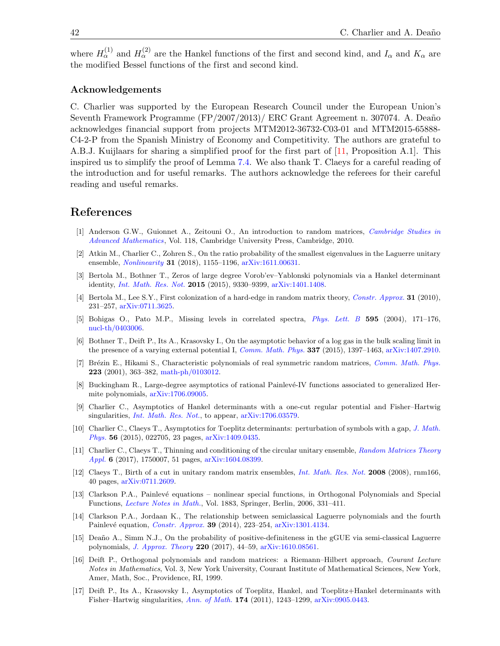<span id="page-42-21"></span><span id="page-42-20"></span>where  $H_{\alpha}^{(1)}$  and  $H_{\alpha}^{(2)}$  are the Hankel functions of the first and second kind, and  $I_{\alpha}$  and  $K_{\alpha}$  are the modified Bessel functions of the first and second kind.

#### Acknowledgements

<span id="page-42-15"></span><span id="page-42-14"></span><span id="page-42-13"></span>C. Charlier was supported by the European Research Council under the European Union's Seventh Framework Programme (FP/2007/2013)/ ERC Grant Agreement n. 307074. A. Deaño acknowledges financial support from projects MTM2012-36732-C03-01 and MTM2015-65888- C4-2-P from the Spanish Ministry of Economy and Competitivity. The authors are grateful to A.B.J. Kuijlaars for sharing a simplified proof for the first part of [\[11,](#page-41-2) Proposition A.1]. This inspired us to simplify the proof of Lemma [7.4.](#page-37-7) We also thank T. Claeys for a careful reading of the introduction and for useful remarks. The authors acknowledge the referees for their careful reading and useful remarks.

#### <span id="page-42-19"></span><span id="page-42-9"></span><span id="page-42-5"></span>References

- <span id="page-42-7"></span>[1] Anderson G.W., Guionnet A., Zeitouni O., An introduction to random matrices, *[Cambridge Studies in](https://doi.org/10.1017/CBO9780511801334) [Advanced Mathematics](https://doi.org/10.1017/CBO9780511801334)*, Vol. 118, Cambridge University Press, Cambridge, 2010.
- <span id="page-42-4"></span>[2] Atkin M., Charlier C., Zohren S., On the ratio probability of the smallest eigenvalues in the Laguerre unitary ensemble, *[Nonlinearity](https://doi.org/10.1088/1361-6544/aa9d57)* 31 (2018), 1155–1196, [arXiv:1611.00631.](https://arxiv.org/abs/1611.00631)
- <span id="page-42-11"></span>[3] Bertola M., Bothner T., Zeros of large degree Vorob'ev–Yablonski polynomials via a Hankel determinant identity, *[Int. Math. Res. Not.](https://doi.org/10.1093/imrn/rnu239)* 2015 (2015), 9330–9399, [arXiv:1401.1408.](https://arxiv.org/abs/1401.1408)
- <span id="page-42-2"></span>[4] Bertola M., Lee S.Y., First colonization of a hard-edge in random matrix theory, *[Constr. Approx.](https://doi.org/10.1007/s00365-009-9052-4)* 31 (2010), 231–257, [arXiv:0711.3625.](https://arxiv.org/abs/0711.3625)
- <span id="page-42-18"></span>[5] Bohigas O., Pato M.P., Missing levels in correlated spectra, *[Phys. Lett. B](https://doi.org/10.1016/j.physletb.2004.05.065)* 595 (2004), 171–176, [nucl-th/0403006.](https://arxiv.org/abs/nucl-th/0403006)
- [6] Bothner T., Deift P., Its A., Krasovsky I., On the asymptotic behavior of a log gas in the bulk scaling limit in the presence of a varying external potential I, *[Comm. Math. Phys.](https://doi.org/10.1007/s00220-015-2357-1)* 337 (2015), 1397–1463, [arXiv:1407.2910.](https://arxiv.org/abs/1407.2910)
- <span id="page-42-22"></span>[7] Br´ezin E., Hikami S., Characteristic polynomials of real symmetric random matrices, *[Comm. Math. Phys.](https://doi.org/10.1007/s002200100547)* 223 (2001), 363–382, [math-ph/0103012.](https://arxiv.org/abs/math-ph/0103012)
- <span id="page-42-0"></span>[8] Buckingham R., Large-degree asymptotics of rational Painlevé-IV functions associated to generalized Hermite polynomials, [arXiv:1706.09005.](https://arxiv.org/abs/1706.09005)
- <span id="page-42-17"></span><span id="page-42-1"></span>[9] Charlier C., Asymptotics of Hankel determinants with a one-cut regular potential and Fisher–Hartwig singularities, *[Int. Math. Res. Not.](https://doi.org/10.1093/imrn/rny009)*, to appear, [arXiv:1706.03579.](https://arxiv.org/abs/1706.03579)
- <span id="page-42-10"></span>[10] Charlier C., Claeys T., Asymptotics for Toeplitz determinants: perturbation of symbols with a gap, *[J. Math.](https://doi.org/10.1063/1.4908105) [Phys.](https://doi.org/10.1063/1.4908105)* 56 (2015), 022705, 23 pages, [arXiv:1409.0435.](https://arxiv.org/abs/1409.0435)
- <span id="page-42-8"></span>[11] Charlier C., Claeys T., Thinning and conditioning of the circular unitary ensemble, *[Random Matrices Theory](https://doi.org/10.1142/S2010326317500071) [Appl.](https://doi.org/10.1142/S2010326317500071)* 6 (2017), 1750007, 51 pages, [arXiv:1604.08399.](https://arxiv.org/abs/1604.08399)
- [12] Claeys T., Birth of a cut in unitary random matrix ensembles, *[Int. Math. Res. Not.](https://doi.org/10.1093/imrn/rnm166)* 2008 (2008), rnm166, 40 pages, [arXiv:0711.2609.](https://arxiv.org/abs/0711.2609)
- <span id="page-42-16"></span>[13] Clarkson P.A., Painlevé equations – nonlinear special functions, in Orthogonal Polynomials and Special Functions, *[Lecture Notes in Math.](https://doi.org/10.1007/978-3-540-36716-1_7)*, Vol. 1883, Springer, Berlin, 2006, 331–411.
- <span id="page-42-12"></span>[14] Clarkson P.A., Jordaan K., The relationship between semiclassical Laguerre polynomials and the fourth Painlev´e equation, *[Constr. Approx.](https://doi.org/10.1007/s00365-013-9220-4)* 39 (2014), 223–254, [arXiv:1301.4134.](https://arxiv.org/abs/1301.4134)
- [15] Deaño A., Simm N.J., On the probability of positive-definiteness in the gGUE via semi-classical Laguerre polynomials, *[J. Approx. Theory](https://doi.org/10.1016/j.jat.2017.04.004)* 220 (2017), 44–59, [arXiv:1610.08561.](https://arxiv.org/abs/1610.08561)
- <span id="page-42-6"></span>[16] Deift P., Orthogonal polynomials and random matrices: a Riemann–Hilbert approach, *Courant Lecture Notes in Mathematics*, Vol. 3, New York University, Courant Institute of Mathematical Sciences, New York, Amer, Math, Soc., Providence, RI, 1999.
- <span id="page-42-3"></span>[17] Deift P., Its A., Krasovsky I., Asymptotics of Toeplitz, Hankel, and Toeplitz+Hankel determinants with Fisher–Hartwig singularities, *[Ann. of Math.](https://doi.org/10.4007/annals.2011.174.2.12)* 174 (2011), 1243–1299, [arXiv:0905.0443.](https://arxiv.org/abs/0905.0443)